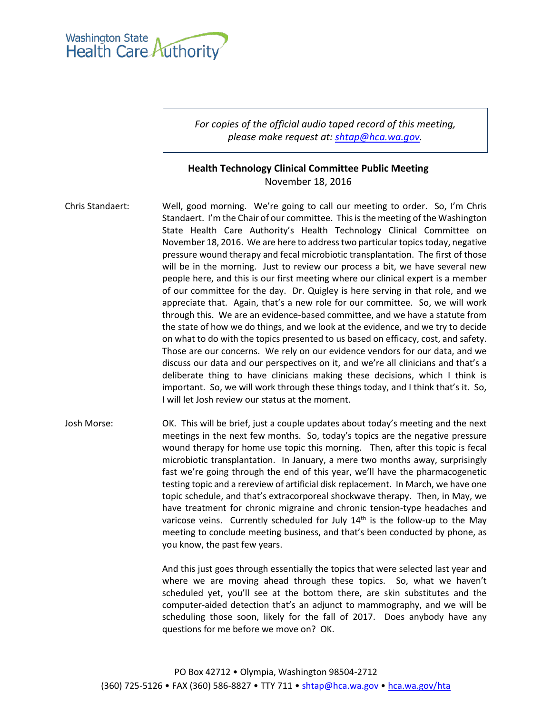

*For copies of the official audio taped record of this meeting, please make request at: [shtap@hca.wa.gov.](mailto:shtap@hca.wa.gov)*

## **Health Technology Clinical Committee Public Meeting** November 18, 2016

Chris Standaert: Well, good morning. We're going to call our meeting to order. So, I'm Chris Standaert. I'm the Chair of our committee. This is the meeting of the Washington State Health Care Authority's Health Technology Clinical Committee on November 18, 2016. We are here to address two particular topics today, negative pressure wound therapy and fecal microbiotic transplantation. The first of those will be in the morning. Just to review our process a bit, we have several new people here, and this is our first meeting where our clinical expert is a member of our committee for the day. Dr. Quigley is here serving in that role, and we appreciate that. Again, that's a new role for our committee. So, we will work through this. We are an evidence-based committee, and we have a statute from the state of how we do things, and we look at the evidence, and we try to decide on what to do with the topics presented to us based on efficacy, cost, and safety. Those are our concerns. We rely on our evidence vendors for our data, and we discuss our data and our perspectives on it, and we're all clinicians and that's a deliberate thing to have clinicians making these decisions, which I think is important. So, we will work through these things today, and I think that's it. So, I will let Josh review our status at the moment.

Josh Morse: OK. This will be brief, just a couple updates about today's meeting and the next meetings in the next few months. So, today's topics are the negative pressure wound therapy for home use topic this morning. Then, after this topic is fecal microbiotic transplantation. In January, a mere two months away, surprisingly fast we're going through the end of this year, we'll have the pharmacogenetic testing topic and a rereview of artificial disk replacement. In March, we have one topic schedule, and that's extracorporeal shockwave therapy. Then, in May, we have treatment for chronic migraine and chronic tension-type headaches and varicose veins. Currently scheduled for July  $14<sup>th</sup>$  is the follow-up to the May meeting to conclude meeting business, and that's been conducted by phone, as you know, the past few years.

> And this just goes through essentially the topics that were selected last year and where we are moving ahead through these topics. So, what we haven't scheduled yet, you'll see at the bottom there, are skin substitutes and the computer-aided detection that's an adjunct to mammography, and we will be scheduling those soon, likely for the fall of 2017. Does anybody have any questions for me before we move on? OK.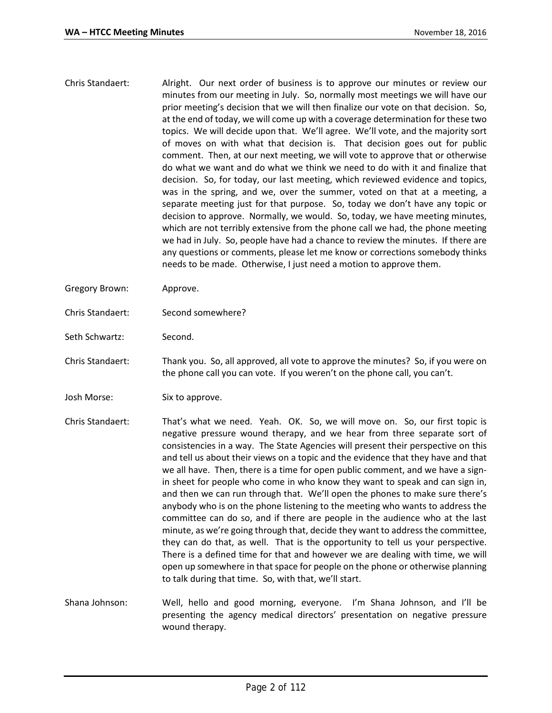- Chris Standaert: Alright. Our next order of business is to approve our minutes or review our minutes from our meeting in July. So, normally most meetings we will have our prior meeting's decision that we will then finalize our vote on that decision. So, at the end of today, we will come up with a coverage determination for these two topics. We will decide upon that. We'll agree. We'll vote, and the majority sort of moves on with what that decision is. That decision goes out for public comment. Then, at our next meeting, we will vote to approve that or otherwise do what we want and do what we think we need to do with it and finalize that decision. So, for today, our last meeting, which reviewed evidence and topics, was in the spring, and we, over the summer, voted on that at a meeting, a separate meeting just for that purpose. So, today we don't have any topic or decision to approve. Normally, we would. So, today, we have meeting minutes, which are not terribly extensive from the phone call we had, the phone meeting we had in July. So, people have had a chance to review the minutes. If there are any questions or comments, please let me know or corrections somebody thinks needs to be made. Otherwise, I just need a motion to approve them.
- Gregory Brown: Approve.
- Chris Standaert: Second somewhere?
- Seth Schwartz: Second.
- Chris Standaert: Thank you. So, all approved, all vote to approve the minutes? So, if you were on the phone call you can vote. If you weren't on the phone call, you can't.
- Josh Morse: Six to approve.
- Chris Standaert: That's what we need. Yeah. OK. So, we will move on. So, our first topic is negative pressure wound therapy, and we hear from three separate sort of consistencies in a way. The State Agencies will present their perspective on this and tell us about their views on a topic and the evidence that they have and that we all have. Then, there is a time for open public comment, and we have a signin sheet for people who come in who know they want to speak and can sign in, and then we can run through that. We'll open the phones to make sure there's anybody who is on the phone listening to the meeting who wants to address the committee can do so, and if there are people in the audience who at the last minute, as we're going through that, decide they want to address the committee, they can do that, as well. That is the opportunity to tell us your perspective. There is a defined time for that and however we are dealing with time, we will open up somewhere in that space for people on the phone or otherwise planning to talk during that time. So, with that, we'll start.
- Shana Johnson: Well, hello and good morning, everyone. I'm Shana Johnson, and I'll be presenting the agency medical directors' presentation on negative pressure wound therapy.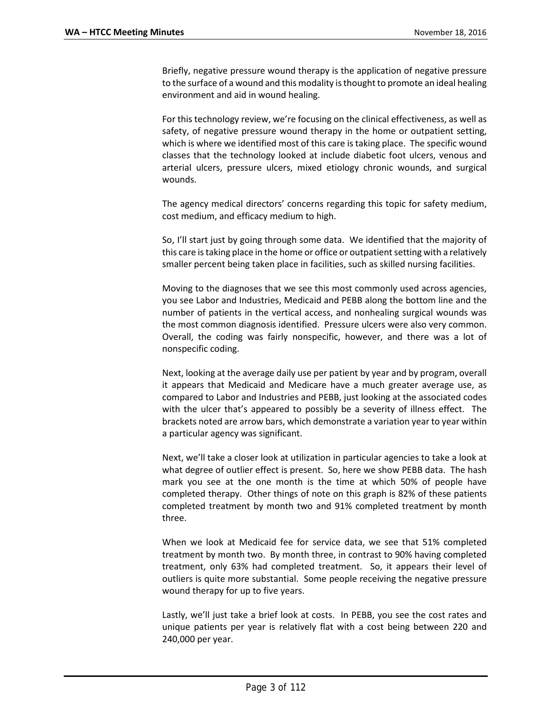Briefly, negative pressure wound therapy is the application of negative pressure to the surface of a wound and this modality is thought to promote an ideal healing environment and aid in wound healing.

For this technology review, we're focusing on the clinical effectiveness, as well as safety, of negative pressure wound therapy in the home or outpatient setting, which is where we identified most of this care is taking place. The specific wound classes that the technology looked at include diabetic foot ulcers, venous and arterial ulcers, pressure ulcers, mixed etiology chronic wounds, and surgical wounds.

The agency medical directors' concerns regarding this topic for safety medium, cost medium, and efficacy medium to high.

So, I'll start just by going through some data. We identified that the majority of this care is taking place in the home or office or outpatient setting with a relatively smaller percent being taken place in facilities, such as skilled nursing facilities.

Moving to the diagnoses that we see this most commonly used across agencies, you see Labor and Industries, Medicaid and PEBB along the bottom line and the number of patients in the vertical access, and nonhealing surgical wounds was the most common diagnosis identified. Pressure ulcers were also very common. Overall, the coding was fairly nonspecific, however, and there was a lot of nonspecific coding.

Next, looking at the average daily use per patient by year and by program, overall it appears that Medicaid and Medicare have a much greater average use, as compared to Labor and Industries and PEBB, just looking at the associated codes with the ulcer that's appeared to possibly be a severity of illness effect. The brackets noted are arrow bars, which demonstrate a variation year to year within a particular agency was significant.

Next, we'll take a closer look at utilization in particular agencies to take a look at what degree of outlier effect is present. So, here we show PEBB data. The hash mark you see at the one month is the time at which 50% of people have completed therapy. Other things of note on this graph is 82% of these patients completed treatment by month two and 91% completed treatment by month three.

When we look at Medicaid fee for service data, we see that 51% completed treatment by month two. By month three, in contrast to 90% having completed treatment, only 63% had completed treatment. So, it appears their level of outliers is quite more substantial. Some people receiving the negative pressure wound therapy for up to five years.

Lastly, we'll just take a brief look at costs. In PEBB, you see the cost rates and unique patients per year is relatively flat with a cost being between 220 and 240,000 per year.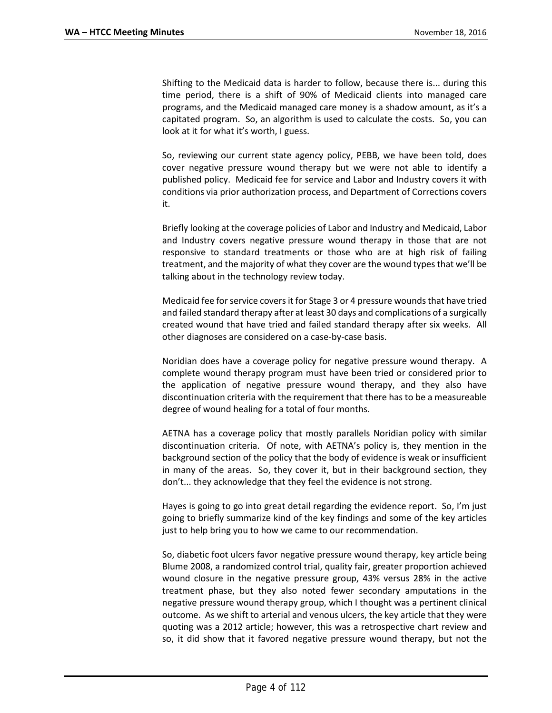Shifting to the Medicaid data is harder to follow, because there is... during this time period, there is a shift of 90% of Medicaid clients into managed care programs, and the Medicaid managed care money is a shadow amount, as it's a capitated program. So, an algorithm is used to calculate the costs. So, you can look at it for what it's worth, I guess.

So, reviewing our current state agency policy, PEBB, we have been told, does cover negative pressure wound therapy but we were not able to identify a published policy. Medicaid fee for service and Labor and Industry covers it with conditions via prior authorization process, and Department of Corrections covers it.

Briefly looking at the coverage policies of Labor and Industry and Medicaid, Labor and Industry covers negative pressure wound therapy in those that are not responsive to standard treatments or those who are at high risk of failing treatment, and the majority of what they cover are the wound types that we'll be talking about in the technology review today.

Medicaid fee for service covers it for Stage 3 or 4 pressure wounds that have tried and failed standard therapy after at least 30 days and complications of a surgically created wound that have tried and failed standard therapy after six weeks. All other diagnoses are considered on a case-by-case basis.

Noridian does have a coverage policy for negative pressure wound therapy. A complete wound therapy program must have been tried or considered prior to the application of negative pressure wound therapy, and they also have discontinuation criteria with the requirement that there has to be a measureable degree of wound healing for a total of four months.

AETNA has a coverage policy that mostly parallels Noridian policy with similar discontinuation criteria. Of note, with AETNA's policy is, they mention in the background section of the policy that the body of evidence is weak or insufficient in many of the areas. So, they cover it, but in their background section, they don't... they acknowledge that they feel the evidence is not strong.

Hayes is going to go into great detail regarding the evidence report. So, I'm just going to briefly summarize kind of the key findings and some of the key articles just to help bring you to how we came to our recommendation.

So, diabetic foot ulcers favor negative pressure wound therapy, key article being Blume 2008, a randomized control trial, quality fair, greater proportion achieved wound closure in the negative pressure group, 43% versus 28% in the active treatment phase, but they also noted fewer secondary amputations in the negative pressure wound therapy group, which I thought was a pertinent clinical outcome. As we shift to arterial and venous ulcers, the key article that they were quoting was a 2012 article; however, this was a retrospective chart review and so, it did show that it favored negative pressure wound therapy, but not the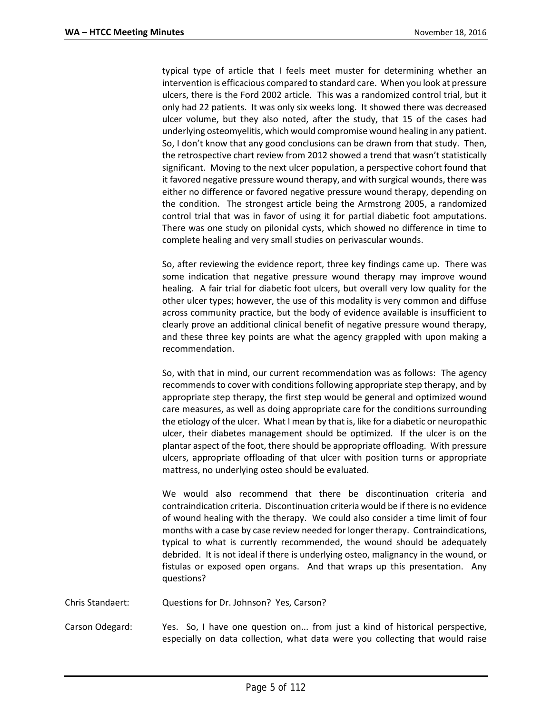typical type of article that I feels meet muster for determining whether an intervention is efficacious compared to standard care. When you look at pressure ulcers, there is the Ford 2002 article. This was a randomized control trial, but it only had 22 patients. It was only six weeks long. It showed there was decreased ulcer volume, but they also noted, after the study, that 15 of the cases had underlying osteomyelitis, which would compromise wound healing in any patient. So, I don't know that any good conclusions can be drawn from that study. Then, the retrospective chart review from 2012 showed a trend that wasn't statistically significant. Moving to the next ulcer population, a perspective cohort found that it favored negative pressure wound therapy, and with surgical wounds, there was either no difference or favored negative pressure wound therapy, depending on the condition. The strongest article being the Armstrong 2005, a randomized control trial that was in favor of using it for partial diabetic foot amputations. There was one study on pilonidal cysts, which showed no difference in time to complete healing and very small studies on perivascular wounds.

So, after reviewing the evidence report, three key findings came up. There was some indication that negative pressure wound therapy may improve wound healing. A fair trial for diabetic foot ulcers, but overall very low quality for the other ulcer types; however, the use of this modality is very common and diffuse across community practice, but the body of evidence available is insufficient to clearly prove an additional clinical benefit of negative pressure wound therapy, and these three key points are what the agency grappled with upon making a recommendation.

So, with that in mind, our current recommendation was as follows: The agency recommends to cover with conditions following appropriate step therapy, and by appropriate step therapy, the first step would be general and optimized wound care measures, as well as doing appropriate care for the conditions surrounding the etiology of the ulcer. What I mean by that is, like for a diabetic or neuropathic ulcer, their diabetes management should be optimized. If the ulcer is on the plantar aspect of the foot, there should be appropriate offloading. With pressure ulcers, appropriate offloading of that ulcer with position turns or appropriate mattress, no underlying osteo should be evaluated.

We would also recommend that there be discontinuation criteria and contraindication criteria. Discontinuation criteria would be if there is no evidence of wound healing with the therapy. We could also consider a time limit of four months with a case by case review needed for longer therapy. Contraindications, typical to what is currently recommended, the wound should be adequately debrided. It is not ideal if there is underlying osteo, malignancy in the wound, or fistulas or exposed open organs. And that wraps up this presentation. Any questions?

Chris Standaert: Questions for Dr. Johnson? Yes, Carson?

Carson Odegard: Yes. So, I have one question on... from just a kind of historical perspective, especially on data collection, what data were you collecting that would raise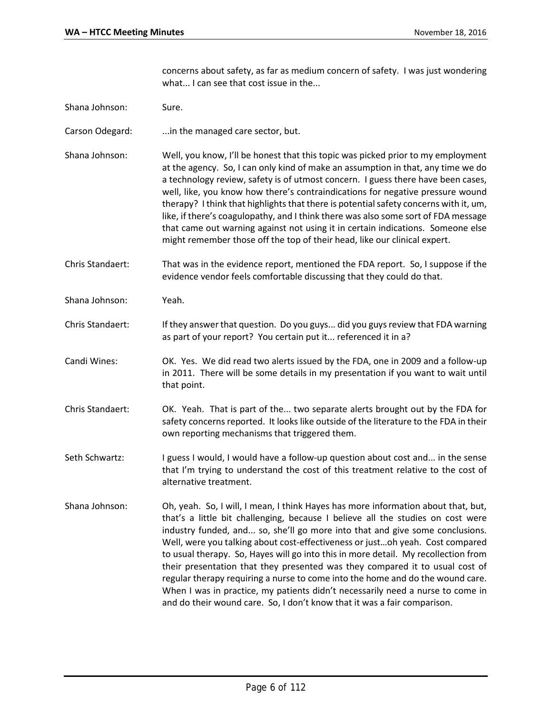concerns about safety, as far as medium concern of safety. I was just wondering what... I can see that cost issue in the...

- Shana Johnson: Sure.
- Carson Odegard: ...in the managed care sector, but.
- Shana Johnson: Well, you know, I'll be honest that this topic was picked prior to my employment at the agency. So, I can only kind of make an assumption in that, any time we do a technology review, safety is of utmost concern. I guess there have been cases, well, like, you know how there's contraindications for negative pressure wound therapy? I think that highlights that there is potential safety concerns with it, um, like, if there's coagulopathy, and I think there was also some sort of FDA message that came out warning against not using it in certain indications. Someone else might remember those off the top of their head, like our clinical expert.
- Chris Standaert: That was in the evidence report, mentioned the FDA report. So, I suppose if the evidence vendor feels comfortable discussing that they could do that.
- Shana Johnson: Yeah.
- Chris Standaert: If they answer that question. Do you guys... did you guys review that FDA warning as part of your report? You certain put it... referenced it in a?
- Candi Wines: OK. Yes. We did read two alerts issued by the FDA, one in 2009 and a follow-up in 2011. There will be some details in my presentation if you want to wait until that point.
- Chris Standaert: OK. Yeah. That is part of the... two separate alerts brought out by the FDA for safety concerns reported. It looks like outside of the literature to the FDA in their own reporting mechanisms that triggered them.
- Seth Schwartz: I guess I would, I would have a follow-up question about cost and... in the sense that I'm trying to understand the cost of this treatment relative to the cost of alternative treatment.
- Shana Johnson: Oh, yeah. So, I will, I mean, I think Hayes has more information about that, but, that's a little bit challenging, because I believe all the studies on cost were industry funded, and... so, she'll go more into that and give some conclusions. Well, were you talking about cost-effectiveness or just…oh yeah. Cost compared to usual therapy. So, Hayes will go into this in more detail. My recollection from their presentation that they presented was they compared it to usual cost of regular therapy requiring a nurse to come into the home and do the wound care. When I was in practice, my patients didn't necessarily need a nurse to come in and do their wound care. So, I don't know that it was a fair comparison.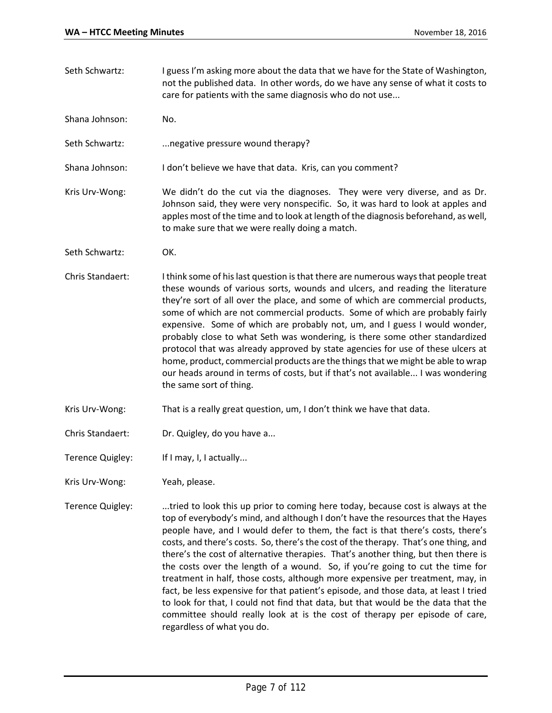- Seth Schwartz: I guess I'm asking more about the data that we have for the State of Washington, not the published data. In other words, do we have any sense of what it costs to care for patients with the same diagnosis who do not use...
- Shana Johnson: No.
- Seth Schwartz: ...negative pressure wound therapy?
- Shana Johnson: I don't believe we have that data. Kris, can you comment?
- Kris Urv-Wong: We didn't do the cut via the diagnoses. They were very diverse, and as Dr. Johnson said, they were very nonspecific. So, it was hard to look at apples and apples most of the time and to look at length of the diagnosis beforehand, as well, to make sure that we were really doing a match.
- Seth Schwartz: OK.
- Chris Standaert: I think some of his last question is that there are numerous ways that people treat these wounds of various sorts, wounds and ulcers, and reading the literature they're sort of all over the place, and some of which are commercial products, some of which are not commercial products. Some of which are probably fairly expensive. Some of which are probably not, um, and I guess I would wonder, probably close to what Seth was wondering, is there some other standardized protocol that was already approved by state agencies for use of these ulcers at home, product, commercial products are the things that we might be able to wrap our heads around in terms of costs, but if that's not available... I was wondering the same sort of thing.
- Kris Urv-Wong: That is a really great question, um, I don't think we have that data.
- Chris Standaert: Dr. Quigley, do you have a...
- Terence Quigley: If I may, I, I actually...
- Kris Urv-Wong: Yeah, please.
- Terence Quigley: ...tried to look this up prior to coming here today, because cost is always at the top of everybody's mind, and although I don't have the resources that the Hayes people have, and I would defer to them, the fact is that there's costs, there's costs, and there's costs. So, there's the cost of the therapy. That's one thing, and there's the cost of alternative therapies. That's another thing, but then there is the costs over the length of a wound. So, if you're going to cut the time for treatment in half, those costs, although more expensive per treatment, may, in fact, be less expensive for that patient's episode, and those data, at least I tried to look for that, I could not find that data, but that would be the data that the committee should really look at is the cost of therapy per episode of care, regardless of what you do.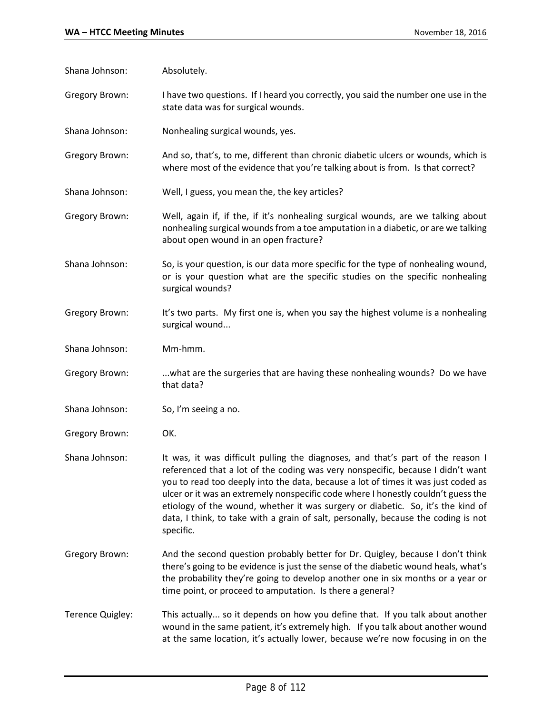| Shana Johnson:        | Absolutely.                                                                                                                                                                                                                                                                                                                                                                                                                                                                                                                        |
|-----------------------|------------------------------------------------------------------------------------------------------------------------------------------------------------------------------------------------------------------------------------------------------------------------------------------------------------------------------------------------------------------------------------------------------------------------------------------------------------------------------------------------------------------------------------|
| Gregory Brown:        | I have two questions. If I heard you correctly, you said the number one use in the<br>state data was for surgical wounds.                                                                                                                                                                                                                                                                                                                                                                                                          |
| Shana Johnson:        | Nonhealing surgical wounds, yes.                                                                                                                                                                                                                                                                                                                                                                                                                                                                                                   |
| Gregory Brown:        | And so, that's, to me, different than chronic diabetic ulcers or wounds, which is<br>where most of the evidence that you're talking about is from. Is that correct?                                                                                                                                                                                                                                                                                                                                                                |
| Shana Johnson:        | Well, I guess, you mean the, the key articles?                                                                                                                                                                                                                                                                                                                                                                                                                                                                                     |
| Gregory Brown:        | Well, again if, if the, if it's nonhealing surgical wounds, are we talking about<br>nonhealing surgical wounds from a toe amputation in a diabetic, or are we talking<br>about open wound in an open fracture?                                                                                                                                                                                                                                                                                                                     |
| Shana Johnson:        | So, is your question, is our data more specific for the type of nonhealing wound,<br>or is your question what are the specific studies on the specific nonhealing<br>surgical wounds?                                                                                                                                                                                                                                                                                                                                              |
| Gregory Brown:        | It's two parts. My first one is, when you say the highest volume is a nonhealing<br>surgical wound                                                                                                                                                                                                                                                                                                                                                                                                                                 |
| Shana Johnson:        | Mm-hmm.                                                                                                                                                                                                                                                                                                                                                                                                                                                                                                                            |
| Gregory Brown:        | what are the surgeries that are having these nonhealing wounds? Do we have<br>that data?                                                                                                                                                                                                                                                                                                                                                                                                                                           |
| Shana Johnson:        | So, I'm seeing a no.                                                                                                                                                                                                                                                                                                                                                                                                                                                                                                               |
| <b>Gregory Brown:</b> | OK.                                                                                                                                                                                                                                                                                                                                                                                                                                                                                                                                |
| Shana Johnson:        | It was, it was difficult pulling the diagnoses, and that's part of the reason I<br>referenced that a lot of the coding was very nonspecific, because I didn't want<br>you to read too deeply into the data, because a lot of times it was just coded as<br>ulcer or it was an extremely nonspecific code where I honestly couldn't guess the<br>etiology of the wound, whether it was surgery or diabetic. So, it's the kind of<br>data, I think, to take with a grain of salt, personally, because the coding is not<br>specific. |
| Gregory Brown:        | And the second question probably better for Dr. Quigley, because I don't think<br>there's going to be evidence is just the sense of the diabetic wound heals, what's<br>the probability they're going to develop another one in six months or a year or<br>time point, or proceed to amputation. Is there a general?                                                                                                                                                                                                               |
| Terence Quigley:      | This actually so it depends on how you define that. If you talk about another<br>wound in the same patient, it's extremely high. If you talk about another wound<br>at the same location, it's actually lower, because we're now focusing in on the                                                                                                                                                                                                                                                                                |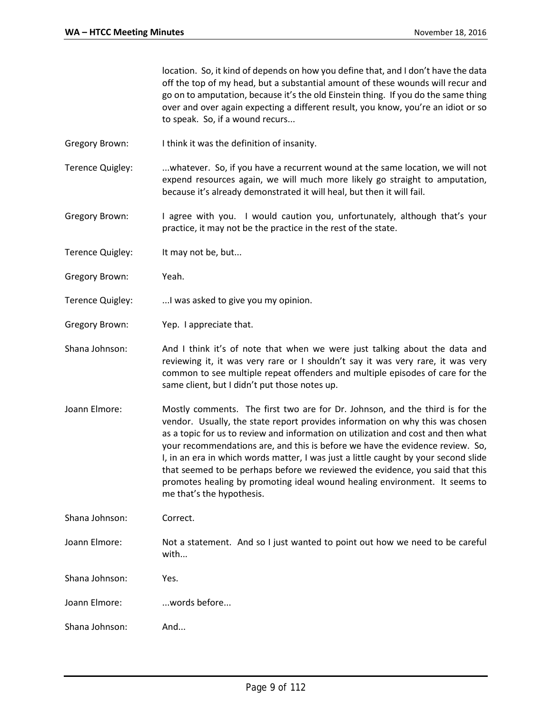location. So, it kind of depends on how you define that, and I don't have the data off the top of my head, but a substantial amount of these wounds will recur and go on to amputation, because it's the old Einstein thing. If you do the same thing over and over again expecting a different result, you know, you're an idiot or so to speak. So, if a wound recurs...

- Gregory Brown: I think it was the definition of insanity.
- Terence Quigley: ...whatever. So, if you have a recurrent wound at the same location, we will not expend resources again, we will much more likely go straight to amputation, because it's already demonstrated it will heal, but then it will fail.
- Gregory Brown: I agree with you. I would caution you, unfortunately, although that's your practice, it may not be the practice in the rest of the state.
- Terence Quigley: It may not be, but...
- Gregory Brown: Yeah.
- Terence Quigley: ...I was asked to give you my opinion.
- Gregory Brown: Yep. I appreciate that.
- Shana Johnson: And I think it's of note that when we were just talking about the data and reviewing it, it was very rare or I shouldn't say it was very rare, it was very common to see multiple repeat offenders and multiple episodes of care for the same client, but I didn't put those notes up.
- Joann Elmore: Mostly comments. The first two are for Dr. Johnson, and the third is for the vendor. Usually, the state report provides information on why this was chosen as a topic for us to review and information on utilization and cost and then what your recommendations are, and this is before we have the evidence review. So, I, in an era in which words matter, I was just a little caught by your second slide that seemed to be perhaps before we reviewed the evidence, you said that this promotes healing by promoting ideal wound healing environment. It seems to me that's the hypothesis.

| Shana Johnson: | Correct.                                                                             |
|----------------|--------------------------------------------------------------------------------------|
| Joann Elmore:  | Not a statement. And so I just wanted to point out how we need to be careful<br>with |
| Shana Johnson: | Yes.                                                                                 |
| Joann Elmore:  | words before                                                                         |

Shana Johnson: And...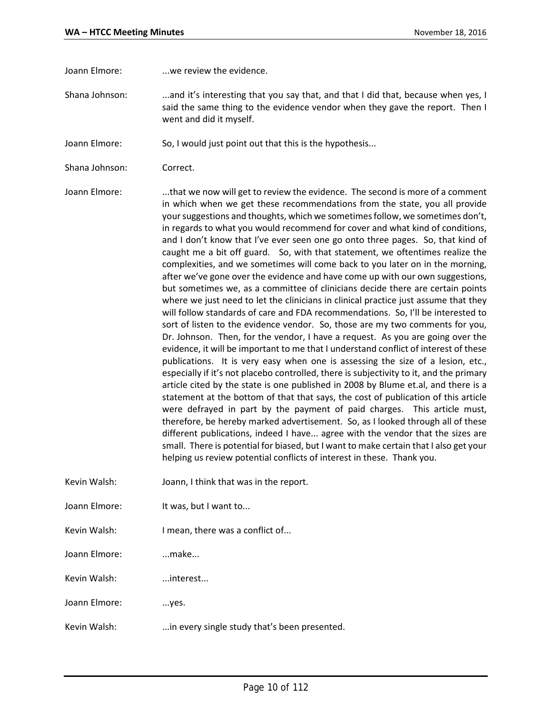Joann Elmore: ...we review the evidence.

Shana Johnson: ...and it's interesting that you say that, and that I did that, because when yes, I said the same thing to the evidence vendor when they gave the report. Then I went and did it myself.

- Joann Elmore: So, I would just point out that this is the hypothesis...
- Shana Johnson: Correct.

Joann Elmore: ....that we now will get to review the evidence. The second is more of a comment in which when we get these recommendations from the state, you all provide your suggestions and thoughts, which we sometimes follow, we sometimes don't, in regards to what you would recommend for cover and what kind of conditions, and I don't know that I've ever seen one go onto three pages. So, that kind of caught me a bit off guard. So, with that statement, we oftentimes realize the complexities, and we sometimes will come back to you later on in the morning, after we've gone over the evidence and have come up with our own suggestions, but sometimes we, as a committee of clinicians decide there are certain points where we just need to let the clinicians in clinical practice just assume that they will follow standards of care and FDA recommendations. So, I'll be interested to sort of listen to the evidence vendor. So, those are my two comments for you, Dr. Johnson. Then, for the vendor, I have a request. As you are going over the evidence, it will be important to me that I understand conflict of interest of these publications. It is very easy when one is assessing the size of a lesion, etc., especially if it's not placebo controlled, there is subjectivity to it, and the primary article cited by the state is one published in 2008 by Blume et.al, and there is a statement at the bottom of that that says, the cost of publication of this article were defrayed in part by the payment of paid charges. This article must, therefore, be hereby marked advertisement. So, as I looked through all of these different publications, indeed I have... agree with the vendor that the sizes are small. There is potential for biased, but I want to make certain that I also get your helping us review potential conflicts of interest in these. Thank you.

- Kevin Walsh: Joann, I think that was in the report.
- Joann Elmore: It was, but I want to...
- Kevin Walsh: I mean, there was a conflict of...
- Joann Elmore: ...make...
- Kevin Walsh: ...interest...
- Joann Elmore: ...yes.
- Kevin Walsh: ...in every single study that's been presented.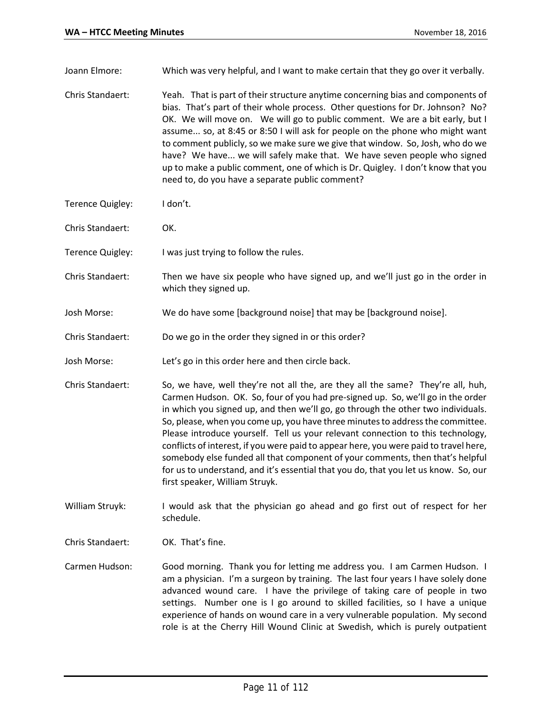Joann Elmore: Which was very helpful, and I want to make certain that they go over it verbally.

Chris Standaert: Yeah. That is part of their structure anytime concerning bias and components of bias. That's part of their whole process. Other questions for Dr. Johnson? No? OK. We will move on. We will go to public comment. We are a bit early, but I assume... so, at 8:45 or 8:50 I will ask for people on the phone who might want to comment publicly, so we make sure we give that window. So, Josh, who do we have? We have... we will safely make that. We have seven people who signed up to make a public comment, one of which is Dr. Quigley. I don't know that you need to, do you have a separate public comment?

- Terence Quigley: I don't.
- Chris Standaert: OK.
- Terence Quigley: I was just trying to follow the rules.
- Chris Standaert: Then we have six people who have signed up, and we'll just go in the order in which they signed up.
- Josh Morse: We do have some [background noise] that may be [background noise].
- Chris Standaert: Do we go in the order they signed in or this order?
- Josh Morse: Let's go in this order here and then circle back.
- Chris Standaert: So, we have, well they're not all the, are they all the same? They're all, huh, Carmen Hudson. OK. So, four of you had pre-signed up. So, we'll go in the order in which you signed up, and then we'll go, go through the other two individuals. So, please, when you come up, you have three minutes to address the committee. Please introduce yourself. Tell us your relevant connection to this technology, conflicts of interest, if you were paid to appear here, you were paid to travel here, somebody else funded all that component of your comments, then that's helpful for us to understand, and it's essential that you do, that you let us know. So, our first speaker, William Struyk.

William Struyk: I would ask that the physician go ahead and go first out of respect for her schedule.

Chris Standaert: OK. That's fine.

Carmen Hudson: Good morning. Thank you for letting me address you. I am Carmen Hudson. I am a physician. I'm a surgeon by training. The last four years I have solely done advanced wound care. I have the privilege of taking care of people in two settings. Number one is I go around to skilled facilities, so I have a unique experience of hands on wound care in a very vulnerable population. My second role is at the Cherry Hill Wound Clinic at Swedish, which is purely outpatient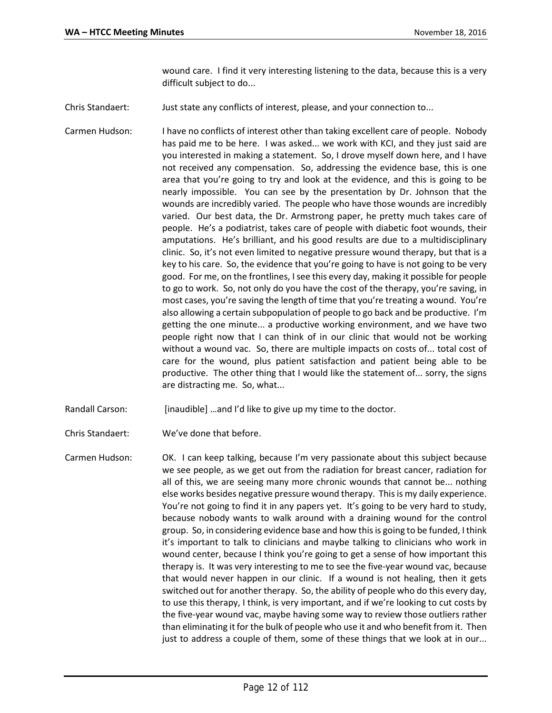wound care. I find it very interesting listening to the data, because this is a very difficult subject to do...

Chris Standaert: Just state any conflicts of interest, please, and your connection to...

Carmen Hudson: I have no conflicts of interest other than taking excellent care of people. Nobody has paid me to be here. I was asked... we work with KCI, and they just said are you interested in making a statement. So, I drove myself down here, and I have not received any compensation. So, addressing the evidence base, this is one area that you're going to try and look at the evidence, and this is going to be nearly impossible. You can see by the presentation by Dr. Johnson that the wounds are incredibly varied. The people who have those wounds are incredibly varied. Our best data, the Dr. Armstrong paper, he pretty much takes care of people. He's a podiatrist, takes care of people with diabetic foot wounds, their amputations. He's brilliant, and his good results are due to a multidisciplinary clinic. So, it's not even limited to negative pressure wound therapy, but that is a key to his care. So, the evidence that you're going to have is not going to be very good. For me, on the frontlines, I see this every day, making it possible for people to go to work. So, not only do you have the cost of the therapy, you're saving, in most cases, you're saving the length of time that you're treating a wound. You're also allowing a certain subpopulation of people to go back and be productive. I'm getting the one minute... a productive working environment, and we have two people right now that I can think of in our clinic that would not be working without a wound vac. So, there are multiple impacts on costs of... total cost of care for the wound, plus patient satisfaction and patient being able to be productive. The other thing that I would like the statement of... sorry, the signs are distracting me. So, what...

- Randall Carson: [inaudible] …and I'd like to give up my time to the doctor.
- Chris Standaert: We've done that before.

Carmen Hudson: OK. I can keep talking, because I'm very passionate about this subject because we see people, as we get out from the radiation for breast cancer, radiation for all of this, we are seeing many more chronic wounds that cannot be... nothing else works besides negative pressure wound therapy. This is my daily experience. You're not going to find it in any papers yet. It's going to be very hard to study, because nobody wants to walk around with a draining wound for the control group. So, in considering evidence base and how this is going to be funded, I think it's important to talk to clinicians and maybe talking to clinicians who work in wound center, because I think you're going to get a sense of how important this therapy is. It was very interesting to me to see the five-year wound vac, because that would never happen in our clinic. If a wound is not healing, then it gets switched out for another therapy. So, the ability of people who do this every day, to use this therapy, I think, is very important, and if we're looking to cut costs by the five-year wound vac, maybe having some way to review those outliers rather than eliminating it for the bulk of people who use it and who benefit from it. Then just to address a couple of them, some of these things that we look at in our...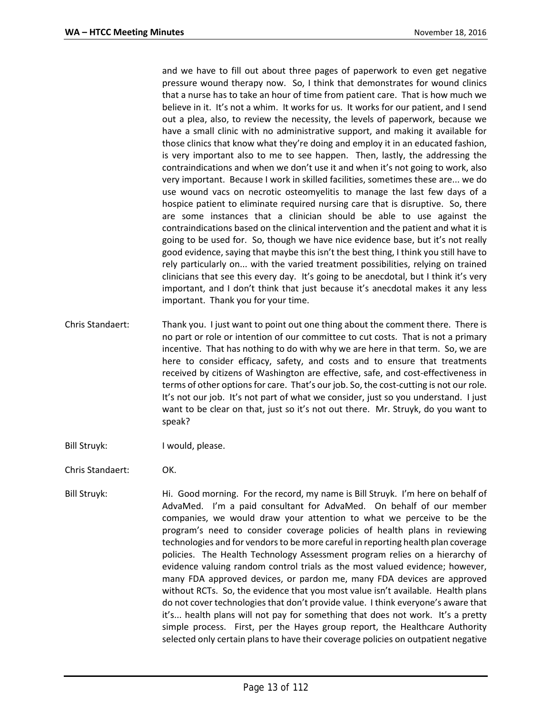and we have to fill out about three pages of paperwork to even get negative pressure wound therapy now. So, I think that demonstrates for wound clinics that a nurse has to take an hour of time from patient care. That is how much we believe in it. It's not a whim. It works for us. It works for our patient, and I send out a plea, also, to review the necessity, the levels of paperwork, because we have a small clinic with no administrative support, and making it available for those clinics that know what they're doing and employ it in an educated fashion, is very important also to me to see happen. Then, lastly, the addressing the contraindications and when we don't use it and when it's not going to work, also very important. Because I work in skilled facilities, sometimes these are... we do use wound vacs on necrotic osteomyelitis to manage the last few days of a hospice patient to eliminate required nursing care that is disruptive. So, there are some instances that a clinician should be able to use against the contraindications based on the clinical intervention and the patient and what it is going to be used for. So, though we have nice evidence base, but it's not really good evidence, saying that maybe this isn't the best thing, I think you still have to rely particularly on... with the varied treatment possibilities, relying on trained clinicians that see this every day. It's going to be anecdotal, but I think it's very important, and I don't think that just because it's anecdotal makes it any less important. Thank you for your time.

- Chris Standaert: Thank you. I just want to point out one thing about the comment there. There is no part or role or intention of our committee to cut costs. That is not a primary incentive. That has nothing to do with why we are here in that term. So, we are here to consider efficacy, safety, and costs and to ensure that treatments received by citizens of Washington are effective, safe, and cost-effectiveness in terms of other options for care. That's our job. So, the cost-cutting is not our role. It's not our job. It's not part of what we consider, just so you understand. I just want to be clear on that, just so it's not out there. Mr. Struyk, do you want to speak?
- Bill Struyk: I would, please.
- Chris Standaert: OK.
- Bill Struyk: Hi. Good morning. For the record, my name is Bill Struyk. I'm here on behalf of AdvaMed. I'm a paid consultant for AdvaMed. On behalf of our member companies, we would draw your attention to what we perceive to be the program's need to consider coverage policies of health plans in reviewing technologies and for vendors to be more careful in reporting health plan coverage policies. The Health Technology Assessment program relies on a hierarchy of evidence valuing random control trials as the most valued evidence; however, many FDA approved devices, or pardon me, many FDA devices are approved without RCTs. So, the evidence that you most value isn't available. Health plans do not cover technologies that don't provide value. I think everyone's aware that it's... health plans will not pay for something that does not work. It's a pretty simple process. First, per the Hayes group report, the Healthcare Authority selected only certain plans to have their coverage policies on outpatient negative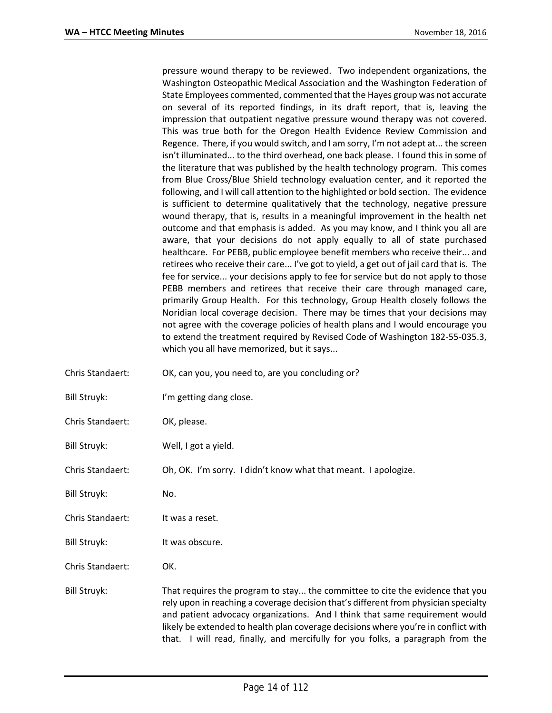pressure wound therapy to be reviewed. Two independent organizations, the Washington Osteopathic Medical Association and the Washington Federation of State Employees commented, commented that the Hayes group was not accurate on several of its reported findings, in its draft report, that is, leaving the impression that outpatient negative pressure wound therapy was not covered. This was true both for the Oregon Health Evidence Review Commission and Regence. There, if you would switch, and I am sorry, I'm not adept at... the screen isn't illuminated... to the third overhead, one back please. I found this in some of the literature that was published by the health technology program. This comes from Blue Cross/Blue Shield technology evaluation center, and it reported the following, and I will call attention to the highlighted or bold section. The evidence is sufficient to determine qualitatively that the technology, negative pressure wound therapy, that is, results in a meaningful improvement in the health net outcome and that emphasis is added. As you may know, and I think you all are aware, that your decisions do not apply equally to all of state purchased healthcare. For PEBB, public employee benefit members who receive their... and retirees who receive their care... I've got to yield, a get out of jail card that is. The fee for service... your decisions apply to fee for service but do not apply to those PEBB members and retirees that receive their care through managed care, primarily Group Health. For this technology, Group Health closely follows the Noridian local coverage decision. There may be times that your decisions may not agree with the coverage policies of health plans and I would encourage you to extend the treatment required by Revised Code of Washington 182-55-035.3, which you all have memorized, but it says...

| Chris Standaert:    | OK, can you, you need to, are you concluding or?                                                                                                                                                                                                                                                                                                                                                                            |
|---------------------|-----------------------------------------------------------------------------------------------------------------------------------------------------------------------------------------------------------------------------------------------------------------------------------------------------------------------------------------------------------------------------------------------------------------------------|
| <b>Bill Struyk:</b> | I'm getting dang close.                                                                                                                                                                                                                                                                                                                                                                                                     |
| Chris Standaert:    | OK, please.                                                                                                                                                                                                                                                                                                                                                                                                                 |
| <b>Bill Struyk:</b> | Well, I got a yield.                                                                                                                                                                                                                                                                                                                                                                                                        |
| Chris Standaert:    | Oh, OK. I'm sorry. I didn't know what that meant. I apologize.                                                                                                                                                                                                                                                                                                                                                              |
| <b>Bill Struyk:</b> | No.                                                                                                                                                                                                                                                                                                                                                                                                                         |
| Chris Standaert:    | It was a reset.                                                                                                                                                                                                                                                                                                                                                                                                             |
| <b>Bill Struyk:</b> | It was obscure.                                                                                                                                                                                                                                                                                                                                                                                                             |
| Chris Standaert:    | OK.                                                                                                                                                                                                                                                                                                                                                                                                                         |
| <b>Bill Struyk:</b> | That requires the program to stay the committee to cite the evidence that you<br>rely upon in reaching a coverage decision that's different from physician specialty<br>and patient advocacy organizations. And I think that same requirement would<br>likely be extended to health plan coverage decisions where you're in conflict with<br>that. I will read, finally, and mercifully for you folks, a paragraph from the |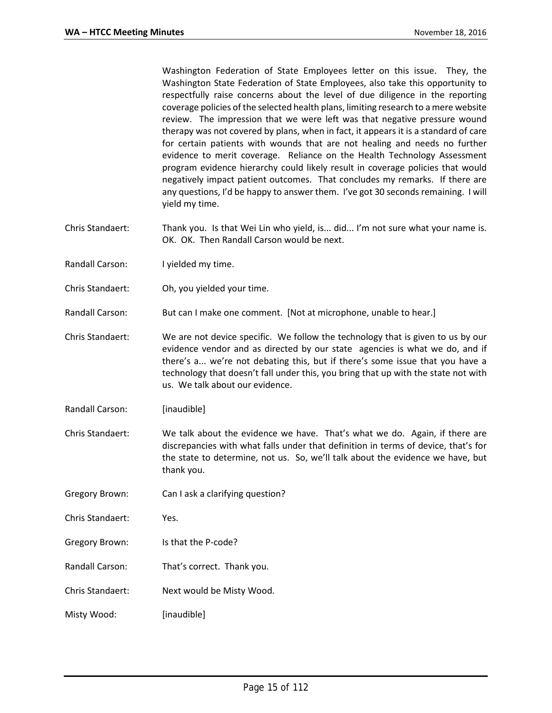Washington Federation of State Employees letter on this issue. They, the Washington State Federation of State Employees, also take this opportunity to respectfully raise concerns about the level of due diligence in the reporting coverage policies of the selected health plans, limiting research to a mere website review. The impression that we were left was that negative pressure wound therapy was not covered by plans, when in fact, it appears it is a standard of care for certain patients with wounds that are not healing and needs no further evidence to merit coverage. Reliance on the Health Technology Assessment program evidence hierarchy could likely result in coverage policies that would negatively impact patient outcomes. That concludes my remarks. If there are any questions, I'd be happy to answer them. I've got 30 seconds remaining. I will yield my time.

- Chris Standaert: Thank you. Is that Wei Lin who yield, is... did... I'm not sure what your name is. OK. OK. Then Randall Carson would be next.
- Randall Carson: I yielded my time.
- Chris Standaert: Oh, you yielded your time.
- Randall Carson: But can I make one comment. [Not at microphone, unable to hear.]
- Chris Standaert: We are not device specific. We follow the technology that is given to us by our evidence vendor and as directed by our state agencies is what we do, and if there's a... we're not debating this, but if there's some issue that you have a technology that doesn't fall under this, you bring that up with the state not with us. We talk about our evidence.
- Randall Carson: [inaudible]
- Chris Standaert: We talk about the evidence we have. That's what we do. Again, if there are discrepancies with what falls under that definition in terms of device, that's for the state to determine, not us. So, we'll talk about the evidence we have, but thank you.
- Gregory Brown: Can I ask a clarifying question?
- Chris Standaert: Yes.
- Gregory Brown: Is that the P-code?
- Randall Carson: That's correct. Thank you.
- Chris Standaert: Next would be Misty Wood.
- Misty Wood: [inaudible]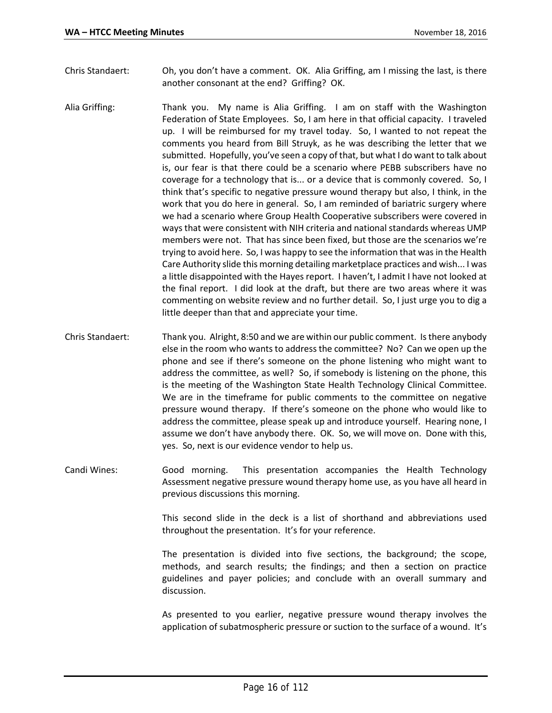- Chris Standaert: Oh, you don't have a comment. OK. Alia Griffing, am I missing the last, is there another consonant at the end? Griffing? OK.
- Alia Griffing: Thank you. My name is Alia Griffing. I am on staff with the Washington Federation of State Employees. So, I am here in that official capacity. I traveled up. I will be reimbursed for my travel today. So, I wanted to not repeat the comments you heard from Bill Struyk, as he was describing the letter that we submitted. Hopefully, you've seen a copy of that, but what I do want to talk about is, our fear is that there could be a scenario where PEBB subscribers have no coverage for a technology that is... or a device that is commonly covered. So, I think that's specific to negative pressure wound therapy but also, I think, in the work that you do here in general. So, I am reminded of bariatric surgery where we had a scenario where Group Health Cooperative subscribers were covered in ways that were consistent with NIH criteria and national standards whereas UMP members were not. That has since been fixed, but those are the scenarios we're trying to avoid here. So, I was happy to see the information that was in the Health Care Authority slide this morning detailing marketplace practices and wish... I was a little disappointed with the Hayes report. I haven't, I admit I have not looked at the final report. I did look at the draft, but there are two areas where it was commenting on website review and no further detail. So, I just urge you to dig a little deeper than that and appreciate your time.
- Chris Standaert: Thank you. Alright, 8:50 and we are within our public comment. Is there anybody else in the room who wants to address the committee? No? Can we open up the phone and see if there's someone on the phone listening who might want to address the committee, as well? So, if somebody is listening on the phone, this is the meeting of the Washington State Health Technology Clinical Committee. We are in the timeframe for public comments to the committee on negative pressure wound therapy. If there's someone on the phone who would like to address the committee, please speak up and introduce yourself. Hearing none, I assume we don't have anybody there. OK. So, we will move on. Done with this, yes. So, next is our evidence vendor to help us.
- Candi Wines: Good morning. This presentation accompanies the Health Technology Assessment negative pressure wound therapy home use, as you have all heard in previous discussions this morning.

This second slide in the deck is a list of shorthand and abbreviations used throughout the presentation. It's for your reference.

The presentation is divided into five sections, the background; the scope, methods, and search results; the findings; and then a section on practice guidelines and payer policies; and conclude with an overall summary and discussion.

As presented to you earlier, negative pressure wound therapy involves the application of subatmospheric pressure or suction to the surface of a wound. It's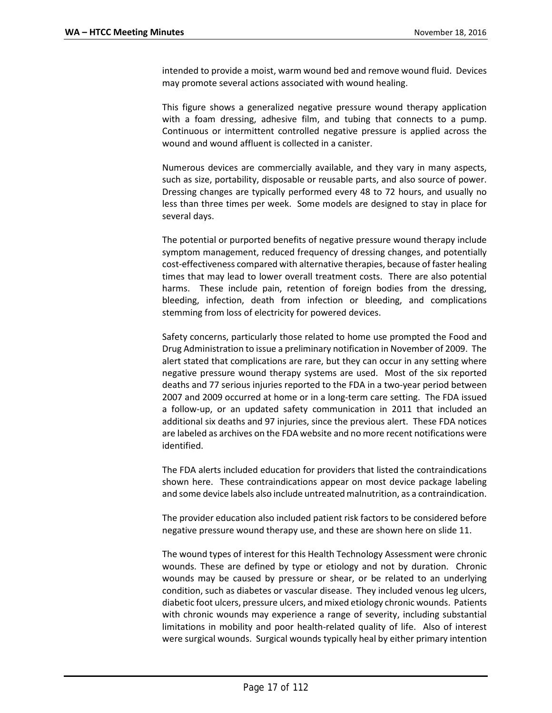intended to provide a moist, warm wound bed and remove wound fluid. Devices may promote several actions associated with wound healing.

This figure shows a generalized negative pressure wound therapy application with a foam dressing, adhesive film, and tubing that connects to a pump. Continuous or intermittent controlled negative pressure is applied across the wound and wound affluent is collected in a canister.

Numerous devices are commercially available, and they vary in many aspects, such as size, portability, disposable or reusable parts, and also source of power. Dressing changes are typically performed every 48 to 72 hours, and usually no less than three times per week. Some models are designed to stay in place for several days.

The potential or purported benefits of negative pressure wound therapy include symptom management, reduced frequency of dressing changes, and potentially cost-effectiveness compared with alternative therapies, because of faster healing times that may lead to lower overall treatment costs. There are also potential harms. These include pain, retention of foreign bodies from the dressing, bleeding, infection, death from infection or bleeding, and complications stemming from loss of electricity for powered devices.

Safety concerns, particularly those related to home use prompted the Food and Drug Administration to issue a preliminary notification in November of 2009. The alert stated that complications are rare, but they can occur in any setting where negative pressure wound therapy systems are used. Most of the six reported deaths and 77 serious injuries reported to the FDA in a two-year period between 2007 and 2009 occurred at home or in a long-term care setting. The FDA issued a follow-up, or an updated safety communication in 2011 that included an additional six deaths and 97 injuries, since the previous alert. These FDA notices are labeled as archives on the FDA website and no more recent notifications were identified.

The FDA alerts included education for providers that listed the contraindications shown here. These contraindications appear on most device package labeling and some device labels also include untreated malnutrition, as a contraindication.

The provider education also included patient risk factors to be considered before negative pressure wound therapy use, and these are shown here on slide 11.

The wound types of interest for this Health Technology Assessment were chronic wounds. These are defined by type or etiology and not by duration. Chronic wounds may be caused by pressure or shear, or be related to an underlying condition, such as diabetes or vascular disease. They included venous leg ulcers, diabetic foot ulcers, pressure ulcers, and mixed etiology chronic wounds. Patients with chronic wounds may experience a range of severity, including substantial limitations in mobility and poor health-related quality of life. Also of interest were surgical wounds. Surgical wounds typically heal by either primary intention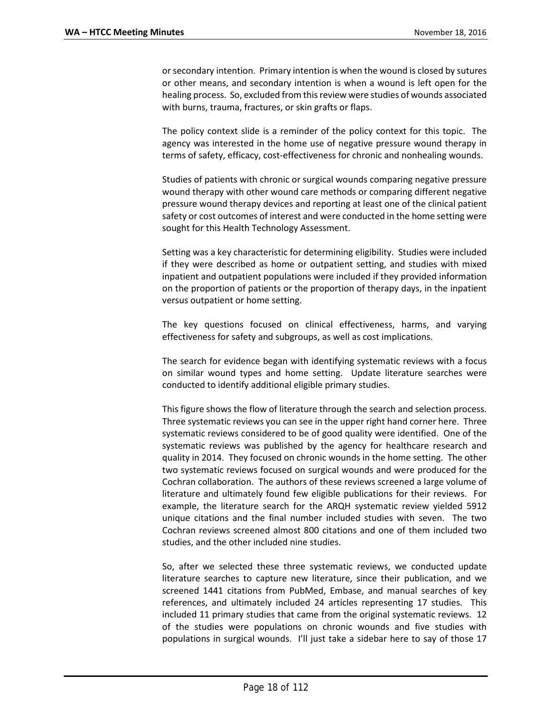or secondary intention. Primary intention is when the wound is closed by sutures or other means, and secondary intention is when a wound is left open for the healing process. So, excluded from this review were studies of wounds associated with burns, trauma, fractures, or skin grafts or flaps.

The policy context slide is a reminder of the policy context for this topic. The agency was interested in the home use of negative pressure wound therapy in terms of safety, efficacy, cost-effectiveness for chronic and nonhealing wounds.

Studies of patients with chronic or surgical wounds comparing negative pressure wound therapy with other wound care methods or comparing different negative pressure wound therapy devices and reporting at least one of the clinical patient safety or cost outcomes of interest and were conducted in the home setting were sought for this Health Technology Assessment.

Setting was a key characteristic for determining eligibility. Studies were included if they were described as home or outpatient setting, and studies with mixed inpatient and outpatient populations were included if they provided information on the proportion of patients or the proportion of therapy days, in the inpatient versus outpatient or home setting.

The key questions focused on clinical effectiveness, harms, and varying effectiveness for safety and subgroups, as well as cost implications.

The search for evidence began with identifying systematic reviews with a focus on similar wound types and home setting. Update literature searches were conducted to identify additional eligible primary studies.

This figure shows the flow of literature through the search and selection process. Three systematic reviews you can see in the upper right hand corner here. Three systematic reviews considered to be of good quality were identified. One of the systematic reviews was published by the agency for healthcare research and quality in 2014. They focused on chronic wounds in the home setting. The other two systematic reviews focused on surgical wounds and were produced for the Cochran collaboration. The authors of these reviews screened a large volume of literature and ultimately found few eligible publications for their reviews. For example, the literature search for the ARQH systematic review yielded 5912 unique citations and the final number included studies with seven. The two Cochran reviews screened almost 800 citations and one of them included two studies, and the other included nine studies.

So, after we selected these three systematic reviews, we conducted update literature searches to capture new literature, since their publication, and we screened 1441 citations from PubMed, Embase, and manual searches of key references, and ultimately included 24 articles representing 17 studies. This included 11 primary studies that came from the original systematic reviews. 12 of the studies were populations on chronic wounds and five studies with populations in surgical wounds. I'll just take a sidebar here to say of those 17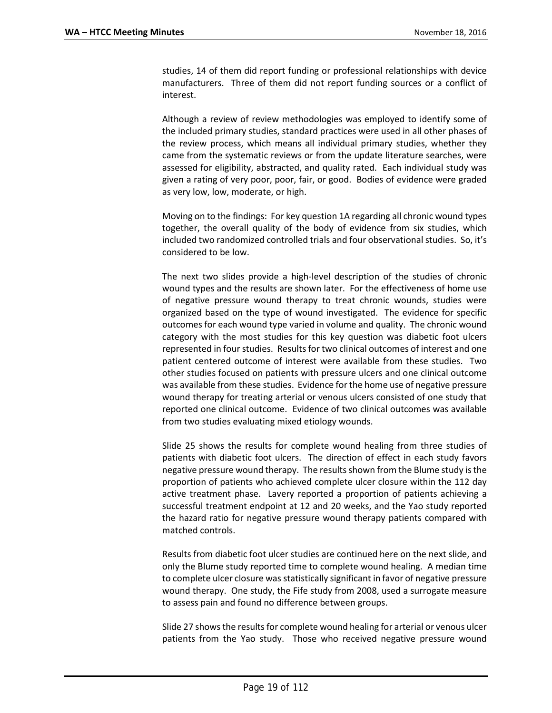studies, 14 of them did report funding or professional relationships with device manufacturers. Three of them did not report funding sources or a conflict of interest.

Although a review of review methodologies was employed to identify some of the included primary studies, standard practices were used in all other phases of the review process, which means all individual primary studies, whether they came from the systematic reviews or from the update literature searches, were assessed for eligibility, abstracted, and quality rated. Each individual study was given a rating of very poor, poor, fair, or good. Bodies of evidence were graded as very low, low, moderate, or high.

Moving on to the findings: For key question 1A regarding all chronic wound types together, the overall quality of the body of evidence from six studies, which included two randomized controlled trials and four observational studies. So, it's considered to be low.

The next two slides provide a high-level description of the studies of chronic wound types and the results are shown later. For the effectiveness of home use of negative pressure wound therapy to treat chronic wounds, studies were organized based on the type of wound investigated. The evidence for specific outcomes for each wound type varied in volume and quality. The chronic wound category with the most studies for this key question was diabetic foot ulcers represented in four studies. Results for two clinical outcomes of interest and one patient centered outcome of interest were available from these studies. Two other studies focused on patients with pressure ulcers and one clinical outcome was available from these studies. Evidence for the home use of negative pressure wound therapy for treating arterial or venous ulcers consisted of one study that reported one clinical outcome. Evidence of two clinical outcomes was available from two studies evaluating mixed etiology wounds.

Slide 25 shows the results for complete wound healing from three studies of patients with diabetic foot ulcers. The direction of effect in each study favors negative pressure wound therapy. The results shown from the Blume study is the proportion of patients who achieved complete ulcer closure within the 112 day active treatment phase. Lavery reported a proportion of patients achieving a successful treatment endpoint at 12 and 20 weeks, and the Yao study reported the hazard ratio for negative pressure wound therapy patients compared with matched controls.

Results from diabetic foot ulcer studies are continued here on the next slide, and only the Blume study reported time to complete wound healing. A median time to complete ulcer closure was statistically significant in favor of negative pressure wound therapy. One study, the Fife study from 2008, used a surrogate measure to assess pain and found no difference between groups.

Slide 27 shows the results for complete wound healing for arterial or venous ulcer patients from the Yao study. Those who received negative pressure wound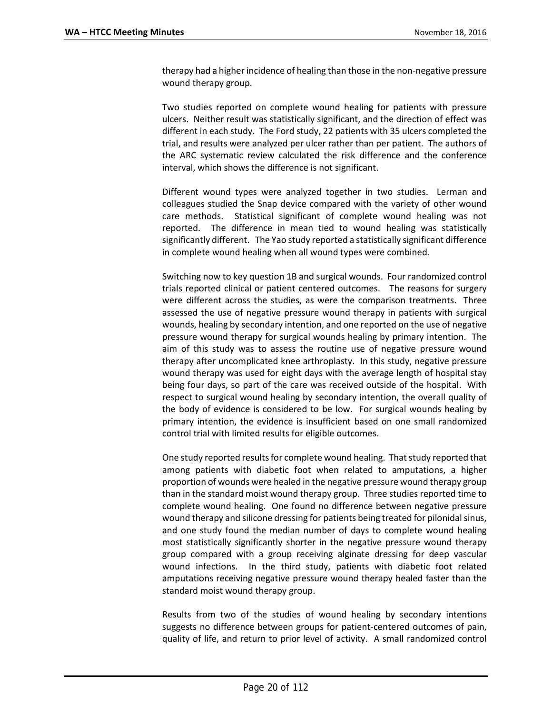therapy had a higher incidence of healing than those in the non-negative pressure wound therapy group.

Two studies reported on complete wound healing for patients with pressure ulcers. Neither result was statistically significant, and the direction of effect was different in each study. The Ford study, 22 patients with 35 ulcers completed the trial, and results were analyzed per ulcer rather than per patient. The authors of the ARC systematic review calculated the risk difference and the conference interval, which shows the difference is not significant.

Different wound types were analyzed together in two studies. Lerman and colleagues studied the Snap device compared with the variety of other wound care methods. Statistical significant of complete wound healing was not reported. The difference in mean tied to wound healing was statistically significantly different. The Yao study reported a statistically significant difference in complete wound healing when all wound types were combined.

Switching now to key question 1B and surgical wounds. Four randomized control trials reported clinical or patient centered outcomes. The reasons for surgery were different across the studies, as were the comparison treatments. Three assessed the use of negative pressure wound therapy in patients with surgical wounds, healing by secondary intention, and one reported on the use of negative pressure wound therapy for surgical wounds healing by primary intention. The aim of this study was to assess the routine use of negative pressure wound therapy after uncomplicated knee arthroplasty. In this study, negative pressure wound therapy was used for eight days with the average length of hospital stay being four days, so part of the care was received outside of the hospital. With respect to surgical wound healing by secondary intention, the overall quality of the body of evidence is considered to be low. For surgical wounds healing by primary intention, the evidence is insufficient based on one small randomized control trial with limited results for eligible outcomes.

One study reported results for complete wound healing. That study reported that among patients with diabetic foot when related to amputations, a higher proportion of wounds were healed in the negative pressure wound therapy group than in the standard moist wound therapy group. Three studies reported time to complete wound healing. One found no difference between negative pressure wound therapy and silicone dressing for patients being treated for pilonidal sinus, and one study found the median number of days to complete wound healing most statistically significantly shorter in the negative pressure wound therapy group compared with a group receiving alginate dressing for deep vascular wound infections. In the third study, patients with diabetic foot related amputations receiving negative pressure wound therapy healed faster than the standard moist wound therapy group.

Results from two of the studies of wound healing by secondary intentions suggests no difference between groups for patient-centered outcomes of pain, quality of life, and return to prior level of activity. A small randomized control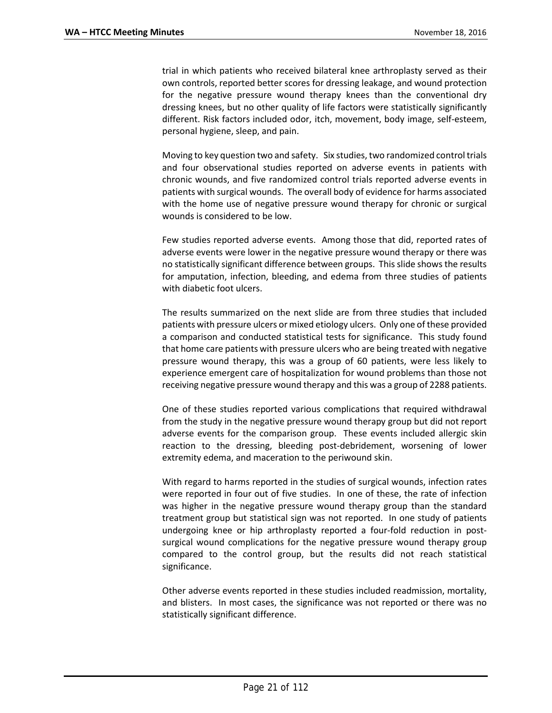trial in which patients who received bilateral knee arthroplasty served as their own controls, reported better scores for dressing leakage, and wound protection for the negative pressure wound therapy knees than the conventional dry dressing knees, but no other quality of life factors were statistically significantly different. Risk factors included odor, itch, movement, body image, self-esteem, personal hygiene, sleep, and pain.

Moving to key question two and safety. Six studies, two randomized control trials and four observational studies reported on adverse events in patients with chronic wounds, and five randomized control trials reported adverse events in patients with surgical wounds. The overall body of evidence for harms associated with the home use of negative pressure wound therapy for chronic or surgical wounds is considered to be low.

Few studies reported adverse events. Among those that did, reported rates of adverse events were lower in the negative pressure wound therapy or there was no statistically significant difference between groups. This slide shows the results for amputation, infection, bleeding, and edema from three studies of patients with diabetic foot ulcers.

The results summarized on the next slide are from three studies that included patients with pressure ulcers or mixed etiology ulcers. Only one of these provided a comparison and conducted statistical tests for significance. This study found that home care patients with pressure ulcers who are being treated with negative pressure wound therapy, this was a group of 60 patients, were less likely to experience emergent care of hospitalization for wound problems than those not receiving negative pressure wound therapy and this was a group of 2288 patients.

One of these studies reported various complications that required withdrawal from the study in the negative pressure wound therapy group but did not report adverse events for the comparison group. These events included allergic skin reaction to the dressing, bleeding post-debridement, worsening of lower extremity edema, and maceration to the periwound skin.

With regard to harms reported in the studies of surgical wounds, infection rates were reported in four out of five studies. In one of these, the rate of infection was higher in the negative pressure wound therapy group than the standard treatment group but statistical sign was not reported. In one study of patients undergoing knee or hip arthroplasty reported a four-fold reduction in postsurgical wound complications for the negative pressure wound therapy group compared to the control group, but the results did not reach statistical significance.

Other adverse events reported in these studies included readmission, mortality, and blisters. In most cases, the significance was not reported or there was no statistically significant difference.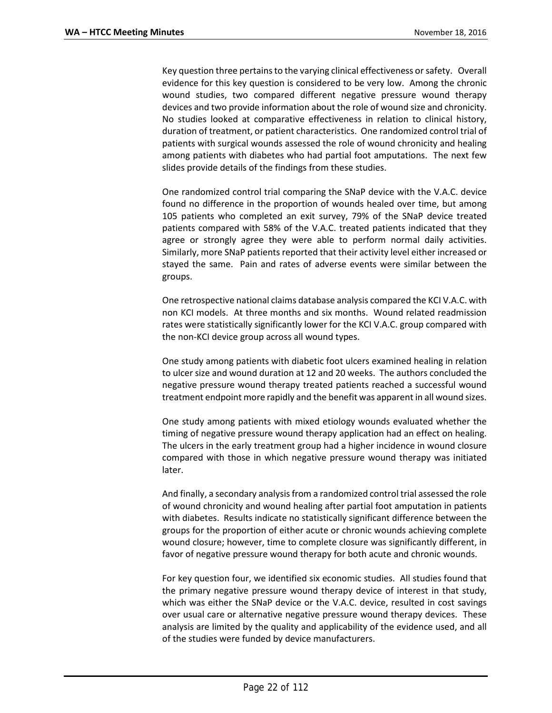Key question three pertains to the varying clinical effectiveness or safety. Overall evidence for this key question is considered to be very low. Among the chronic wound studies, two compared different negative pressure wound therapy devices and two provide information about the role of wound size and chronicity. No studies looked at comparative effectiveness in relation to clinical history, duration of treatment, or patient characteristics. One randomized control trial of patients with surgical wounds assessed the role of wound chronicity and healing among patients with diabetes who had partial foot amputations. The next few slides provide details of the findings from these studies.

One randomized control trial comparing the SNaP device with the V.A.C. device found no difference in the proportion of wounds healed over time, but among 105 patients who completed an exit survey, 79% of the SNaP device treated patients compared with 58% of the V.A.C. treated patients indicated that they agree or strongly agree they were able to perform normal daily activities. Similarly, more SNaP patients reported that their activity level either increased or stayed the same. Pain and rates of adverse events were similar between the groups.

One retrospective national claims database analysis compared the KCI V.A.C. with non KCI models. At three months and six months. Wound related readmission rates were statistically significantly lower for the KCI V.A.C. group compared with the non-KCI device group across all wound types.

One study among patients with diabetic foot ulcers examined healing in relation to ulcer size and wound duration at 12 and 20 weeks. The authors concluded the negative pressure wound therapy treated patients reached a successful wound treatment endpoint more rapidly and the benefit was apparent in all wound sizes.

One study among patients with mixed etiology wounds evaluated whether the timing of negative pressure wound therapy application had an effect on healing. The ulcers in the early treatment group had a higher incidence in wound closure compared with those in which negative pressure wound therapy was initiated later.

And finally, a secondary analysis from a randomized control trial assessed the role of wound chronicity and wound healing after partial foot amputation in patients with diabetes. Results indicate no statistically significant difference between the groups for the proportion of either acute or chronic wounds achieving complete wound closure; however, time to complete closure was significantly different, in favor of negative pressure wound therapy for both acute and chronic wounds.

For key question four, we identified six economic studies. All studies found that the primary negative pressure wound therapy device of interest in that study, which was either the SNaP device or the V.A.C. device, resulted in cost savings over usual care or alternative negative pressure wound therapy devices. These analysis are limited by the quality and applicability of the evidence used, and all of the studies were funded by device manufacturers.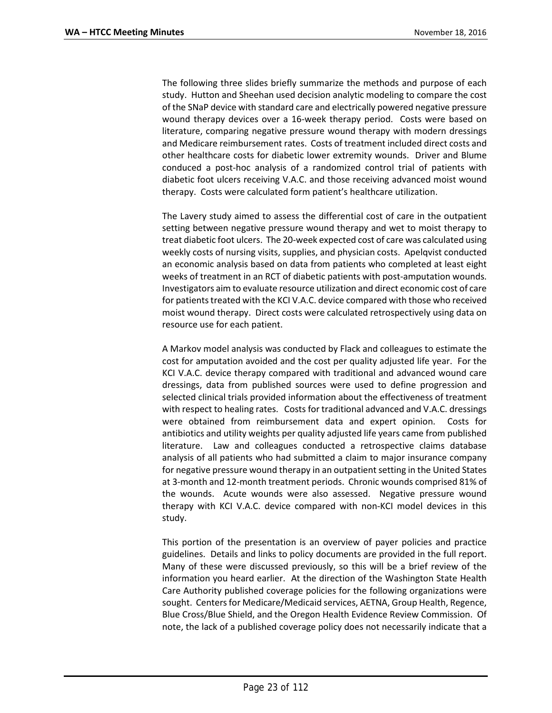The following three slides briefly summarize the methods and purpose of each study. Hutton and Sheehan used decision analytic modeling to compare the cost of the SNaP device with standard care and electrically powered negative pressure wound therapy devices over a 16-week therapy period. Costs were based on literature, comparing negative pressure wound therapy with modern dressings and Medicare reimbursement rates. Costs of treatment included direct costs and other healthcare costs for diabetic lower extremity wounds. Driver and Blume conduced a post-hoc analysis of a randomized control trial of patients with diabetic foot ulcers receiving V.A.C. and those receiving advanced moist wound therapy. Costs were calculated form patient's healthcare utilization.

The Lavery study aimed to assess the differential cost of care in the outpatient setting between negative pressure wound therapy and wet to moist therapy to treat diabetic foot ulcers. The 20-week expected cost of care was calculated using weekly costs of nursing visits, supplies, and physician costs. Apelqvist conducted an economic analysis based on data from patients who completed at least eight weeks of treatment in an RCT of diabetic patients with post-amputation wounds. Investigators aim to evaluate resource utilization and direct economic cost of care for patients treated with the KCI V.A.C. device compared with those who received moist wound therapy. Direct costs were calculated retrospectively using data on resource use for each patient.

A Markov model analysis was conducted by Flack and colleagues to estimate the cost for amputation avoided and the cost per quality adjusted life year. For the KCI V.A.C. device therapy compared with traditional and advanced wound care dressings, data from published sources were used to define progression and selected clinical trials provided information about the effectiveness of treatment with respect to healing rates. Costs for traditional advanced and V.A.C. dressings were obtained from reimbursement data and expert opinion. Costs for antibiotics and utility weights per quality adjusted life years came from published literature. Law and colleagues conducted a retrospective claims database analysis of all patients who had submitted a claim to major insurance company for negative pressure wound therapy in an outpatient setting in the United States at 3-month and 12-month treatment periods. Chronic wounds comprised 81% of the wounds. Acute wounds were also assessed. Negative pressure wound therapy with KCI V.A.C. device compared with non-KCI model devices in this study.

This portion of the presentation is an overview of payer policies and practice guidelines. Details and links to policy documents are provided in the full report. Many of these were discussed previously, so this will be a brief review of the information you heard earlier. At the direction of the Washington State Health Care Authority published coverage policies for the following organizations were sought. Centers for Medicare/Medicaid services, AETNA, Group Health, Regence, Blue Cross/Blue Shield, and the Oregon Health Evidence Review Commission. Of note, the lack of a published coverage policy does not necessarily indicate that a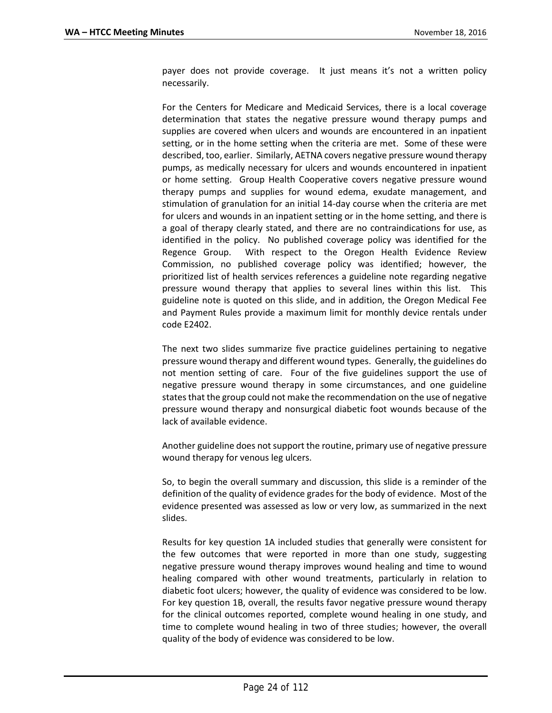payer does not provide coverage. It just means it's not a written policy necessarily.

For the Centers for Medicare and Medicaid Services, there is a local coverage determination that states the negative pressure wound therapy pumps and supplies are covered when ulcers and wounds are encountered in an inpatient setting, or in the home setting when the criteria are met. Some of these were described, too, earlier. Similarly, AETNA covers negative pressure wound therapy pumps, as medically necessary for ulcers and wounds encountered in inpatient or home setting. Group Health Cooperative covers negative pressure wound therapy pumps and supplies for wound edema, exudate management, and stimulation of granulation for an initial 14-day course when the criteria are met for ulcers and wounds in an inpatient setting or in the home setting, and there is a goal of therapy clearly stated, and there are no contraindications for use, as identified in the policy. No published coverage policy was identified for the Regence Group. With respect to the Oregon Health Evidence Review Commission, no published coverage policy was identified; however, the prioritized list of health services references a guideline note regarding negative pressure wound therapy that applies to several lines within this list. This guideline note is quoted on this slide, and in addition, the Oregon Medical Fee and Payment Rules provide a maximum limit for monthly device rentals under code E2402.

The next two slides summarize five practice guidelines pertaining to negative pressure wound therapy and different wound types. Generally, the guidelines do not mention setting of care. Four of the five guidelines support the use of negative pressure wound therapy in some circumstances, and one guideline states that the group could not make the recommendation on the use of negative pressure wound therapy and nonsurgical diabetic foot wounds because of the lack of available evidence.

Another guideline does not support the routine, primary use of negative pressure wound therapy for venous leg ulcers.

So, to begin the overall summary and discussion, this slide is a reminder of the definition of the quality of evidence grades for the body of evidence. Most of the evidence presented was assessed as low or very low, as summarized in the next slides.

Results for key question 1A included studies that generally were consistent for the few outcomes that were reported in more than one study, suggesting negative pressure wound therapy improves wound healing and time to wound healing compared with other wound treatments, particularly in relation to diabetic foot ulcers; however, the quality of evidence was considered to be low. For key question 1B, overall, the results favor negative pressure wound therapy for the clinical outcomes reported, complete wound healing in one study, and time to complete wound healing in two of three studies; however, the overall quality of the body of evidence was considered to be low.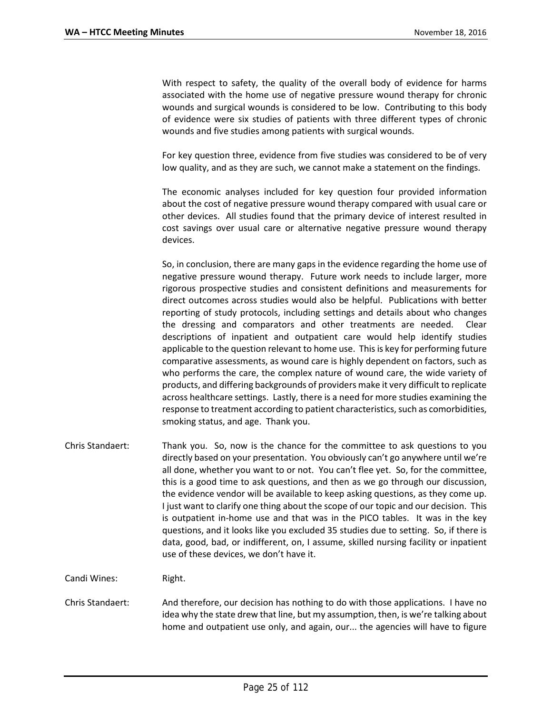With respect to safety, the quality of the overall body of evidence for harms associated with the home use of negative pressure wound therapy for chronic wounds and surgical wounds is considered to be low. Contributing to this body of evidence were six studies of patients with three different types of chronic wounds and five studies among patients with surgical wounds.

For key question three, evidence from five studies was considered to be of very low quality, and as they are such, we cannot make a statement on the findings.

The economic analyses included for key question four provided information about the cost of negative pressure wound therapy compared with usual care or other devices. All studies found that the primary device of interest resulted in cost savings over usual care or alternative negative pressure wound therapy devices.

So, in conclusion, there are many gaps in the evidence regarding the home use of negative pressure wound therapy. Future work needs to include larger, more rigorous prospective studies and consistent definitions and measurements for direct outcomes across studies would also be helpful. Publications with better reporting of study protocols, including settings and details about who changes the dressing and comparators and other treatments are needed. Clear descriptions of inpatient and outpatient care would help identify studies applicable to the question relevant to home use. This is key for performing future comparative assessments, as wound care is highly dependent on factors, such as who performs the care, the complex nature of wound care, the wide variety of products, and differing backgrounds of providers make it very difficult to replicate across healthcare settings. Lastly, there is a need for more studies examining the response to treatment according to patient characteristics, such as comorbidities, smoking status, and age. Thank you.

Chris Standaert: Thank you. So, now is the chance for the committee to ask questions to you directly based on your presentation. You obviously can't go anywhere until we're all done, whether you want to or not. You can't flee yet. So, for the committee, this is a good time to ask questions, and then as we go through our discussion, the evidence vendor will be available to keep asking questions, as they come up. I just want to clarify one thing about the scope of our topic and our decision. This is outpatient in-home use and that was in the PICO tables. It was in the key questions, and it looks like you excluded 35 studies due to setting. So, if there is data, good, bad, or indifferent, on, I assume, skilled nursing facility or inpatient use of these devices, we don't have it.

Candi Wines: Right.

Chris Standaert: And therefore, our decision has nothing to do with those applications. I have no idea why the state drew that line, but my assumption, then, is we're talking about home and outpatient use only, and again, our... the agencies will have to figure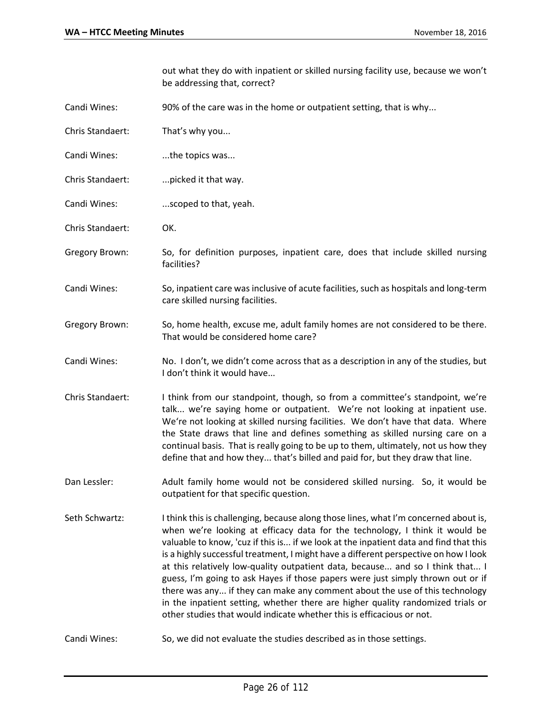out what they do with inpatient or skilled nursing facility use, because we won't be addressing that, correct?

- Candi Wines: 90% of the care was in the home or outpatient setting, that is why...
- Chris Standaert: That's why you...
- Candi Wines: ...the topics was...
- Chris Standaert: ...picked it that way.
- Candi Wines: ...scoped to that, yeah.
- Chris Standaert: OK.
- Gregory Brown: So, for definition purposes, inpatient care, does that include skilled nursing facilities?
- Candi Wines: So, inpatient care was inclusive of acute facilities, such as hospitals and long-term care skilled nursing facilities.
- Gregory Brown: So, home health, excuse me, adult family homes are not considered to be there. That would be considered home care?
- Candi Wines: No. I don't, we didn't come across that as a description in any of the studies, but I don't think it would have...
- Chris Standaert: I think from our standpoint, though, so from a committee's standpoint, we're talk... we're saying home or outpatient. We're not looking at inpatient use. We're not looking at skilled nursing facilities. We don't have that data. Where the State draws that line and defines something as skilled nursing care on a continual basis. That is really going to be up to them, ultimately, not us how they define that and how they... that's billed and paid for, but they draw that line.
- Dan Lessler: Adult family home would not be considered skilled nursing. So, it would be outpatient for that specific question.
- Seth Schwartz: I think this is challenging, because along those lines, what I'm concerned about is, when we're looking at efficacy data for the technology, I think it would be valuable to know, 'cuz if this is... if we look at the inpatient data and find that this is a highly successful treatment, I might have a different perspective on how I look at this relatively low-quality outpatient data, because... and so I think that... I guess, I'm going to ask Hayes if those papers were just simply thrown out or if there was any... if they can make any comment about the use of this technology in the inpatient setting, whether there are higher quality randomized trials or other studies that would indicate whether this is efficacious or not.
- Candi Wines: So, we did not evaluate the studies described as in those settings.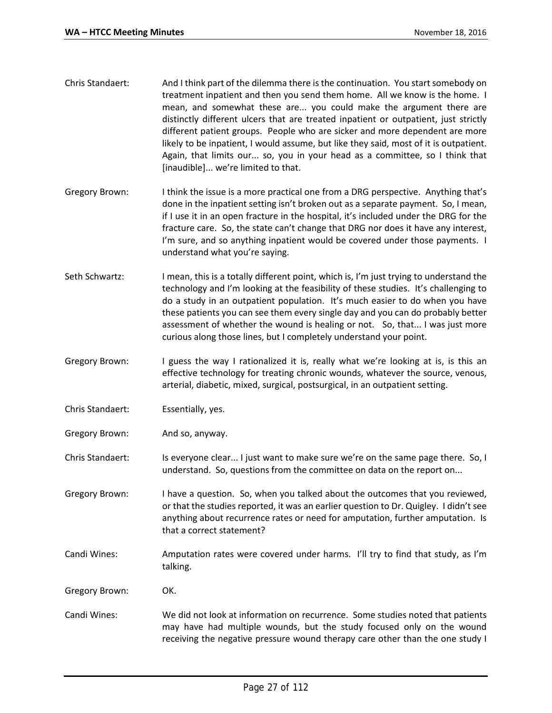| Chris Standaert: | And I think part of the dilemma there is the continuation. You start somebody on<br>treatment inpatient and then you send them home. All we know is the home. I<br>mean, and somewhat these are you could make the argument there are<br>distinctly different ulcers that are treated inpatient or outpatient, just strictly<br>different patient groups. People who are sicker and more dependent are more<br>likely to be inpatient, I would assume, but like they said, most of it is outpatient.<br>Again, that limits our so, you in your head as a committee, so I think that<br>[inaudible] we're limited to that. |
|------------------|---------------------------------------------------------------------------------------------------------------------------------------------------------------------------------------------------------------------------------------------------------------------------------------------------------------------------------------------------------------------------------------------------------------------------------------------------------------------------------------------------------------------------------------------------------------------------------------------------------------------------|
| Gregory Brown:   | I think the issue is a more practical one from a DRG perspective. Anything that's<br>done in the inpatient setting isn't broken out as a separate payment. So, I mean,<br>if I use it in an open fracture in the hospital, it's included under the DRG for the<br>fracture care. So, the state can't change that DRG nor does it have any interest,<br>I'm sure, and so anything inpatient would be covered under those payments. I<br>understand what you're saying.                                                                                                                                                     |
| Seth Schwartz:   | I mean, this is a totally different point, which is, I'm just trying to understand the<br>technology and I'm looking at the feasibility of these studies. It's challenging to<br>do a study in an outpatient population. It's much easier to do when you have<br>these patients you can see them every single day and you can do probably better<br>assessment of whether the wound is healing or not. So, that I was just more<br>curious along those lines, but I completely understand your point.                                                                                                                     |
| Gregory Brown:   | I guess the way I rationalized it is, really what we're looking at is, is this an<br>effective technology for treating chronic wounds, whatever the source, venous,<br>arterial, diabetic, mixed, surgical, postsurgical, in an outpatient setting.                                                                                                                                                                                                                                                                                                                                                                       |
| Chris Standaert: | Essentially, yes.                                                                                                                                                                                                                                                                                                                                                                                                                                                                                                                                                                                                         |
| Gregory Brown:   | And so, anyway.                                                                                                                                                                                                                                                                                                                                                                                                                                                                                                                                                                                                           |
| Chris Standaert: | Is everyone clear I just want to make sure we're on the same page there. So, I<br>understand. So, questions from the committee on data on the report on                                                                                                                                                                                                                                                                                                                                                                                                                                                                   |
| Gregory Brown:   | I have a question. So, when you talked about the outcomes that you reviewed,<br>or that the studies reported, it was an earlier question to Dr. Quigley. I didn't see<br>anything about recurrence rates or need for amputation, further amputation. Is<br>that a correct statement?                                                                                                                                                                                                                                                                                                                                      |
| Candi Wines:     | Amputation rates were covered under harms. I'll try to find that study, as I'm<br>talking.                                                                                                                                                                                                                                                                                                                                                                                                                                                                                                                                |
| Gregory Brown:   | OK.                                                                                                                                                                                                                                                                                                                                                                                                                                                                                                                                                                                                                       |
| Candi Wines:     | We did not look at information on recurrence. Some studies noted that patients<br>may have had multiple wounds, but the study focused only on the wound<br>receiving the negative pressure wound therapy care other than the one study I                                                                                                                                                                                                                                                                                                                                                                                  |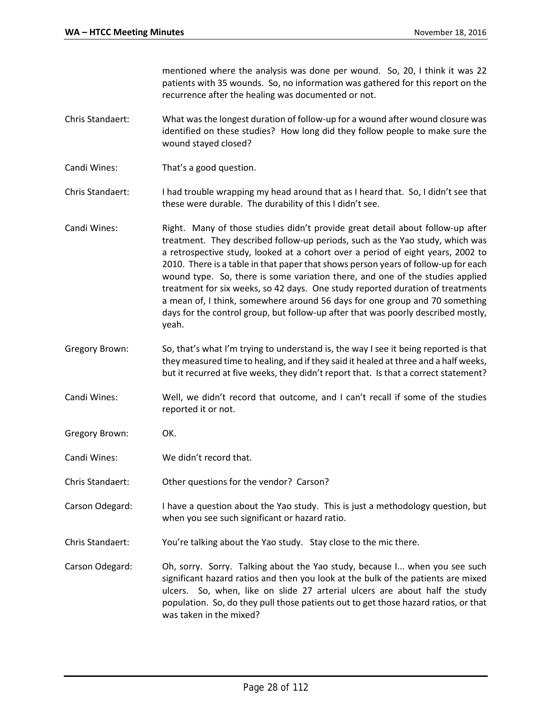mentioned where the analysis was done per wound. So, 20, I think it was 22 patients with 35 wounds. So, no information was gathered for this report on the recurrence after the healing was documented or not.

- Chris Standaert: What was the longest duration of follow-up for a wound after wound closure was identified on these studies? How long did they follow people to make sure the wound stayed closed?
- Candi Wines: That's a good question.

Chris Standaert: I had trouble wrapping my head around that as I heard that. So, I didn't see that these were durable. The durability of this I didn't see.

- Candi Wines: Right. Many of those studies didn't provide great detail about follow-up after treatment. They described follow-up periods, such as the Yao study, which was a retrospective study, looked at a cohort over a period of eight years, 2002 to 2010. There is a table in that paper that shows person years of follow-up for each wound type. So, there is some variation there, and one of the studies applied treatment for six weeks, so 42 days. One study reported duration of treatments a mean of, I think, somewhere around 56 days for one group and 70 something days for the control group, but follow-up after that was poorly described mostly, yeah.
- Gregory Brown: So, that's what I'm trying to understand is, the way I see it being reported is that they measured time to healing, and if they said it healed at three and a half weeks, but it recurred at five weeks, they didn't report that. Is that a correct statement?
- Candi Wines: Well, we didn't record that outcome, and I can't recall if some of the studies reported it or not.
- Gregory Brown: OK.
- Candi Wines: We didn't record that.
- Chris Standaert: Other questions for the vendor? Carson?
- Carson Odegard: I have a question about the Yao study. This is just a methodology question, but when you see such significant or hazard ratio.
- Chris Standaert: You're talking about the Yao study. Stay close to the mic there.
- Carson Odegard: Oh, sorry. Sorry. Talking about the Yao study, because I... when you see such significant hazard ratios and then you look at the bulk of the patients are mixed ulcers. So, when, like on slide 27 arterial ulcers are about half the study population. So, do they pull those patients out to get those hazard ratios, or that was taken in the mixed?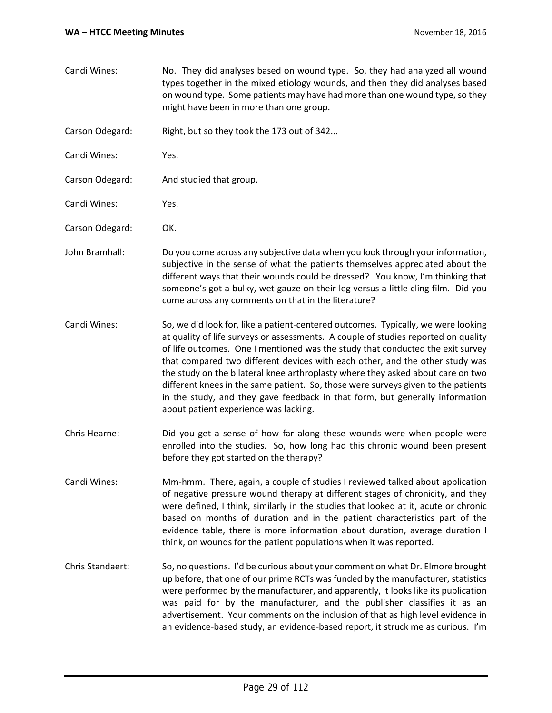Candi Wines: No. They did analyses based on wound type. So, they had analyzed all wound types together in the mixed etiology wounds, and then they did analyses based on wound type. Some patients may have had more than one wound type, so they might have been in more than one group.

Carson Odegard: Right, but so they took the 173 out of 342...

Candi Wines: Yes.

Carson Odegard: And studied that group.

Candi Wines: Yes.

Carson Odegard: OK.

- John Bramhall: Do you come across any subjective data when you look through your information, subjective in the sense of what the patients themselves appreciated about the different ways that their wounds could be dressed? You know, I'm thinking that someone's got a bulky, wet gauze on their leg versus a little cling film. Did you come across any comments on that in the literature?
- Candi Wines: So, we did look for, like a patient-centered outcomes. Typically, we were looking at quality of life surveys or assessments. A couple of studies reported on quality of life outcomes. One I mentioned was the study that conducted the exit survey that compared two different devices with each other, and the other study was the study on the bilateral knee arthroplasty where they asked about care on two different knees in the same patient. So, those were surveys given to the patients in the study, and they gave feedback in that form, but generally information about patient experience was lacking.
- Chris Hearne: Did you get a sense of how far along these wounds were when people were enrolled into the studies. So, how long had this chronic wound been present before they got started on the therapy?
- Candi Wines: Mm-hmm. There, again, a couple of studies I reviewed talked about application of negative pressure wound therapy at different stages of chronicity, and they were defined, I think, similarly in the studies that looked at it, acute or chronic based on months of duration and in the patient characteristics part of the evidence table, there is more information about duration, average duration I think, on wounds for the patient populations when it was reported.
- Chris Standaert: So, no questions. I'd be curious about your comment on what Dr. Elmore brought up before, that one of our prime RCTs was funded by the manufacturer, statistics were performed by the manufacturer, and apparently, it looks like its publication was paid for by the manufacturer, and the publisher classifies it as an advertisement. Your comments on the inclusion of that as high level evidence in an evidence-based study, an evidence-based report, it struck me as curious. I'm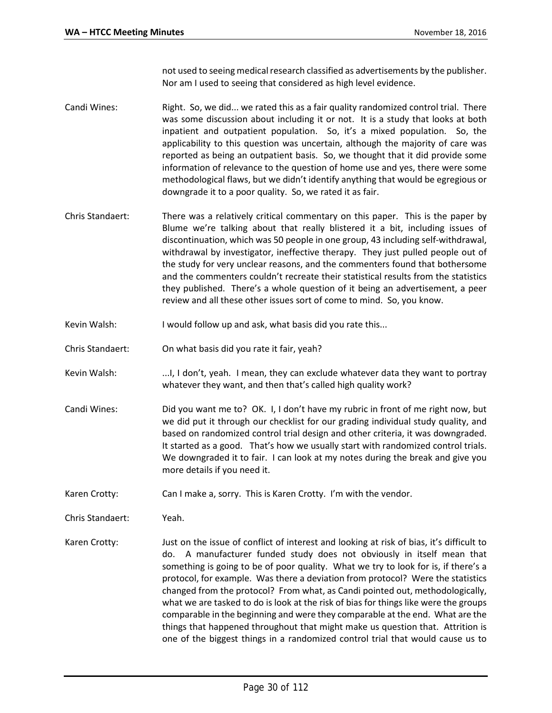not used to seeing medical research classified as advertisements by the publisher. Nor am I used to seeing that considered as high level evidence.

- Candi Wines: Right. So, we did... we rated this as a fair quality randomized control trial. There was some discussion about including it or not. It is a study that looks at both inpatient and outpatient population. So, it's a mixed population. So, the applicability to this question was uncertain, although the majority of care was reported as being an outpatient basis. So, we thought that it did provide some information of relevance to the question of home use and yes, there were some methodological flaws, but we didn't identify anything that would be egregious or downgrade it to a poor quality. So, we rated it as fair.
- Chris Standaert: There was a relatively critical commentary on this paper. This is the paper by Blume we're talking about that really blistered it a bit, including issues of discontinuation, which was 50 people in one group, 43 including self-withdrawal, withdrawal by investigator, ineffective therapy. They just pulled people out of the study for very unclear reasons, and the commenters found that bothersome and the commenters couldn't recreate their statistical results from the statistics they published. There's a whole question of it being an advertisement, a peer review and all these other issues sort of come to mind. So, you know.
- Kevin Walsh: I would follow up and ask, what basis did you rate this...
- Chris Standaert: On what basis did you rate it fair, yeah?
- Kevin Walsh: ...I, I don't, yeah. I mean, they can exclude whatever data they want to portray whatever they want, and then that's called high quality work?
- Candi Wines: Did you want me to? OK. I, I don't have my rubric in front of me right now, but we did put it through our checklist for our grading individual study quality, and based on randomized control trial design and other criteria, it was downgraded. It started as a good. That's how we usually start with randomized control trials. We downgraded it to fair. I can look at my notes during the break and give you more details if you need it.
- Karen Crotty: Can I make a, sorry. This is Karen Crotty. I'm with the vendor.

Chris Standaert: Yeah.

Karen Crotty: Just on the issue of conflict of interest and looking at risk of bias, it's difficult to do. A manufacturer funded study does not obviously in itself mean that something is going to be of poor quality. What we try to look for is, if there's a protocol, for example. Was there a deviation from protocol? Were the statistics changed from the protocol? From what, as Candi pointed out, methodologically, what we are tasked to do is look at the risk of bias for things like were the groups comparable in the beginning and were they comparable at the end. What are the things that happened throughout that might make us question that. Attrition is one of the biggest things in a randomized control trial that would cause us to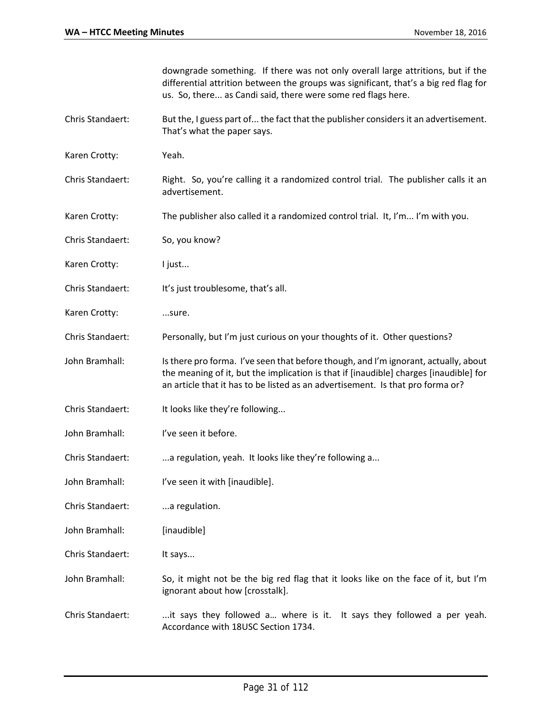|                  | downgrade something. If there was not only overall large attritions, but if the<br>differential attrition between the groups was significant, that's a big red flag for<br>us. So, there as Candi said, there were some red flags here.                        |
|------------------|----------------------------------------------------------------------------------------------------------------------------------------------------------------------------------------------------------------------------------------------------------------|
| Chris Standaert: | But the, I guess part of the fact that the publisher considers it an advertisement.<br>That's what the paper says.                                                                                                                                             |
| Karen Crotty:    | Yeah.                                                                                                                                                                                                                                                          |
| Chris Standaert: | Right. So, you're calling it a randomized control trial. The publisher calls it an<br>advertisement.                                                                                                                                                           |
| Karen Crotty:    | The publisher also called it a randomized control trial. It, I'm I'm with you.                                                                                                                                                                                 |
| Chris Standaert: | So, you know?                                                                                                                                                                                                                                                  |
| Karen Crotty:    | I just                                                                                                                                                                                                                                                         |
| Chris Standaert: | It's just troublesome, that's all.                                                                                                                                                                                                                             |
| Karen Crotty:    | sure.                                                                                                                                                                                                                                                          |
| Chris Standaert: | Personally, but I'm just curious on your thoughts of it. Other questions?                                                                                                                                                                                      |
| John Bramhall:   | Is there pro forma. I've seen that before though, and I'm ignorant, actually, about<br>the meaning of it, but the implication is that if [inaudible] charges [inaudible] for<br>an article that it has to be listed as an advertisement. Is that pro forma or? |
| Chris Standaert: | It looks like they're following                                                                                                                                                                                                                                |
| John Bramhall:   | I've seen it before.                                                                                                                                                                                                                                           |
| Chris Standaert: | a regulation, yeah. It looks like they're following a                                                                                                                                                                                                          |
| John Bramhall:   | I've seen it with [inaudible].                                                                                                                                                                                                                                 |
| Chris Standaert: | a regulation.                                                                                                                                                                                                                                                  |
| John Bramhall:   | [inaudible]                                                                                                                                                                                                                                                    |
| Chris Standaert: | It says                                                                                                                                                                                                                                                        |
| John Bramhall:   | So, it might not be the big red flag that it looks like on the face of it, but I'm<br>ignorant about how [crosstalk].                                                                                                                                          |
| Chris Standaert: | it says they followed a where is it. It says they followed a per yeah.<br>Accordance with 18USC Section 1734.                                                                                                                                                  |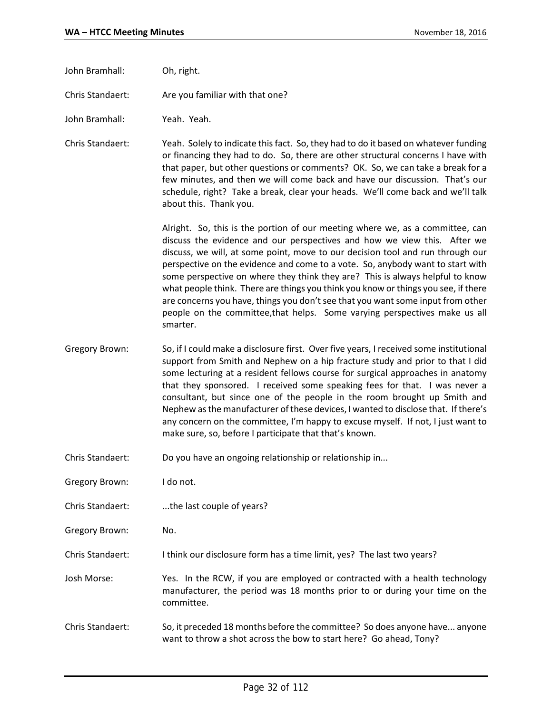- John Bramhall: Oh, right.
- Chris Standaert: Are you familiar with that one?

John Bramhall: Yeah. Yeah.

Chris Standaert: Yeah. Solely to indicate this fact. So, they had to do it based on whatever funding or financing they had to do. So, there are other structural concerns I have with that paper, but other questions or comments? OK. So, we can take a break for a few minutes, and then we will come back and have our discussion. That's our schedule, right? Take a break, clear your heads. We'll come back and we'll talk about this. Thank you.

> Alright. So, this is the portion of our meeting where we, as a committee, can discuss the evidence and our perspectives and how we view this. After we discuss, we will, at some point, move to our decision tool and run through our perspective on the evidence and come to a vote. So, anybody want to start with some perspective on where they think they are? This is always helpful to know what people think. There are things you think you know or things you see, if there are concerns you have, things you don't see that you want some input from other people on the committee,that helps. Some varying perspectives make us all smarter.

- Gregory Brown: So, if I could make a disclosure first. Over five years, I received some institutional support from Smith and Nephew on a hip fracture study and prior to that I did some lecturing at a resident fellows course for surgical approaches in anatomy that they sponsored. I received some speaking fees for that. I was never a consultant, but since one of the people in the room brought up Smith and Nephew as the manufacturer of these devices, I wanted to disclose that. If there's any concern on the committee, I'm happy to excuse myself. If not, I just want to make sure, so, before I participate that that's known.
- Chris Standaert: Do you have an ongoing relationship or relationship in...
- Gregory Brown: I do not.
- Chris Standaert: ...the last couple of years?
- Gregory Brown: No.
- Chris Standaert: I think our disclosure form has a time limit, yes? The last two years?
- Josh Morse: Yes. In the RCW, if you are employed or contracted with a health technology manufacturer, the period was 18 months prior to or during your time on the committee.
- Chris Standaert: So, it preceded 18 months before the committee? So does anyone have... anyone want to throw a shot across the bow to start here? Go ahead, Tony?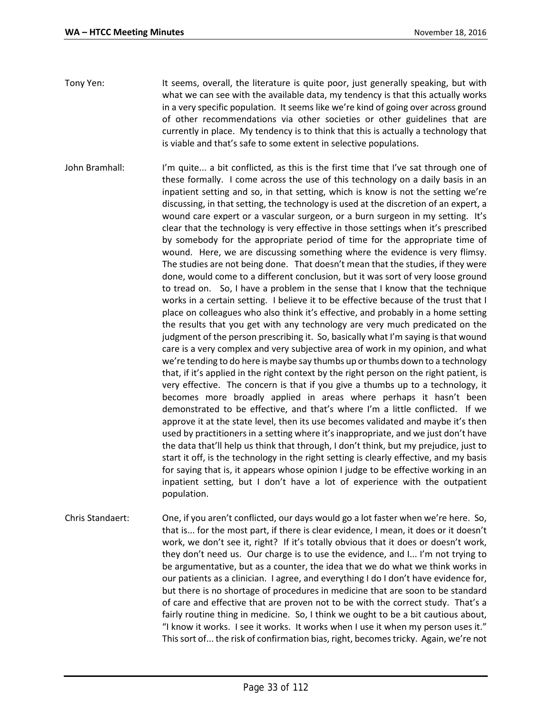- Tony Yen: It seems, overall, the literature is quite poor, just generally speaking, but with what we can see with the available data, my tendency is that this actually works in a very specific population. It seems like we're kind of going over across ground of other recommendations via other societies or other guidelines that are currently in place. My tendency is to think that this is actually a technology that is viable and that's safe to some extent in selective populations.
- John Bramhall: I'm quite... a bit conflicted, as this is the first time that I've sat through one of these formally. I come across the use of this technology on a daily basis in an inpatient setting and so, in that setting, which is know is not the setting we're discussing, in that setting, the technology is used at the discretion of an expert, a wound care expert or a vascular surgeon, or a burn surgeon in my setting. It's clear that the technology is very effective in those settings when it's prescribed by somebody for the appropriate period of time for the appropriate time of wound. Here, we are discussing something where the evidence is very flimsy. The studies are not being done. That doesn't mean that the studies, if they were done, would come to a different conclusion, but it was sort of very loose ground to tread on. So, I have a problem in the sense that I know that the technique works in a certain setting. I believe it to be effective because of the trust that I place on colleagues who also think it's effective, and probably in a home setting the results that you get with any technology are very much predicated on the judgment of the person prescribing it. So, basically what I'm saying is that wound care is a very complex and very subjective area of work in my opinion, and what we're tending to do here is maybe say thumbs up or thumbs down to a technology that, if it's applied in the right context by the right person on the right patient, is very effective. The concern is that if you give a thumbs up to a technology, it becomes more broadly applied in areas where perhaps it hasn't been demonstrated to be effective, and that's where I'm a little conflicted. If we approve it at the state level, then its use becomes validated and maybe it's then used by practitioners in a setting where it's inappropriate, and we just don't have the data that'll help us think that through, I don't think, but my prejudice, just to start it off, is the technology in the right setting is clearly effective, and my basis for saying that is, it appears whose opinion I judge to be effective working in an inpatient setting, but I don't have a lot of experience with the outpatient population.
- Chris Standaert: One, if you aren't conflicted, our days would go a lot faster when we're here. So, that is... for the most part, if there is clear evidence, I mean, it does or it doesn't work, we don't see it, right? If it's totally obvious that it does or doesn't work, they don't need us. Our charge is to use the evidence, and I... I'm not trying to be argumentative, but as a counter, the idea that we do what we think works in our patients as a clinician. I agree, and everything I do I don't have evidence for, but there is no shortage of procedures in medicine that are soon to be standard of care and effective that are proven not to be with the correct study. That's a fairly routine thing in medicine. So, I think we ought to be a bit cautious about, "I know it works. I see it works. It works when I use it when my person uses it." This sort of... the risk of confirmation bias, right, becomes tricky. Again, we're not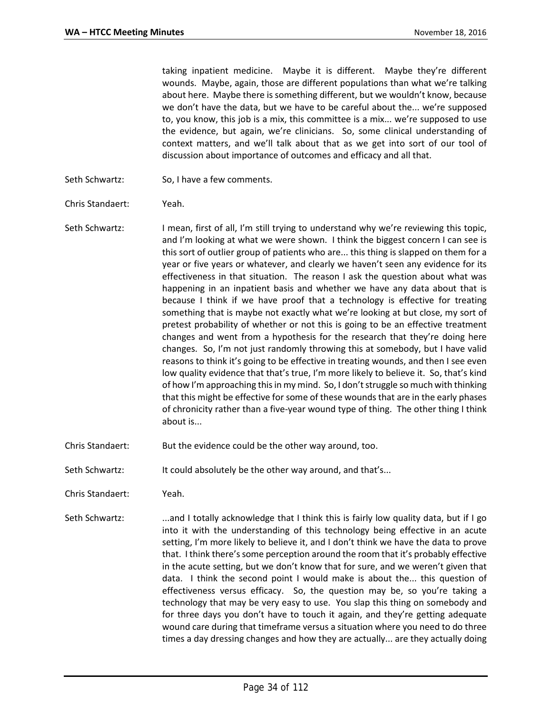taking inpatient medicine. Maybe it is different. Maybe they're different wounds. Maybe, again, those are different populations than what we're talking about here. Maybe there is something different, but we wouldn't know, because we don't have the data, but we have to be careful about the... we're supposed to, you know, this job is a mix, this committee is a mix... we're supposed to use the evidence, but again, we're clinicians. So, some clinical understanding of context matters, and we'll talk about that as we get into sort of our tool of discussion about importance of outcomes and efficacy and all that.

- Seth Schwartz: So, I have a few comments.
- Chris Standaert: Yeah.
- Seth Schwartz: I mean, first of all, I'm still trying to understand why we're reviewing this topic, and I'm looking at what we were shown. I think the biggest concern I can see is this sort of outlier group of patients who are... this thing is slapped on them for a year or five years or whatever, and clearly we haven't seen any evidence for its effectiveness in that situation. The reason I ask the question about what was happening in an inpatient basis and whether we have any data about that is because I think if we have proof that a technology is effective for treating something that is maybe not exactly what we're looking at but close, my sort of pretest probability of whether or not this is going to be an effective treatment changes and went from a hypothesis for the research that they're doing here changes. So, I'm not just randomly throwing this at somebody, but I have valid reasons to think it's going to be effective in treating wounds, and then I see even low quality evidence that that's true, I'm more likely to believe it. So, that's kind of how I'm approaching this in my mind. So, I don't struggle so much with thinking that this might be effective for some of these wounds that are in the early phases of chronicity rather than a five-year wound type of thing. The other thing I think about is...
- Chris Standaert: But the evidence could be the other way around, too.

Seth Schwartz: It could absolutely be the other way around, and that's...

- Chris Standaert: Yeah.
- Seth Schwartz: ...and I totally acknowledge that I think this is fairly low quality data, but if I go into it with the understanding of this technology being effective in an acute setting, I'm more likely to believe it, and I don't think we have the data to prove that. I think there's some perception around the room that it's probably effective in the acute setting, but we don't know that for sure, and we weren't given that data. I think the second point I would make is about the... this question of effectiveness versus efficacy. So, the question may be, so you're taking a technology that may be very easy to use. You slap this thing on somebody and for three days you don't have to touch it again, and they're getting adequate wound care during that timeframe versus a situation where you need to do three times a day dressing changes and how they are actually... are they actually doing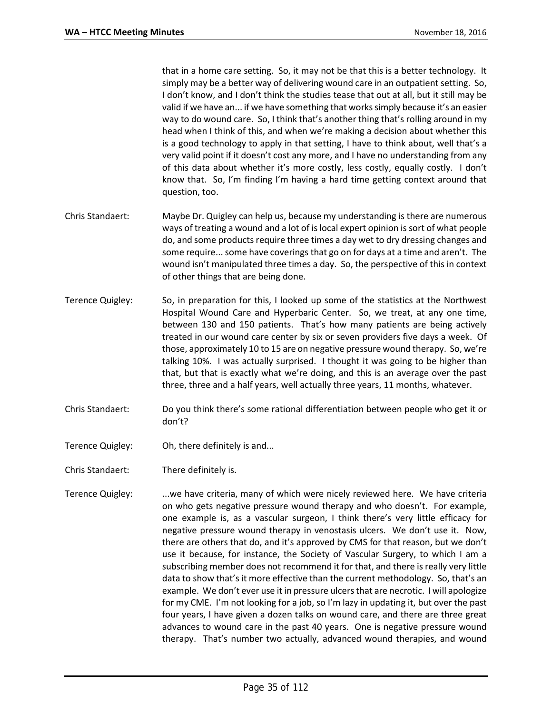that in a home care setting. So, it may not be that this is a better technology. It simply may be a better way of delivering wound care in an outpatient setting. So, I don't know, and I don't think the studies tease that out at all, but it still may be valid if we have an... if we have something that works simply because it's an easier way to do wound care. So, I think that's another thing that's rolling around in my head when I think of this, and when we're making a decision about whether this is a good technology to apply in that setting, I have to think about, well that's a very valid point if it doesn't cost any more, and I have no understanding from any of this data about whether it's more costly, less costly, equally costly. I don't know that. So, I'm finding I'm having a hard time getting context around that question, too.

- Chris Standaert: Maybe Dr. Quigley can help us, because my understanding is there are numerous ways of treating a wound and a lot of is local expert opinion is sort of what people do, and some products require three times a day wet to dry dressing changes and some require... some have coverings that go on for days at a time and aren't. The wound isn't manipulated three times a day. So, the perspective of this in context of other things that are being done.
- Terence Quigley: So, in preparation for this, I looked up some of the statistics at the Northwest Hospital Wound Care and Hyperbaric Center. So, we treat, at any one time, between 130 and 150 patients. That's how many patients are being actively treated in our wound care center by six or seven providers five days a week. Of those, approximately 10 to 15 are on negative pressure wound therapy. So, we're talking 10%. I was actually surprised. I thought it was going to be higher than that, but that is exactly what we're doing, and this is an average over the past three, three and a half years, well actually three years, 11 months, whatever.
- Chris Standaert: Do you think there's some rational differentiation between people who get it or don't?
- Terence Quigley: Oh, there definitely is and...
- Chris Standaert: There definitely is.
- Terence Quigley: ...we have criteria, many of which were nicely reviewed here. We have criteria on who gets negative pressure wound therapy and who doesn't. For example, one example is, as a vascular surgeon, I think there's very little efficacy for negative pressure wound therapy in venostasis ulcers. We don't use it. Now, there are others that do, and it's approved by CMS for that reason, but we don't use it because, for instance, the Society of Vascular Surgery, to which I am a subscribing member does not recommend it for that, and there is really very little data to show that's it more effective than the current methodology. So, that's an example. We don't ever use it in pressure ulcers that are necrotic. I will apologize for my CME. I'm not looking for a job, so I'm lazy in updating it, but over the past four years, I have given a dozen talks on wound care, and there are three great advances to wound care in the past 40 years. One is negative pressure wound therapy. That's number two actually, advanced wound therapies, and wound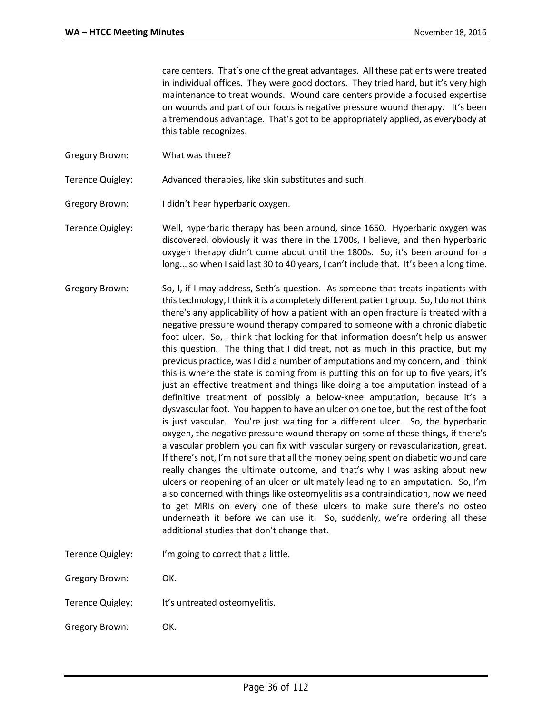care centers. That's one of the great advantages. All these patients were treated in individual offices. They were good doctors. They tried hard, but it's very high maintenance to treat wounds. Wound care centers provide a focused expertise on wounds and part of our focus is negative pressure wound therapy. It's been a tremendous advantage. That's got to be appropriately applied, as everybody at this table recognizes.

Gregory Brown: What was three?

Terence Quigley: Advanced therapies, like skin substitutes and such.

- Gregory Brown: I didn't hear hyperbaric oxygen.
- Terence Quigley: Well, hyperbaric therapy has been around, since 1650. Hyperbaric oxygen was discovered, obviously it was there in the 1700s, I believe, and then hyperbaric oxygen therapy didn't come about until the 1800s. So, it's been around for a long... so when I said last 30 to 40 years, I can't include that. It's been a long time.
- Gregory Brown: So, I, if I may address, Seth's question. As someone that treats inpatients with this technology, I think it is a completely different patient group. So, I do not think there's any applicability of how a patient with an open fracture is treated with a negative pressure wound therapy compared to someone with a chronic diabetic foot ulcer. So, I think that looking for that information doesn't help us answer this question. The thing that I did treat, not as much in this practice, but my previous practice, was I did a number of amputations and my concern, and I think this is where the state is coming from is putting this on for up to five years, it's just an effective treatment and things like doing a toe amputation instead of a definitive treatment of possibly a below-knee amputation, because it's a dysvascular foot. You happen to have an ulcer on one toe, but the rest of the foot is just vascular. You're just waiting for a different ulcer. So, the hyperbaric oxygen, the negative pressure wound therapy on some of these things, if there's a vascular problem you can fix with vascular surgery or revascularization, great. If there's not, I'm not sure that all the money being spent on diabetic wound care really changes the ultimate outcome, and that's why I was asking about new ulcers or reopening of an ulcer or ultimately leading to an amputation. So, I'm also concerned with things like osteomyelitis as a contraindication, now we need to get MRIs on every one of these ulcers to make sure there's no osteo underneath it before we can use it. So, suddenly, we're ordering all these additional studies that don't change that.
- Terence Quigley: I'm going to correct that a little.

Gregory Brown: OK.

Terence Quigley: It's untreated osteomyelitis.

Gregory Brown: OK.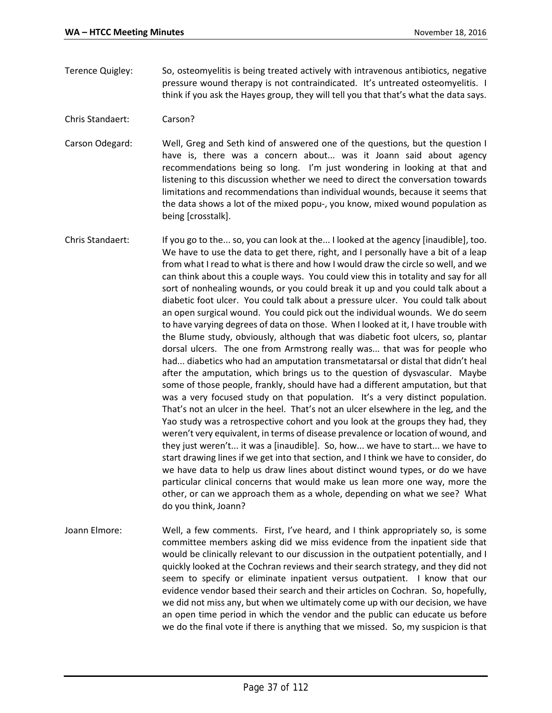- Terence Quigley: So, osteomyelitis is being treated actively with intravenous antibiotics, negative pressure wound therapy is not contraindicated. It's untreated osteomyelitis. I think if you ask the Hayes group, they will tell you that that's what the data says.
- Chris Standaert: Carson?
- Carson Odegard: Well, Greg and Seth kind of answered one of the questions, but the question I have is, there was a concern about... was it Joann said about agency recommendations being so long. I'm just wondering in looking at that and listening to this discussion whether we need to direct the conversation towards limitations and recommendations than individual wounds, because it seems that the data shows a lot of the mixed popu-, you know, mixed wound population as being [crosstalk].
- Chris Standaert: If you go to the... so, you can look at the... I looked at the agency [inaudible], too. We have to use the data to get there, right, and I personally have a bit of a leap from what I read to what is there and how I would draw the circle so well, and we can think about this a couple ways. You could view this in totality and say for all sort of nonhealing wounds, or you could break it up and you could talk about a diabetic foot ulcer. You could talk about a pressure ulcer. You could talk about an open surgical wound. You could pick out the individual wounds. We do seem to have varying degrees of data on those. When I looked at it, I have trouble with the Blume study, obviously, although that was diabetic foot ulcers, so, plantar dorsal ulcers. The one from Armstrong really was... that was for people who had... diabetics who had an amputation transmetatarsal or distal that didn't heal after the amputation, which brings us to the question of dysvascular. Maybe some of those people, frankly, should have had a different amputation, but that was a very focused study on that population. It's a very distinct population. That's not an ulcer in the heel. That's not an ulcer elsewhere in the leg, and the Yao study was a retrospective cohort and you look at the groups they had, they weren't very equivalent, in terms of disease prevalence or location of wound, and they just weren't... it was a [inaudible]. So, how... we have to start... we have to start drawing lines if we get into that section, and I think we have to consider, do we have data to help us draw lines about distinct wound types, or do we have particular clinical concerns that would make us lean more one way, more the other, or can we approach them as a whole, depending on what we see? What do you think, Joann?
- Joann Elmore: Well, a few comments. First, I've heard, and I think appropriately so, is some committee members asking did we miss evidence from the inpatient side that would be clinically relevant to our discussion in the outpatient potentially, and I quickly looked at the Cochran reviews and their search strategy, and they did not seem to specify or eliminate inpatient versus outpatient. I know that our evidence vendor based their search and their articles on Cochran. So, hopefully, we did not miss any, but when we ultimately come up with our decision, we have an open time period in which the vendor and the public can educate us before we do the final vote if there is anything that we missed. So, my suspicion is that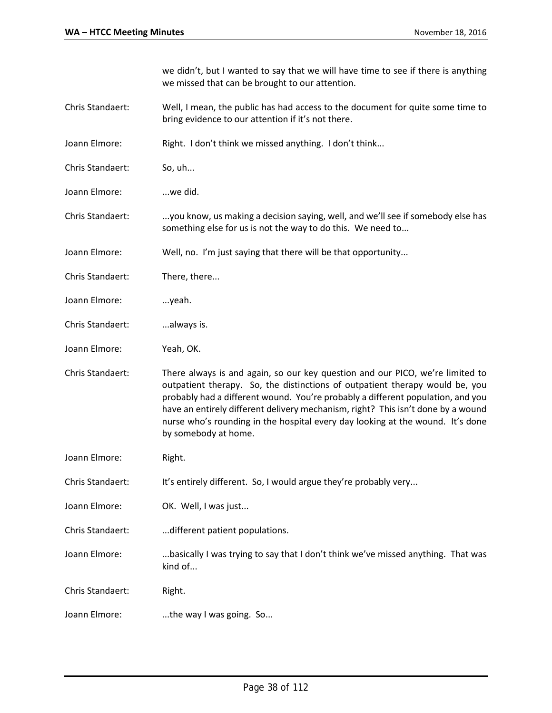we didn't, but I wanted to say that we will have time to see if there is anything we missed that can be brought to our attention.

- Chris Standaert: Well, I mean, the public has had access to the document for quite some time to bring evidence to our attention if it's not there.
- Joann Elmore: Right. I don't think we missed anything. I don't think...
- Chris Standaert: So, uh...
- Joann Elmore: ...we did.
- Chris Standaert: ...you know, us making a decision saying, well, and we'll see if somebody else has something else for us is not the way to do this. We need to...
- Joann Elmore: Well, no. I'm just saying that there will be that opportunity...
- Chris Standaert: There, there...
- Joann Elmore: ...yeah.
- Chris Standaert: ...always is.
- Joann Elmore: Yeah, OK.
- Chris Standaert: There always is and again, so our key question and our PICO, we're limited to outpatient therapy. So, the distinctions of outpatient therapy would be, you probably had a different wound. You're probably a different population, and you have an entirely different delivery mechanism, right? This isn't done by a wound nurse who's rounding in the hospital every day looking at the wound. It's done by somebody at home.
- Joann Elmore: Right.
- Chris Standaert: It's entirely different. So, I would argue they're probably very...
- Joann Elmore: OK. Well, I was just...
- Chris Standaert: ...different patient populations.
- Joann Elmore: ...basically I was trying to say that I don't think we've missed anything. That was kind of...
- Chris Standaert: Right.
- Joann Elmore: ...the way I was going. So...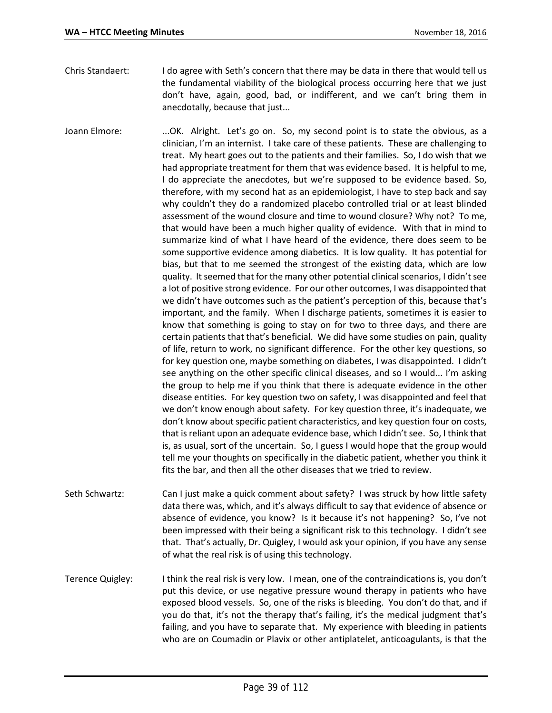Chris Standaert: I do agree with Seth's concern that there may be data in there that would tell us the fundamental viability of the biological process occurring here that we just don't have, again, good, bad, or indifferent, and we can't bring them in anecdotally, because that just...

Joann Elmore: ...OK. Alright. Let's go on. So, my second point is to state the obvious, as a clinician, I'm an internist. I take care of these patients. These are challenging to treat. My heart goes out to the patients and their families. So, I do wish that we had appropriate treatment for them that was evidence based. It is helpful to me, I do appreciate the anecdotes, but we're supposed to be evidence based. So, therefore, with my second hat as an epidemiologist, I have to step back and say why couldn't they do a randomized placebo controlled trial or at least blinded assessment of the wound closure and time to wound closure? Why not? To me, that would have been a much higher quality of evidence. With that in mind to summarize kind of what I have heard of the evidence, there does seem to be some supportive evidence among diabetics. It is low quality. It has potential for bias, but that to me seemed the strongest of the existing data, which are low quality. It seemed that for the many other potential clinical scenarios, I didn't see a lot of positive strong evidence. For our other outcomes, I was disappointed that we didn't have outcomes such as the patient's perception of this, because that's important, and the family. When I discharge patients, sometimes it is easier to know that something is going to stay on for two to three days, and there are certain patients that that's beneficial. We did have some studies on pain, quality of life, return to work, no significant difference. For the other key questions, so for key question one, maybe something on diabetes, I was disappointed. I didn't see anything on the other specific clinical diseases, and so I would... I'm asking the group to help me if you think that there is adequate evidence in the other disease entities. For key question two on safety, I was disappointed and feel that we don't know enough about safety. For key question three, it's inadequate, we don't know about specific patient characteristics, and key question four on costs, that is reliant upon an adequate evidence base, which I didn't see. So, I think that is, as usual, sort of the uncertain. So, I guess I would hope that the group would tell me your thoughts on specifically in the diabetic patient, whether you think it fits the bar, and then all the other diseases that we tried to review.

- Seth Schwartz: Can I just make a quick comment about safety? I was struck by how little safety data there was, which, and it's always difficult to say that evidence of absence or absence of evidence, you know? Is it because it's not happening? So, I've not been impressed with their being a significant risk to this technology. I didn't see that. That's actually, Dr. Quigley, I would ask your opinion, if you have any sense of what the real risk is of using this technology.
- Terence Quigley: I think the real risk is very low. I mean, one of the contraindications is, you don't put this device, or use negative pressure wound therapy in patients who have exposed blood vessels. So, one of the risks is bleeding. You don't do that, and if you do that, it's not the therapy that's failing, it's the medical judgment that's failing, and you have to separate that. My experience with bleeding in patients who are on Coumadin or Plavix or other antiplatelet, anticoagulants, is that the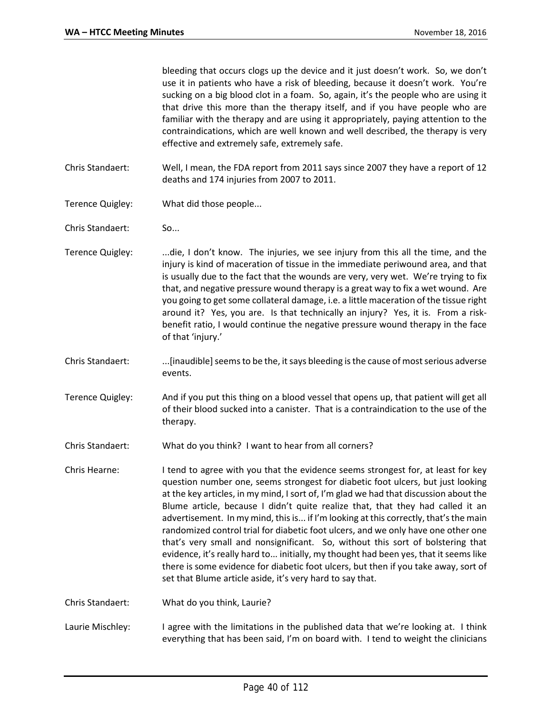bleeding that occurs clogs up the device and it just doesn't work. So, we don't use it in patients who have a risk of bleeding, because it doesn't work. You're sucking on a big blood clot in a foam. So, again, it's the people who are using it that drive this more than the therapy itself, and if you have people who are familiar with the therapy and are using it appropriately, paying attention to the contraindications, which are well known and well described, the therapy is very effective and extremely safe, extremely safe.

Chris Standaert: Well, I mean, the FDA report from 2011 says since 2007 they have a report of 12 deaths and 174 injuries from 2007 to 2011.

- Terence Quigley: What did those people...
- Chris Standaert: So...
- Terence Quigley: ...die, I don't know. The injuries, we see injury from this all the time, and the injury is kind of maceration of tissue in the immediate periwound area, and that is usually due to the fact that the wounds are very, very wet. We're trying to fix that, and negative pressure wound therapy is a great way to fix a wet wound. Are you going to get some collateral damage, i.e. a little maceration of the tissue right around it? Yes, you are. Is that technically an injury? Yes, it is. From a riskbenefit ratio, I would continue the negative pressure wound therapy in the face of that 'injury.'
- Chris Standaert: ...[inaudible] seems to be the, it says bleeding is the cause of most serious adverse events.
- Terence Quigley: And if you put this thing on a blood vessel that opens up, that patient will get all of their blood sucked into a canister. That is a contraindication to the use of the therapy.
- Chris Standaert: What do you think? I want to hear from all corners?
- Chris Hearne: I tend to agree with you that the evidence seems strongest for, at least for key question number one, seems strongest for diabetic foot ulcers, but just looking at the key articles, in my mind, I sort of, I'm glad we had that discussion about the Blume article, because I didn't quite realize that, that they had called it an advertisement. In my mind, this is... if I'm looking at this correctly, that's the main randomized control trial for diabetic foot ulcers, and we only have one other one that's very small and nonsignificant. So, without this sort of bolstering that evidence, it's really hard to... initially, my thought had been yes, that it seems like there is some evidence for diabetic foot ulcers, but then if you take away, sort of set that Blume article aside, it's very hard to say that.
- Chris Standaert: What do you think, Laurie?

Laurie Mischley: I agree with the limitations in the published data that we're looking at. I think everything that has been said, I'm on board with. I tend to weight the clinicians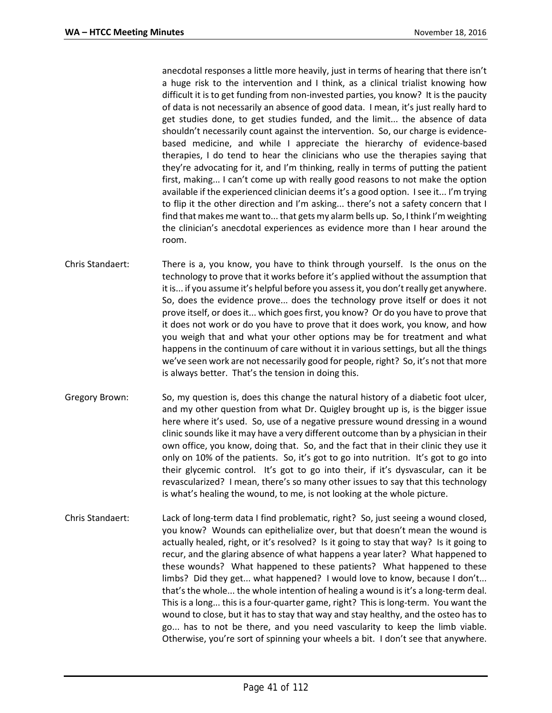anecdotal responses a little more heavily, just in terms of hearing that there isn't a huge risk to the intervention and I think, as a clinical trialist knowing how difficult it is to get funding from non-invested parties, you know? It is the paucity of data is not necessarily an absence of good data. I mean, it's just really hard to get studies done, to get studies funded, and the limit... the absence of data shouldn't necessarily count against the intervention. So, our charge is evidencebased medicine, and while I appreciate the hierarchy of evidence-based therapies, I do tend to hear the clinicians who use the therapies saying that they're advocating for it, and I'm thinking, really in terms of putting the patient first, making... I can't come up with really good reasons to not make the option available if the experienced clinician deems it's a good option. I see it... I'm trying to flip it the other direction and I'm asking... there's not a safety concern that I find that makes me want to... that gets my alarm bells up. So, I think I'm weighting the clinician's anecdotal experiences as evidence more than I hear around the room.

- Chris Standaert: There is a, you know, you have to think through yourself. Is the onus on the technology to prove that it works before it's applied without the assumption that it is... if you assume it's helpful before you assess it, you don't really get anywhere. So, does the evidence prove... does the technology prove itself or does it not prove itself, or does it... which goes first, you know? Or do you have to prove that it does not work or do you have to prove that it does work, you know, and how you weigh that and what your other options may be for treatment and what happens in the continuum of care without it in various settings, but all the things we've seen work are not necessarily good for people, right? So, it's not that more is always better. That's the tension in doing this.
- Gregory Brown: So, my question is, does this change the natural history of a diabetic foot ulcer, and my other question from what Dr. Quigley brought up is, is the bigger issue here where it's used. So, use of a negative pressure wound dressing in a wound clinic sounds like it may have a very different outcome than by a physician in their own office, you know, doing that. So, and the fact that in their clinic they use it only on 10% of the patients. So, it's got to go into nutrition. It's got to go into their glycemic control. It's got to go into their, if it's dysvascular, can it be revascularized? I mean, there's so many other issues to say that this technology is what's healing the wound, to me, is not looking at the whole picture.
- Chris Standaert: Lack of long-term data I find problematic, right? So, just seeing a wound closed, you know? Wounds can epithelialize over, but that doesn't mean the wound is actually healed, right, or it's resolved? Is it going to stay that way? Is it going to recur, and the glaring absence of what happens a year later? What happened to these wounds? What happened to these patients? What happened to these limbs? Did they get... what happened? I would love to know, because I don't... that's the whole... the whole intention of healing a wound is it's a long-term deal. This is a long... this is a four-quarter game, right? This is long-term. You want the wound to close, but it has to stay that way and stay healthy, and the osteo has to go... has to not be there, and you need vascularity to keep the limb viable. Otherwise, you're sort of spinning your wheels a bit. I don't see that anywhere.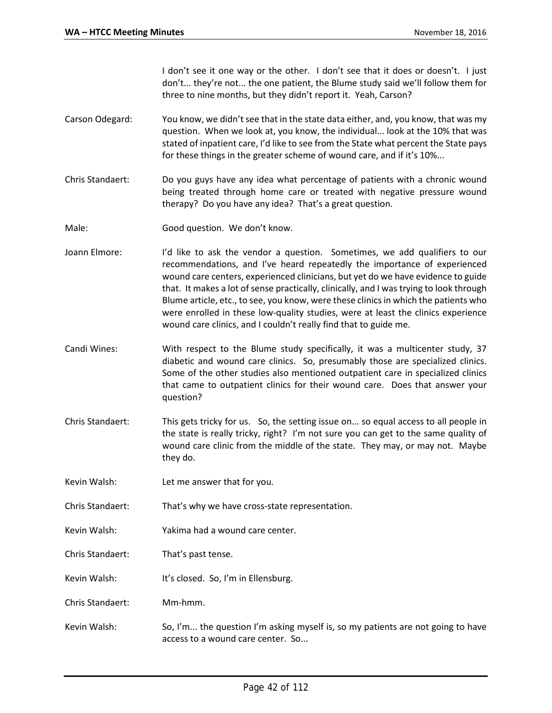I don't see it one way or the other. I don't see that it does or doesn't. I just don't... they're not... the one patient, the Blume study said we'll follow them for three to nine months, but they didn't report it. Yeah, Carson?

- Carson Odegard: You know, we didn't see that in the state data either, and, you know, that was my question. When we look at, you know, the individual... look at the 10% that was stated of inpatient care, I'd like to see from the State what percent the State pays for these things in the greater scheme of wound care, and if it's 10%...
- Chris Standaert: Do you guys have any idea what percentage of patients with a chronic wound being treated through home care or treated with negative pressure wound therapy? Do you have any idea? That's a great question.

Male: Good question. We don't know.

- Joann Elmore: I'd like to ask the vendor a question. Sometimes, we add qualifiers to our recommendations, and I've heard repeatedly the importance of experienced wound care centers, experienced clinicians, but yet do we have evidence to guide that. It makes a lot of sense practically, clinically, and I was trying to look through Blume article, etc., to see, you know, were these clinics in which the patients who were enrolled in these low-quality studies, were at least the clinics experience wound care clinics, and I couldn't really find that to guide me.
- Candi Wines: With respect to the Blume study specifically, it was a multicenter study, 37 diabetic and wound care clinics. So, presumably those are specialized clinics. Some of the other studies also mentioned outpatient care in specialized clinics that came to outpatient clinics for their wound care. Does that answer your question?
- Chris Standaert: This gets tricky for us. So, the setting issue on... so equal access to all people in the state is really tricky, right? I'm not sure you can get to the same quality of wound care clinic from the middle of the state. They may, or may not. Maybe they do.
- Kevin Walsh: Let me answer that for you.

Chris Standaert: That's why we have cross-state representation.

- Kevin Walsh: Yakima had a wound care center.
- Chris Standaert: That's past tense.
- Kevin Walsh: It's closed. So, I'm in Ellensburg.
- Chris Standaert: Mm-hmm.
- Kevin Walsh: So, I'm... the question I'm asking myself is, so my patients are not going to have access to a wound care center. So...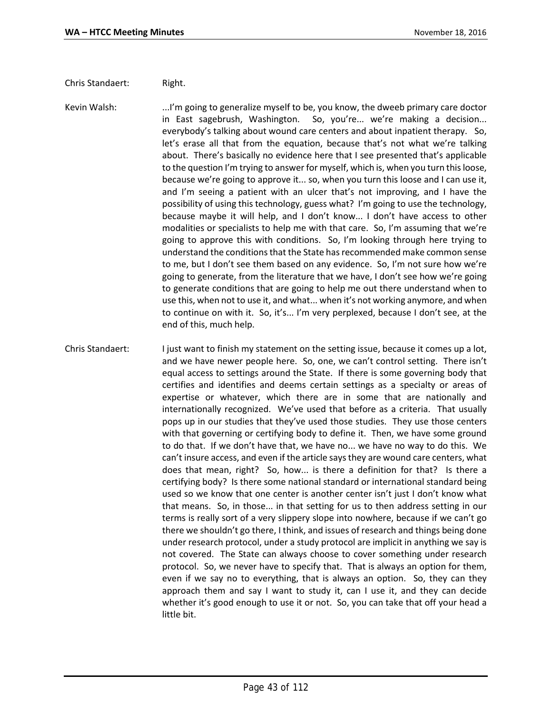## Chris Standaert: Right.

Kevin Walsh: ...I'm going to generalize myself to be, you know, the dweeb primary care doctor in East sagebrush, Washington. So, you're... we're making a decision... everybody's talking about wound care centers and about inpatient therapy. So, let's erase all that from the equation, because that's not what we're talking about. There's basically no evidence here that I see presented that's applicable to the question I'm trying to answer for myself, which is, when you turn this loose, because we're going to approve it... so, when you turn this loose and I can use it, and I'm seeing a patient with an ulcer that's not improving, and I have the possibility of using this technology, guess what? I'm going to use the technology, because maybe it will help, and I don't know... I don't have access to other modalities or specialists to help me with that care. So, I'm assuming that we're going to approve this with conditions. So, I'm looking through here trying to understand the conditions that the State has recommended make common sense to me, but I don't see them based on any evidence. So, I'm not sure how we're going to generate, from the literature that we have, I don't see how we're going to generate conditions that are going to help me out there understand when to use this, when not to use it, and what... when it's not working anymore, and when to continue on with it. So, it's... I'm very perplexed, because I don't see, at the end of this, much help.

Chris Standaert: I just want to finish my statement on the setting issue, because it comes up a lot, and we have newer people here. So, one, we can't control setting. There isn't equal access to settings around the State. If there is some governing body that certifies and identifies and deems certain settings as a specialty or areas of expertise or whatever, which there are in some that are nationally and internationally recognized. We've used that before as a criteria. That usually pops up in our studies that they've used those studies. They use those centers with that governing or certifying body to define it. Then, we have some ground to do that. If we don't have that, we have no... we have no way to do this. We can't insure access, and even if the article says they are wound care centers, what does that mean, right? So, how... is there a definition for that? Is there a certifying body? Is there some national standard or international standard being used so we know that one center is another center isn't just I don't know what that means. So, in those... in that setting for us to then address setting in our terms is really sort of a very slippery slope into nowhere, because if we can't go there we shouldn't go there, I think, and issues of research and things being done under research protocol, under a study protocol are implicit in anything we say is not covered. The State can always choose to cover something under research protocol. So, we never have to specify that. That is always an option for them, even if we say no to everything, that is always an option. So, they can they approach them and say I want to study it, can I use it, and they can decide whether it's good enough to use it or not. So, you can take that off your head a little bit.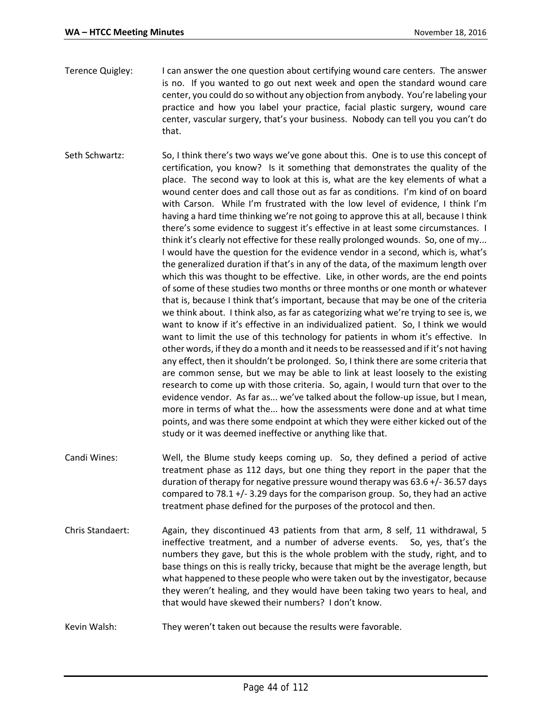- Terence Quigley: I can answer the one question about certifying wound care centers. The answer is no. If you wanted to go out next week and open the standard wound care center, you could do so without any objection from anybody. You're labeling your practice and how you label your practice, facial plastic surgery, wound care center, vascular surgery, that's your business. Nobody can tell you you can't do that.
- Seth Schwartz: So, I think there's two ways we've gone about this. One is to use this concept of certification, you know? Is it something that demonstrates the quality of the place. The second way to look at this is, what are the key elements of what a wound center does and call those out as far as conditions. I'm kind of on board with Carson. While I'm frustrated with the low level of evidence, I think I'm having a hard time thinking we're not going to approve this at all, because I think there's some evidence to suggest it's effective in at least some circumstances. I think it's clearly not effective for these really prolonged wounds. So, one of my... I would have the question for the evidence vendor in a second, which is, what's the generalized duration if that's in any of the data, of the maximum length over which this was thought to be effective. Like, in other words, are the end points of some of these studies two months or three months or one month or whatever that is, because I think that's important, because that may be one of the criteria we think about. I think also, as far as categorizing what we're trying to see is, we want to know if it's effective in an individualized patient. So, I think we would want to limit the use of this technology for patients in whom it's effective. In other words, if they do a month and it needs to be reassessed and if it's not having any effect, then it shouldn't be prolonged. So, I think there are some criteria that are common sense, but we may be able to link at least loosely to the existing research to come up with those criteria. So, again, I would turn that over to the evidence vendor. As far as... we've talked about the follow-up issue, but I mean, more in terms of what the... how the assessments were done and at what time points, and was there some endpoint at which they were either kicked out of the study or it was deemed ineffective or anything like that.
- Candi Wines: Well, the Blume study keeps coming up. So, they defined a period of active treatment phase as 112 days, but one thing they report in the paper that the duration of therapy for negative pressure wound therapy was 63.6 +/- 36.57 days compared to 78.1 +/- 3.29 days for the comparison group. So, they had an active treatment phase defined for the purposes of the protocol and then.
- Chris Standaert: Again, they discontinued 43 patients from that arm, 8 self, 11 withdrawal, 5 ineffective treatment, and a number of adverse events. So, yes, that's the numbers they gave, but this is the whole problem with the study, right, and to base things on this is really tricky, because that might be the average length, but what happened to these people who were taken out by the investigator, because they weren't healing, and they would have been taking two years to heal, and that would have skewed their numbers? I don't know.
- Kevin Walsh: They weren't taken out because the results were favorable.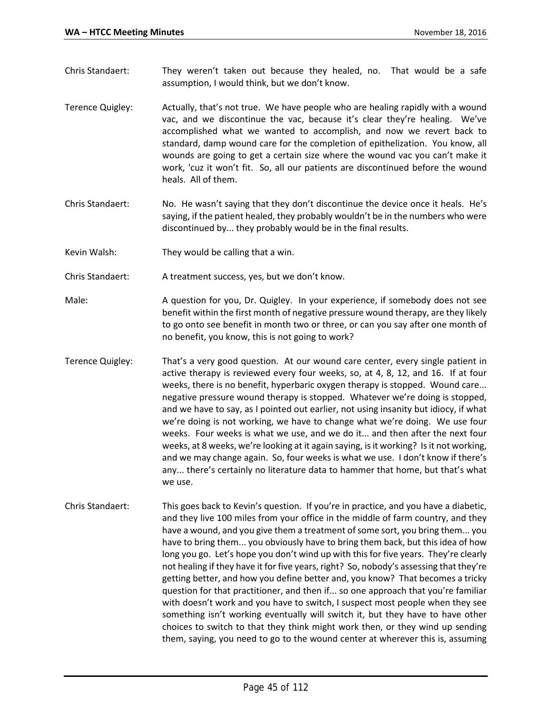- Chris Standaert: They weren't taken out because they healed, no. That would be a safe assumption, I would think, but we don't know.
- Terence Quigley: Actually, that's not true. We have people who are healing rapidly with a wound vac, and we discontinue the vac, because it's clear they're healing. We've accomplished what we wanted to accomplish, and now we revert back to standard, damp wound care for the completion of epithelization. You know, all wounds are going to get a certain size where the wound vac you can't make it work, 'cuz it won't fit. So, all our patients are discontinued before the wound heals. All of them.
- Chris Standaert: No. He wasn't saying that they don't discontinue the device once it heals. He's saying, if the patient healed, they probably wouldn't be in the numbers who were discontinued by... they probably would be in the final results.
- Kevin Walsh: They would be calling that a win.
- Chris Standaert: A treatment success, yes, but we don't know.
- Male: A question for you, Dr. Quigley. In your experience, if somebody does not see benefit within the first month of negative pressure wound therapy, are they likely to go onto see benefit in month two or three, or can you say after one month of no benefit, you know, this is not going to work?
- Terence Quigley: That's a very good question. At our wound care center, every single patient in active therapy is reviewed every four weeks, so, at 4, 8, 12, and 16. If at four weeks, there is no benefit, hyperbaric oxygen therapy is stopped. Wound care... negative pressure wound therapy is stopped. Whatever we're doing is stopped, and we have to say, as I pointed out earlier, not using insanity but idiocy, if what we're doing is not working, we have to change what we're doing. We use four weeks. Four weeks is what we use, and we do it... and then after the next four weeks, at 8 weeks, we're looking at it again saying, is it working? Is it not working, and we may change again. So, four weeks is what we use. I don't know if there's any... there's certainly no literature data to hammer that home, but that's what we use.
- Chris Standaert: This goes back to Kevin's question. If you're in practice, and you have a diabetic, and they live 100 miles from your office in the middle of farm country, and they have a wound, and you give them a treatment of some sort, you bring them... you have to bring them... you obviously have to bring them back, but this idea of how long you go. Let's hope you don't wind up with this for five years. They're clearly not healing if they have it for five years, right? So, nobody's assessing that they're getting better, and how you define better and, you know? That becomes a tricky question for that practitioner, and then if... so one approach that you're familiar with doesn't work and you have to switch, I suspect most people when they see something isn't working eventually will switch it, but they have to have other choices to switch to that they think might work then, or they wind up sending them, saying, you need to go to the wound center at wherever this is, assuming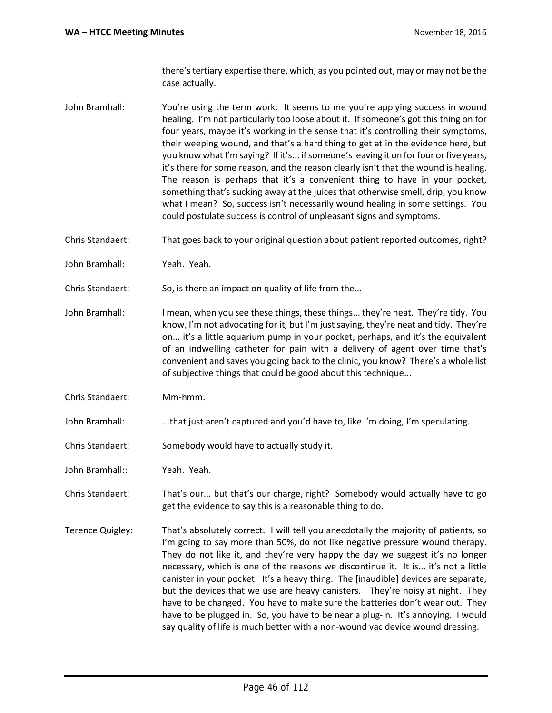there's tertiary expertise there, which, as you pointed out, may or may not be the case actually.

- John Bramhall: You're using the term work. It seems to me you're applying success in wound healing. I'm not particularly too loose about it. If someone's got this thing on for four years, maybe it's working in the sense that it's controlling their symptoms, their weeping wound, and that's a hard thing to get at in the evidence here, but you know what I'm saying? If it's... if someone's leaving it on for four or five years, it's there for some reason, and the reason clearly isn't that the wound is healing. The reason is perhaps that it's a convenient thing to have in your pocket, something that's sucking away at the juices that otherwise smell, drip, you know what I mean? So, success isn't necessarily wound healing in some settings. You could postulate success is control of unpleasant signs and symptoms.
- Chris Standaert: That goes back to your original question about patient reported outcomes, right?

John Bramhall: Yeah. Yeah.

Chris Standaert: So, is there an impact on quality of life from the...

- John Bramhall: I mean, when you see these things, these things... they're neat. They're tidy. You know, I'm not advocating for it, but I'm just saying, they're neat and tidy. They're on... it's a little aquarium pump in your pocket, perhaps, and it's the equivalent of an indwelling catheter for pain with a delivery of agent over time that's convenient and saves you going back to the clinic, you know? There's a whole list of subjective things that could be good about this technique...
- Chris Standaert: Mm-hmm.
- John Bramhall: ...that just aren't captured and you'd have to, like I'm doing, I'm speculating.
- Chris Standaert: Somebody would have to actually study it.
- John Bramhall:: Yeah. Yeah.
- Chris Standaert: That's our... but that's our charge, right? Somebody would actually have to go get the evidence to say this is a reasonable thing to do.
- Terence Quigley: That's absolutely correct. I will tell you anecdotally the majority of patients, so I'm going to say more than 50%, do not like negative pressure wound therapy. They do not like it, and they're very happy the day we suggest it's no longer necessary, which is one of the reasons we discontinue it. It is... it's not a little canister in your pocket. It's a heavy thing. The [inaudible] devices are separate, but the devices that we use are heavy canisters. They're noisy at night. They have to be changed. You have to make sure the batteries don't wear out. They have to be plugged in. So, you have to be near a plug-in. It's annoying. I would say quality of life is much better with a non-wound vac device wound dressing.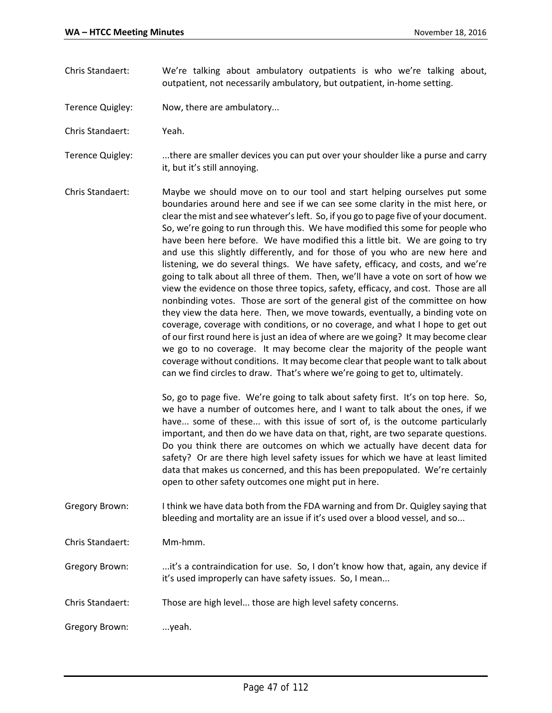- Chris Standaert: We're talking about ambulatory outpatients is who we're talking about, outpatient, not necessarily ambulatory, but outpatient, in-home setting.
- Terence Quigley: Now, there are ambulatory...
- Chris Standaert: Yeah.
- Terence Quigley: ...there are smaller devices you can put over your shoulder like a purse and carry it, but it's still annoying.
- Chris Standaert: Maybe we should move on to our tool and start helping ourselves put some boundaries around here and see if we can see some clarity in the mist here, or clear the mist and see whatever's left. So, if you go to page five of your document. So, we're going to run through this. We have modified this some for people who have been here before. We have modified this a little bit. We are going to try and use this slightly differently, and for those of you who are new here and listening, we do several things. We have safety, efficacy, and costs, and we're going to talk about all three of them. Then, we'll have a vote on sort of how we view the evidence on those three topics, safety, efficacy, and cost. Those are all nonbinding votes. Those are sort of the general gist of the committee on how they view the data here. Then, we move towards, eventually, a binding vote on coverage, coverage with conditions, or no coverage, and what I hope to get out of our first round here is just an idea of where are we going? It may become clear we go to no coverage. It may become clear the majority of the people want coverage without conditions. It may become clear that people want to talk about can we find circles to draw. That's where we're going to get to, ultimately.

So, go to page five. We're going to talk about safety first. It's on top here. So, we have a number of outcomes here, and I want to talk about the ones, if we have... some of these... with this issue of sort of, is the outcome particularly important, and then do we have data on that, right, are two separate questions. Do you think there are outcomes on which we actually have decent data for safety? Or are there high level safety issues for which we have at least limited data that makes us concerned, and this has been prepopulated. We're certainly open to other safety outcomes one might put in here.

Gregory Brown: I think we have data both from the FDA warning and from Dr. Quigley saying that bleeding and mortality are an issue if it's used over a blood vessel, and so...

Chris Standaert: Mm-hmm.

- Gregory Brown: ...it's a contraindication for use. So, I don't know how that, again, any device if it's used improperly can have safety issues. So, I mean...
- Chris Standaert: Those are high level... those are high level safety concerns.
- Gregory Brown: ...yeah.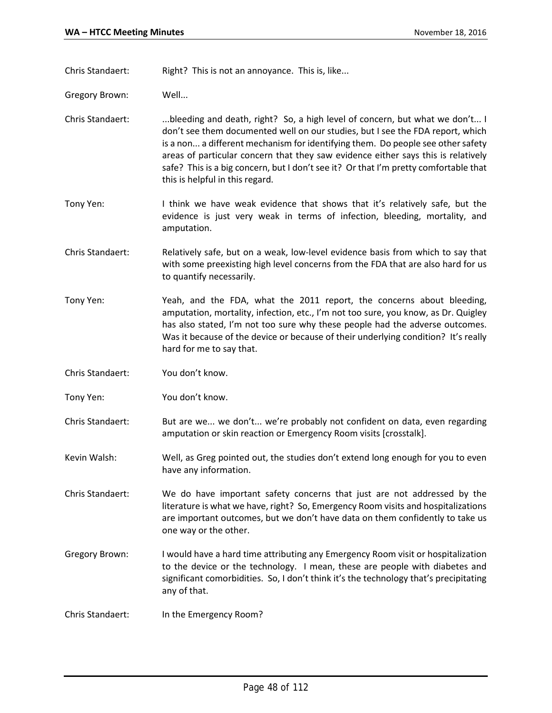Chris Standaert: Right? This is not an annoyance. This is, like...

- Gregory Brown: Well...
- Chris Standaert: ...bleeding and death, right? So, a high level of concern, but what we don't... I don't see them documented well on our studies, but I see the FDA report, which is a non... a different mechanism for identifying them. Do people see other safety areas of particular concern that they saw evidence either says this is relatively safe? This is a big concern, but I don't see it? Or that I'm pretty comfortable that this is helpful in this regard.
- Tony Yen: I think we have weak evidence that shows that it's relatively safe, but the evidence is just very weak in terms of infection, bleeding, mortality, and amputation.
- Chris Standaert: Relatively safe, but on a weak, low-level evidence basis from which to say that with some preexisting high level concerns from the FDA that are also hard for us to quantify necessarily.
- Tony Yen: Yeah, and the FDA, what the 2011 report, the concerns about bleeding, amputation, mortality, infection, etc., I'm not too sure, you know, as Dr. Quigley has also stated, I'm not too sure why these people had the adverse outcomes. Was it because of the device or because of their underlying condition? It's really hard for me to say that.
- Chris Standaert: You don't know.
- Tony Yen: You don't know.
- Chris Standaert: But are we... we don't... we're probably not confident on data, even regarding amputation or skin reaction or Emergency Room visits [crosstalk].
- Kevin Walsh: Well, as Greg pointed out, the studies don't extend long enough for you to even have any information.
- Chris Standaert: We do have important safety concerns that just are not addressed by the literature is what we have, right? So, Emergency Room visits and hospitalizations are important outcomes, but we don't have data on them confidently to take us one way or the other.
- Gregory Brown: I would have a hard time attributing any Emergency Room visit or hospitalization to the device or the technology. I mean, these are people with diabetes and significant comorbidities. So, I don't think it's the technology that's precipitating any of that.
- Chris Standaert: In the Emergency Room?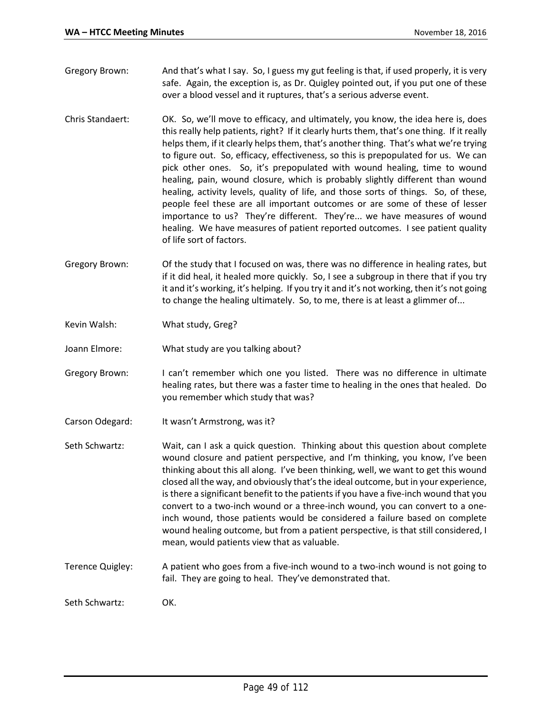- Gregory Brown: And that's what I say. So, I guess my gut feeling is that, if used properly, it is very safe. Again, the exception is, as Dr. Quigley pointed out, if you put one of these over a blood vessel and it ruptures, that's a serious adverse event.
- Chris Standaert: OK. So, we'll move to efficacy, and ultimately, you know, the idea here is, does this really help patients, right? If it clearly hurts them, that's one thing. If it really helps them, if it clearly helps them, that's another thing. That's what we're trying to figure out. So, efficacy, effectiveness, so this is prepopulated for us. We can pick other ones. So, it's prepopulated with wound healing, time to wound healing, pain, wound closure, which is probably slightly different than wound healing, activity levels, quality of life, and those sorts of things. So, of these, people feel these are all important outcomes or are some of these of lesser importance to us? They're different. They're... we have measures of wound healing. We have measures of patient reported outcomes. I see patient quality of life sort of factors.
- Gregory Brown: Of the study that I focused on was, there was no difference in healing rates, but if it did heal, it healed more quickly. So, I see a subgroup in there that if you try it and it's working, it's helping. If you try it and it's not working, then it's not going to change the healing ultimately. So, to me, there is at least a glimmer of...
- Kevin Walsh: What study, Greg?
- Joann Elmore: What study are you talking about?
- Gregory Brown: I can't remember which one you listed. There was no difference in ultimate healing rates, but there was a faster time to healing in the ones that healed. Do you remember which study that was?
- Carson Odegard: It wasn't Armstrong, was it?
- Seth Schwartz: Wait, can I ask a quick question. Thinking about this question about complete wound closure and patient perspective, and I'm thinking, you know, I've been thinking about this all along. I've been thinking, well, we want to get this wound closed all the way, and obviously that's the ideal outcome, but in your experience, is there a significant benefit to the patients if you have a five-inch wound that you convert to a two-inch wound or a three-inch wound, you can convert to a oneinch wound, those patients would be considered a failure based on complete wound healing outcome, but from a patient perspective, is that still considered, I mean, would patients view that as valuable.
- Terence Quigley: A patient who goes from a five-inch wound to a two-inch wound is not going to fail. They are going to heal. They've demonstrated that.

Seth Schwartz: OK.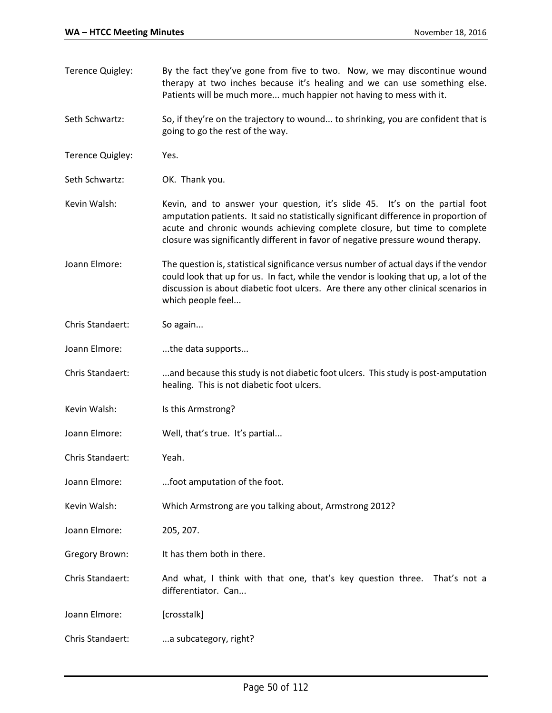therapy at two inches because it's healing and we can use something else. Patients will be much more... much happier not having to mess with it. Seth Schwartz: So, if they're on the trajectory to wound... to shrinking, you are confident that is going to go the rest of the way. Terence Quigley: Yes. Seth Schwartz: OK. Thank you. Kevin Walsh: Kevin, and to answer your question, it's slide 45. It's on the partial foot amputation patients. It said no statistically significant difference in proportion of acute and chronic wounds achieving complete closure, but time to complete closure was significantly different in favor of negative pressure wound therapy. Joann Elmore: The question is, statistical significance versus number of actual days if the vendor could look that up for us. In fact, while the vendor is looking that up, a lot of the discussion is about diabetic foot ulcers. Are there any other clinical scenarios in which people feel... Chris Standaert: So again... Joann Elmore: ....the data supports... Chris Standaert: ...and because this study is not diabetic foot ulcers. This study is post-amputation healing. This is not diabetic foot ulcers. Kevin Walsh: Is this Armstrong? Joann Elmore: Well, that's true. It's partial... Chris Standaert: Yeah. Joann Elmore: ...foot amputation of the foot. Kevin Walsh: Which Armstrong are you talking about, Armstrong 2012? Joann Elmore: 205, 207. Gregory Brown: It has them both in there. Chris Standaert: And what, I think with that one, that's key question three. That's not a differentiator. Can... Joann Elmore: [crosstalk] Chris Standaert: ....a subcategory, right?

Terence Quigley: By the fact they've gone from five to two. Now, we may discontinue wound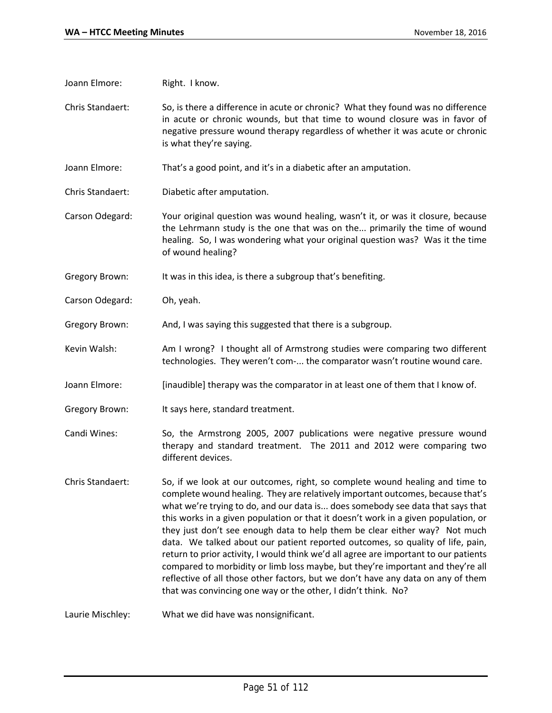| Joann Elmore: | Right. I know. |
|---------------|----------------|
|---------------|----------------|

- Chris Standaert: So, is there a difference in acute or chronic? What they found was no difference in acute or chronic wounds, but that time to wound closure was in favor of negative pressure wound therapy regardless of whether it was acute or chronic is what they're saying.
- Joann Elmore: That's a good point, and it's in a diabetic after an amputation.
- Chris Standaert: Diabetic after amputation.
- Carson Odegard: Your original question was wound healing, wasn't it, or was it closure, because the Lehrmann study is the one that was on the... primarily the time of wound healing. So, I was wondering what your original question was? Was it the time of wound healing?
- Gregory Brown: It was in this idea, is there a subgroup that's benefiting.
- Carson Odegard: Oh, yeah.
- Gregory Brown: And, I was saying this suggested that there is a subgroup.
- Kevin Walsh: Am I wrong? I thought all of Armstrong studies were comparing two different technologies. They weren't com-... the comparator wasn't routine wound care.
- Joann Elmore: [inaudible] therapy was the comparator in at least one of them that I know of.
- Gregory Brown: It says here, standard treatment.
- Candi Wines: So, the Armstrong 2005, 2007 publications were negative pressure wound therapy and standard treatment. The 2011 and 2012 were comparing two different devices.
- Chris Standaert: So, if we look at our outcomes, right, so complete wound healing and time to complete wound healing. They are relatively important outcomes, because that's what we're trying to do, and our data is... does somebody see data that says that this works in a given population or that it doesn't work in a given population, or they just don't see enough data to help them be clear either way? Not much data. We talked about our patient reported outcomes, so quality of life, pain, return to prior activity, I would think we'd all agree are important to our patients compared to morbidity or limb loss maybe, but they're important and they're all reflective of all those other factors, but we don't have any data on any of them that was convincing one way or the other, I didn't think. No?

Laurie Mischley: What we did have was nonsignificant.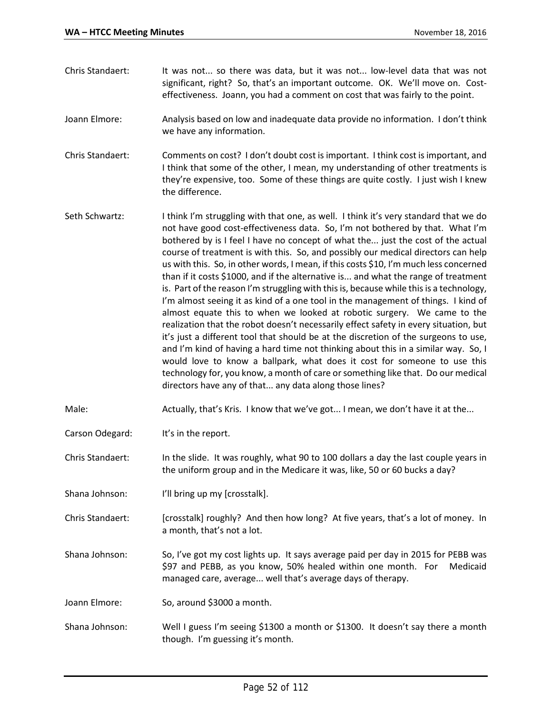- Chris Standaert: It was not... so there was data, but it was not... low-level data that was not significant, right? So, that's an important outcome. OK. We'll move on. Costeffectiveness. Joann, you had a comment on cost that was fairly to the point.
- Joann Elmore: Analysis based on low and inadequate data provide no information. I don't think we have any information.
- Chris Standaert: Comments on cost? I don't doubt cost is important. I think cost is important, and I think that some of the other, I mean, my understanding of other treatments is they're expensive, too. Some of these things are quite costly. I just wish I knew the difference.
- Seth Schwartz: I think I'm struggling with that one, as well. I think it's very standard that we do not have good cost-effectiveness data. So, I'm not bothered by that. What I'm bothered by is I feel I have no concept of what the... just the cost of the actual course of treatment is with this. So, and possibly our medical directors can help us with this. So, in other words, I mean, if this costs \$10, I'm much less concerned than if it costs \$1000, and if the alternative is... and what the range of treatment is. Part of the reason I'm struggling with this is, because while this is a technology, I'm almost seeing it as kind of a one tool in the management of things. I kind of almost equate this to when we looked at robotic surgery. We came to the realization that the robot doesn't necessarily effect safety in every situation, but it's just a different tool that should be at the discretion of the surgeons to use, and I'm kind of having a hard time not thinking about this in a similar way. So, I would love to know a ballpark, what does it cost for someone to use this technology for, you know, a month of care or something like that. Do our medical directors have any of that... any data along those lines?
- Male: Actually, that's Kris. I know that we've got... I mean, we don't have it at the...
- Carson Odegard: It's in the report.
- Chris Standaert: In the slide. It was roughly, what 90 to 100 dollars a day the last couple years in the uniform group and in the Medicare it was, like, 50 or 60 bucks a day?
- Shana Johnson: I'll bring up my [crosstalk].
- Chris Standaert: [crosstalk] roughly? And then how long? At five years, that's a lot of money. In a month, that's not a lot.
- Shana Johnson: So, I've got my cost lights up. It says average paid per day in 2015 for PEBB was \$97 and PEBB, as you know, 50% healed within one month. For Medicaid managed care, average... well that's average days of therapy.
- Joann Elmore: So, around \$3000 a month.
- Shana Johnson: Well I guess I'm seeing \$1300 a month or \$1300. It doesn't say there a month though. I'm guessing it's month.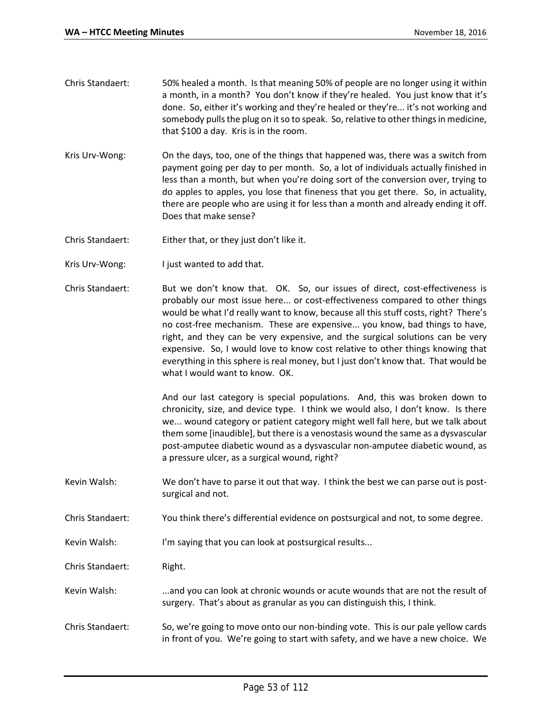- Chris Standaert: 50% healed a month. Is that meaning 50% of people are no longer using it within a month, in a month? You don't know if they're healed. You just know that it's done. So, either it's working and they're healed or they're... it's not working and somebody pulls the plug on it so to speak. So, relative to other things in medicine, that \$100 a day. Kris is in the room.
- Kris Urv-Wong: On the days, too, one of the things that happened was, there was a switch from payment going per day to per month. So, a lot of individuals actually finished in less than a month, but when you're doing sort of the conversion over, trying to do apples to apples, you lose that fineness that you get there. So, in actuality, there are people who are using it for less than a month and already ending it off. Does that make sense?
- Chris Standaert: Either that, or they just don't like it.
- Kris Urv-Wong: I just wanted to add that.
- Chris Standaert: But we don't know that. OK. So, our issues of direct, cost-effectiveness is probably our most issue here... or cost-effectiveness compared to other things would be what I'd really want to know, because all this stuff costs, right? There's no cost-free mechanism. These are expensive... you know, bad things to have, right, and they can be very expensive, and the surgical solutions can be very expensive. So, I would love to know cost relative to other things knowing that everything in this sphere is real money, but I just don't know that. That would be what I would want to know. OK.

And our last category is special populations. And, this was broken down to chronicity, size, and device type. I think we would also, I don't know. Is there we... wound category or patient category might well fall here, but we talk about them some [inaudible], but there is a venostasis wound the same as a dysvascular post-amputee diabetic wound as a dysvascular non-amputee diabetic wound, as a pressure ulcer, as a surgical wound, right?

- Kevin Walsh: We don't have to parse it out that way. I think the best we can parse out is postsurgical and not.
- Chris Standaert: You think there's differential evidence on postsurgical and not, to some degree.
- Kevin Walsh: I'm saying that you can look at postsurgical results...

Chris Standaert: Right.

- Kevin Walsh: ...and you can look at chronic wounds or acute wounds that are not the result of surgery. That's about as granular as you can distinguish this, I think.
- Chris Standaert: So, we're going to move onto our non-binding vote. This is our pale yellow cards in front of you. We're going to start with safety, and we have a new choice. We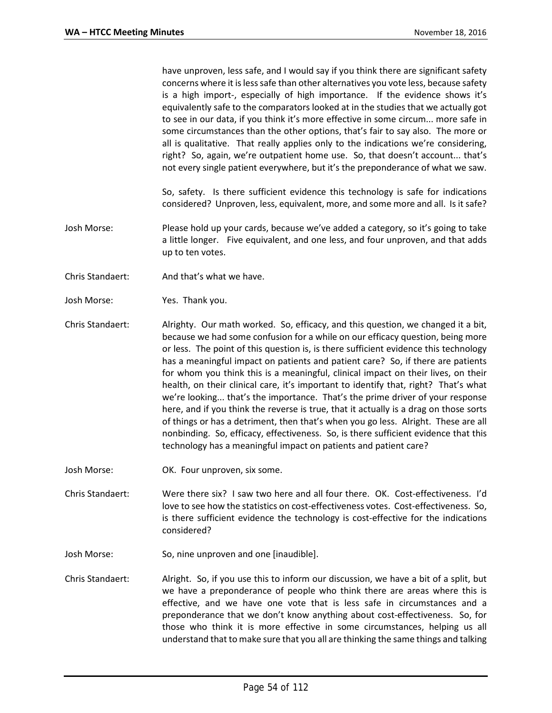have unproven, less safe, and I would say if you think there are significant safety concerns where it is less safe than other alternatives you vote less, because safety is a high import-, especially of high importance. If the evidence shows it's equivalently safe to the comparators looked at in the studies that we actually got to see in our data, if you think it's more effective in some circum... more safe in some circumstances than the other options, that's fair to say also. The more or all is qualitative. That really applies only to the indications we're considering, right? So, again, we're outpatient home use. So, that doesn't account... that's not every single patient everywhere, but it's the preponderance of what we saw.

So, safety. Is there sufficient evidence this technology is safe for indications considered? Unproven, less, equivalent, more, and some more and all. Is it safe?

- Josh Morse: Please hold up your cards, because we've added a category, so it's going to take a little longer. Five equivalent, and one less, and four unproven, and that adds up to ten votes.
- Chris Standaert: And that's what we have.
- Josh Morse: Yes. Thank you.
- Chris Standaert: Alrighty. Our math worked. So, efficacy, and this question, we changed it a bit, because we had some confusion for a while on our efficacy question, being more or less. The point of this question is, is there sufficient evidence this technology has a meaningful impact on patients and patient care? So, if there are patients for whom you think this is a meaningful, clinical impact on their lives, on their health, on their clinical care, it's important to identify that, right? That's what we're looking... that's the importance. That's the prime driver of your response here, and if you think the reverse is true, that it actually is a drag on those sorts of things or has a detriment, then that's when you go less. Alright. These are all nonbinding. So, efficacy, effectiveness. So, is there sufficient evidence that this technology has a meaningful impact on patients and patient care?
- Josh Morse: OK. Four unproven, six some.
- Chris Standaert: Were there six? I saw two here and all four there. OK. Cost-effectiveness. I'd love to see how the statistics on cost-effectiveness votes. Cost-effectiveness. So, is there sufficient evidence the technology is cost-effective for the indications considered?
- Josh Morse: So, nine unproven and one [inaudible].
- Chris Standaert: Alright. So, if you use this to inform our discussion, we have a bit of a split, but we have a preponderance of people who think there are areas where this is effective, and we have one vote that is less safe in circumstances and a preponderance that we don't know anything about cost-effectiveness. So, for those who think it is more effective in some circumstances, helping us all understand that to make sure that you all are thinking the same things and talking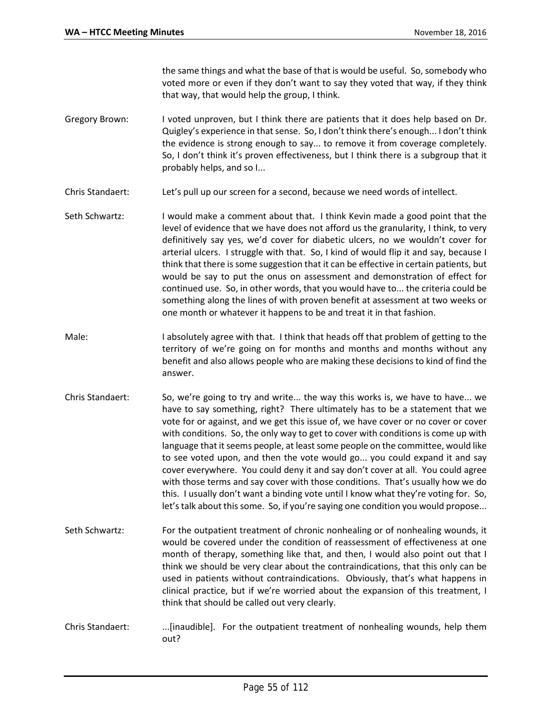the same things and what the base of that is would be useful. So, somebody who voted more or even if they don't want to say they voted that way, if they think that way, that would help the group, I think.

- Gregory Brown: I voted unproven, but I think there are patients that it does help based on Dr. Quigley's experience in that sense. So, I don't think there's enough... I don't think the evidence is strong enough to say... to remove it from coverage completely. So, I don't think it's proven effectiveness, but I think there is a subgroup that it probably helps, and so I...
- Chris Standaert: Let's pull up our screen for a second, because we need words of intellect.
- Seth Schwartz: I would make a comment about that. I think Kevin made a good point that the level of evidence that we have does not afford us the granularity, I think, to very definitively say yes, we'd cover for diabetic ulcers, no we wouldn't cover for arterial ulcers. I struggle with that. So, I kind of would flip it and say, because I think that there is some suggestion that it can be effective in certain patients, but would be say to put the onus on assessment and demonstration of effect for continued use. So, in other words, that you would have to... the criteria could be something along the lines of with proven benefit at assessment at two weeks or one month or whatever it happens to be and treat it in that fashion.
- Male: I absolutely agree with that. I think that heads off that problem of getting to the territory of we're going on for months and months and months without any benefit and also allows people who are making these decisions to kind of find the answer.
- Chris Standaert: So, we're going to try and write... the way this works is, we have to have... we have to say something, right? There ultimately has to be a statement that we vote for or against, and we get this issue of, we have cover or no cover or cover with conditions. So, the only way to get to cover with conditions is come up with language that it seems people, at least some people on the committee, would like to see voted upon, and then the vote would go... you could expand it and say cover everywhere. You could deny it and say don't cover at all. You could agree with those terms and say cover with those conditions. That's usually how we do this. I usually don't want a binding vote until I know what they're voting for. So, let's talk about this some. So, if you're saying one condition you would propose...
- Seth Schwartz: For the outpatient treatment of chronic nonhealing or of nonhealing wounds, it would be covered under the condition of reassessment of effectiveness at one month of therapy, something like that, and then, I would also point out that I think we should be very clear about the contraindications, that this only can be used in patients without contraindications. Obviously, that's what happens in clinical practice, but if we're worried about the expansion of this treatment, I think that should be called out very clearly.
- Chris Standaert: ...[inaudible]. For the outpatient treatment of nonhealing wounds, help them out?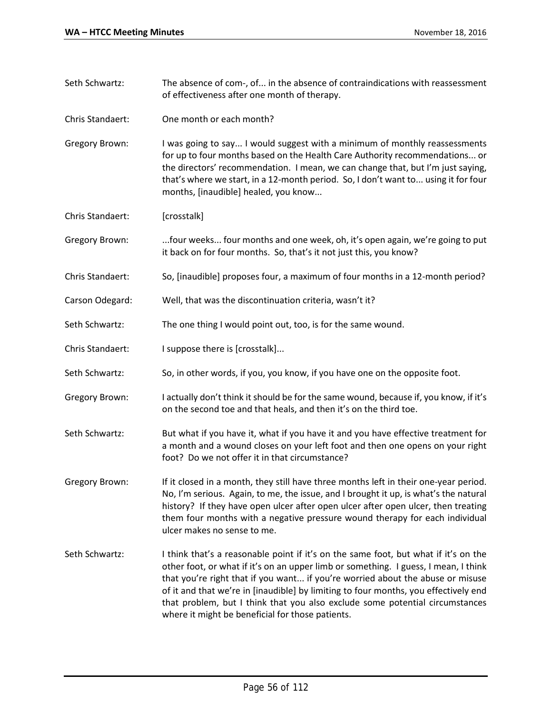Seth Schwartz: The absence of com-, of... in the absence of contraindications with reassessment of effectiveness after one month of therapy. Chris Standaert: One month or each month? Gregory Brown: I was going to say... I would suggest with a minimum of monthly reassessments for up to four months based on the Health Care Authority recommendations... or the directors' recommendation. I mean, we can change that, but I'm just saying, that's where we start, in a 12-month period. So, I don't want to... using it for four months, [inaudible] healed, you know... Chris Standaert: [crosstalk] Gregory Brown: ...four weeks... four months and one week, oh, it's open again, we're going to put it back on for four months. So, that's it not just this, you know? Chris Standaert: So, [inaudible] proposes four, a maximum of four months in a 12-month period? Carson Odegard: Well, that was the discontinuation criteria, wasn't it? Seth Schwartz: The one thing I would point out, too, is for the same wound. Chris Standaert: I suppose there is [crosstalk]... Seth Schwartz: So, in other words, if you, you know, if you have one on the opposite foot. Gregory Brown: I actually don't think it should be for the same wound, because if, you know, if it's on the second toe and that heals, and then it's on the third toe. Seth Schwartz: But what if you have it, what if you have it and you have effective treatment for a month and a wound closes on your left foot and then one opens on your right foot? Do we not offer it in that circumstance? Gregory Brown: If it closed in a month, they still have three months left in their one-year period. No, I'm serious. Again, to me, the issue, and I brought it up, is what's the natural history? If they have open ulcer after open ulcer after open ulcer, then treating them four months with a negative pressure wound therapy for each individual ulcer makes no sense to me. Seth Schwartz: I think that's a reasonable point if it's on the same foot, but what if it's on the other foot, or what if it's on an upper limb or something. I guess, I mean, I think that you're right that if you want... if you're worried about the abuse or misuse of it and that we're in [inaudible] by limiting to four months, you effectively end that problem, but I think that you also exclude some potential circumstances where it might be beneficial for those patients.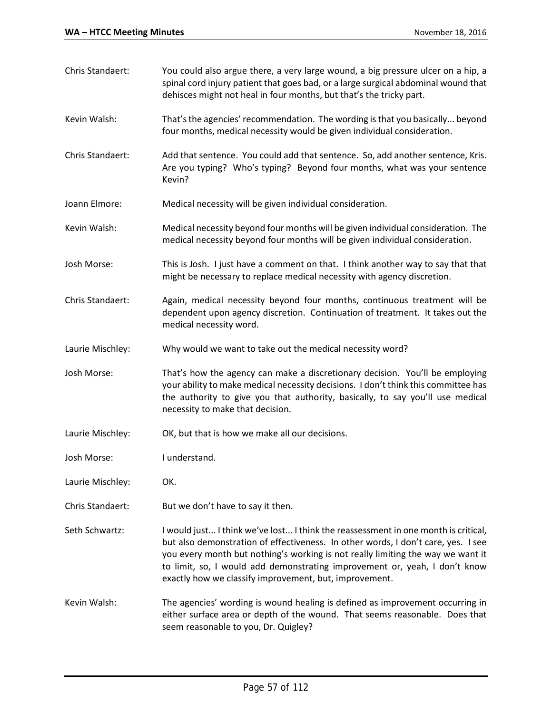- Chris Standaert: You could also argue there, a very large wound, a big pressure ulcer on a hip, a spinal cord injury patient that goes bad, or a large surgical abdominal wound that dehisces might not heal in four months, but that's the tricky part.
- Kevin Walsh: That's the agencies' recommendation. The wording is that you basically... beyond four months, medical necessity would be given individual consideration.
- Chris Standaert: Add that sentence. You could add that sentence. So, add another sentence, Kris. Are you typing? Who's typing? Beyond four months, what was your sentence Kevin?
- Joann Elmore: Medical necessity will be given individual consideration.
- Kevin Walsh: Medical necessity beyond four months will be given individual consideration. The medical necessity beyond four months will be given individual consideration.
- Josh Morse: This is Josh. I just have a comment on that. I think another way to say that that might be necessary to replace medical necessity with agency discretion.
- Chris Standaert: Again, medical necessity beyond four months, continuous treatment will be dependent upon agency discretion. Continuation of treatment. It takes out the medical necessity word.
- Laurie Mischley: Why would we want to take out the medical necessity word?
- Josh Morse: That's how the agency can make a discretionary decision. You'll be employing your ability to make medical necessity decisions. I don't think this committee has the authority to give you that authority, basically, to say you'll use medical necessity to make that decision.
- Laurie Mischley: OK, but that is how we make all our decisions.
- Josh Morse: I understand.
- Laurie Mischley: OK.
- Chris Standaert: But we don't have to say it then.
- Seth Schwartz: I would just... I think we've lost... I think the reassessment in one month is critical, but also demonstration of effectiveness. In other words, I don't care, yes. I see you every month but nothing's working is not really limiting the way we want it to limit, so, I would add demonstrating improvement or, yeah, I don't know exactly how we classify improvement, but, improvement.
- Kevin Walsh: The agencies' wording is wound healing is defined as improvement occurring in either surface area or depth of the wound. That seems reasonable. Does that seem reasonable to you, Dr. Quigley?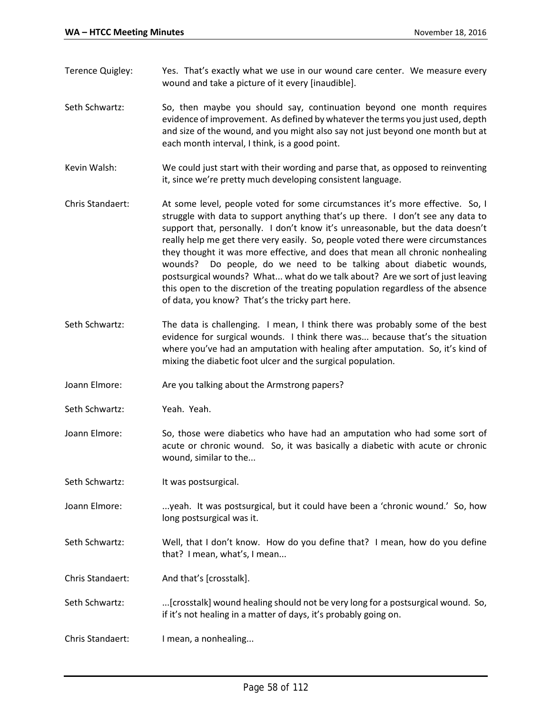- Terence Quigley: Yes. That's exactly what we use in our wound care center. We measure every wound and take a picture of it every [inaudible].
- Seth Schwartz: So, then maybe you should say, continuation beyond one month requires evidence of improvement. As defined by whatever the terms you just used, depth and size of the wound, and you might also say not just beyond one month but at each month interval, I think, is a good point.
- Kevin Walsh: We could just start with their wording and parse that, as opposed to reinventing it, since we're pretty much developing consistent language.
- Chris Standaert: At some level, people voted for some circumstances it's more effective. So, I struggle with data to support anything that's up there. I don't see any data to support that, personally. I don't know it's unreasonable, but the data doesn't really help me get there very easily. So, people voted there were circumstances they thought it was more effective, and does that mean all chronic nonhealing wounds? Do people, do we need to be talking about diabetic wounds, postsurgical wounds? What... what do we talk about? Are we sort of just leaving this open to the discretion of the treating population regardless of the absence of data, you know? That's the tricky part here.
- Seth Schwartz: The data is challenging. I mean, I think there was probably some of the best evidence for surgical wounds. I think there was... because that's the situation where you've had an amputation with healing after amputation. So, it's kind of mixing the diabetic foot ulcer and the surgical population.
- Joann Elmore: Are you talking about the Armstrong papers?
- Seth Schwartz: Yeah. Yeah.
- Joann Elmore: So, those were diabetics who have had an amputation who had some sort of acute or chronic wound. So, it was basically a diabetic with acute or chronic wound, similar to the...
- Seth Schwartz: It was postsurgical.
- Joann Elmore: ...yeah. It was postsurgical, but it could have been a 'chronic wound.' So, how long postsurgical was it.
- Seth Schwartz: Well, that I don't know. How do you define that? I mean, how do you define that? I mean, what's, I mean...
- Chris Standaert: And that's [crosstalk].
- Seth Schwartz: ...[crosstalk] wound healing should not be very long for a postsurgical wound. So, if it's not healing in a matter of days, it's probably going on.
- Chris Standaert: I mean, a nonhealing...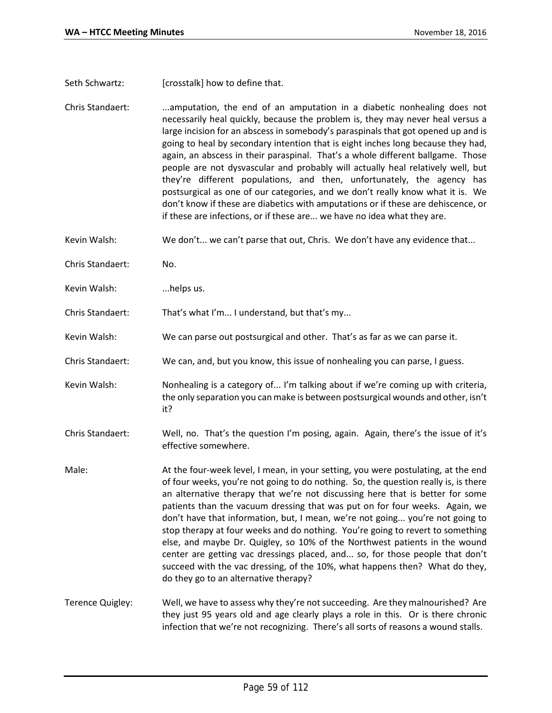Seth Schwartz: [crosstalk] how to define that.

Chris Standaert: ...amputation, the end of an amputation in a diabetic nonhealing does not necessarily heal quickly, because the problem is, they may never heal versus a large incision for an abscess in somebody's paraspinals that got opened up and is going to heal by secondary intention that is eight inches long because they had, again, an abscess in their paraspinal. That's a whole different ballgame. Those people are not dysvascular and probably will actually heal relatively well, but they're different populations, and then, unfortunately, the agency has postsurgical as one of our categories, and we don't really know what it is. We don't know if these are diabetics with amputations or if these are dehiscence, or if these are infections, or if these are... we have no idea what they are.

- Kevin Walsh: We don't... we can't parse that out, Chris. We don't have any evidence that...
- Chris Standaert: No.
- Kevin Walsh: ....helps us.
- Chris Standaert: That's what I'm... I understand, but that's my...
- Kevin Walsh: We can parse out postsurgical and other. That's as far as we can parse it.
- Chris Standaert: We can, and, but you know, this issue of nonhealing you can parse, I guess.
- Kevin Walsh: Nonhealing is a category of... I'm talking about if we're coming up with criteria, the only separation you can make is between postsurgical wounds and other, isn't it?
- Chris Standaert: Well, no. That's the question I'm posing, again. Again, there's the issue of it's effective somewhere.
- Male: At the four-week level, I mean, in your setting, you were postulating, at the end of four weeks, you're not going to do nothing. So, the question really is, is there an alternative therapy that we're not discussing here that is better for some patients than the vacuum dressing that was put on for four weeks. Again, we don't have that information, but, I mean, we're not going... you're not going to stop therapy at four weeks and do nothing. You're going to revert to something else, and maybe Dr. Quigley, so 10% of the Northwest patients in the wound center are getting vac dressings placed, and... so, for those people that don't succeed with the vac dressing, of the 10%, what happens then? What do they, do they go to an alternative therapy?

Terence Quigley: Well, we have to assess why they're not succeeding. Are they malnourished? Are they just 95 years old and age clearly plays a role in this. Or is there chronic infection that we're not recognizing. There's all sorts of reasons a wound stalls.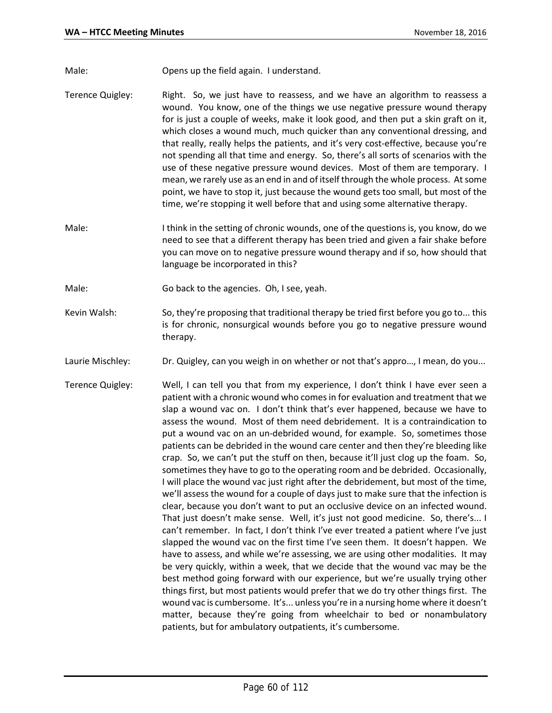Male: Opens up the field again. I understand.

- Terence Quigley: Right. So, we just have to reassess, and we have an algorithm to reassess a wound. You know, one of the things we use negative pressure wound therapy for is just a couple of weeks, make it look good, and then put a skin graft on it, which closes a wound much, much quicker than any conventional dressing, and that really, really helps the patients, and it's very cost-effective, because you're not spending all that time and energy. So, there's all sorts of scenarios with the use of these negative pressure wound devices. Most of them are temporary. I mean, we rarely use as an end in and of itself through the whole process. At some point, we have to stop it, just because the wound gets too small, but most of the time, we're stopping it well before that and using some alternative therapy.
- Male: I think in the setting of chronic wounds, one of the questions is, you know, do we need to see that a different therapy has been tried and given a fair shake before you can move on to negative pressure wound therapy and if so, how should that language be incorporated in this?
- Male: Go back to the agencies. Oh, I see, yeah.
- Kevin Walsh: So, they're proposing that traditional therapy be tried first before you go to... this is for chronic, nonsurgical wounds before you go to negative pressure wound therapy.
- Laurie Mischley: Dr. Quigley, can you weigh in on whether or not that's appro..., I mean, do you...
- Terence Quigley: Well, I can tell you that from my experience, I don't think I have ever seen a patient with a chronic wound who comes in for evaluation and treatment that we slap a wound vac on. I don't think that's ever happened, because we have to assess the wound. Most of them need debridement. It is a contraindication to put a wound vac on an un-debrided wound, for example. So, sometimes those patients can be debrided in the wound care center and then they're bleeding like crap. So, we can't put the stuff on then, because it'll just clog up the foam. So, sometimes they have to go to the operating room and be debrided. Occasionally, I will place the wound vac just right after the debridement, but most of the time, we'll assess the wound for a couple of days just to make sure that the infection is clear, because you don't want to put an occlusive device on an infected wound. That just doesn't make sense. Well, it's just not good medicine. So, there's... I can't remember. In fact, I don't think I've ever treated a patient where I've just slapped the wound vac on the first time I've seen them. It doesn't happen. We have to assess, and while we're assessing, we are using other modalities. It may be very quickly, within a week, that we decide that the wound vac may be the best method going forward with our experience, but we're usually trying other things first, but most patients would prefer that we do try other things first. The wound vac is cumbersome. It's... unless you're in a nursing home where it doesn't matter, because they're going from wheelchair to bed or nonambulatory patients, but for ambulatory outpatients, it's cumbersome.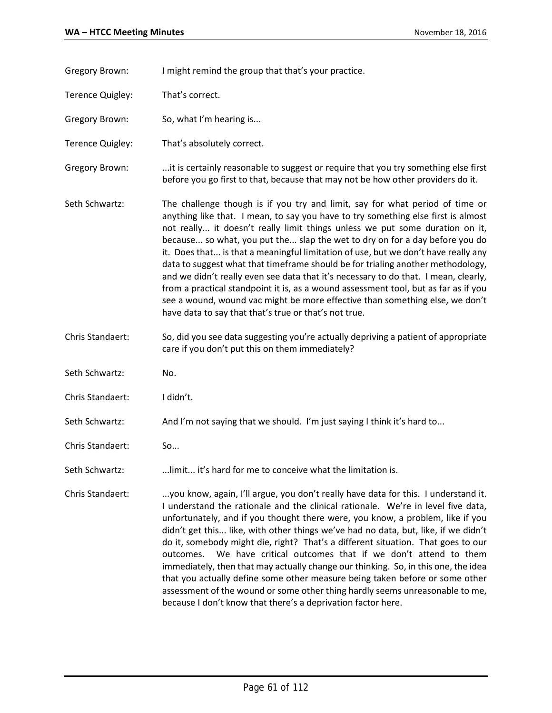Gregory Brown: I might remind the group that that's your practice.

- Terence Quigley: That's correct.
- Gregory Brown: So, what I'm hearing is...
- Terence Quigley: That's absolutely correct.

Gregory Brown: ...it is certainly reasonable to suggest or require that you try something else first before you go first to that, because that may not be how other providers do it.

- Seth Schwartz: The challenge though is if you try and limit, say for what period of time or anything like that. I mean, to say you have to try something else first is almost not really... it doesn't really limit things unless we put some duration on it, because... so what, you put the... slap the wet to dry on for a day before you do it. Does that... is that a meaningful limitation of use, but we don't have really any data to suggest what that timeframe should be for trialing another methodology, and we didn't really even see data that it's necessary to do that. I mean, clearly, from a practical standpoint it is, as a wound assessment tool, but as far as if you see a wound, wound vac might be more effective than something else, we don't have data to say that that's true or that's not true.
- Chris Standaert: So, did you see data suggesting you're actually depriving a patient of appropriate care if you don't put this on them immediately?
- Seth Schwartz: No.
- Chris Standaert: I didn't.
- Seth Schwartz: And I'm not saying that we should. I'm just saying I think it's hard to...
- Chris Standaert: So...
- Seth Schwartz: ...limit... it's hard for me to conceive what the limitation is.
- Chris Standaert: ...you know, again, I'll argue, you don't really have data for this. I understand it. I understand the rationale and the clinical rationale. We're in level five data, unfortunately, and if you thought there were, you know, a problem, like if you didn't get this... like, with other things we've had no data, but, like, if we didn't do it, somebody might die, right? That's a different situation. That goes to our outcomes. We have critical outcomes that if we don't attend to them immediately, then that may actually change our thinking. So, in this one, the idea that you actually define some other measure being taken before or some other assessment of the wound or some other thing hardly seems unreasonable to me, because I don't know that there's a deprivation factor here.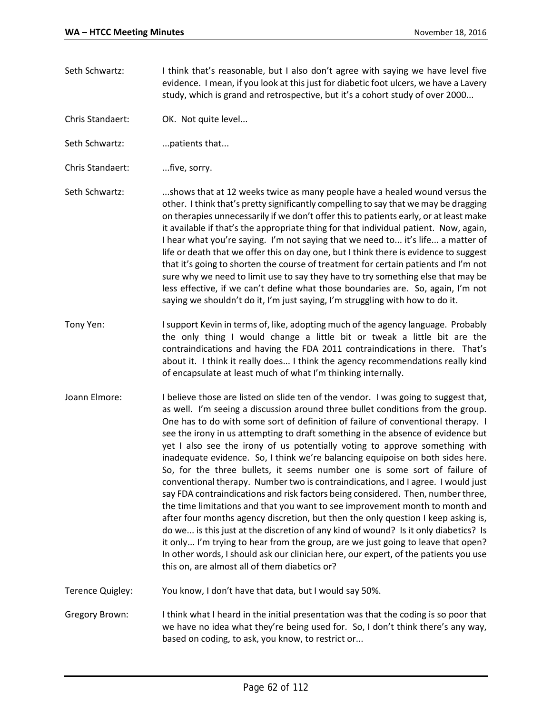Seth Schwartz: I think that's reasonable, but I also don't agree with saying we have level five evidence. I mean, if you look at this just for diabetic foot ulcers, we have a Lavery study, which is grand and retrospective, but it's a cohort study of over 2000...

Chris Standaert: OK. Not quite level...

Seth Schwartz: ...patients that...

Chris Standaert: ...five, sorry.

Seth Schwartz: ....shows that at 12 weeks twice as many people have a healed wound versus the other. I think that's pretty significantly compelling to say that we may be dragging on therapies unnecessarily if we don't offer this to patients early, or at least make it available if that's the appropriate thing for that individual patient. Now, again, I hear what you're saying. I'm not saying that we need to... it's life... a matter of life or death that we offer this on day one, but I think there is evidence to suggest that it's going to shorten the course of treatment for certain patients and I'm not sure why we need to limit use to say they have to try something else that may be less effective, if we can't define what those boundaries are. So, again, I'm not saying we shouldn't do it, I'm just saying, I'm struggling with how to do it.

- Tony Yen: I support Kevin in terms of, like, adopting much of the agency language. Probably the only thing I would change a little bit or tweak a little bit are the contraindications and having the FDA 2011 contraindications in there. That's about it. I think it really does... I think the agency recommendations really kind of encapsulate at least much of what I'm thinking internally.
- Joann Elmore: I believe those are listed on slide ten of the vendor. I was going to suggest that, as well. I'm seeing a discussion around three bullet conditions from the group. One has to do with some sort of definition of failure of conventional therapy. I see the irony in us attempting to draft something in the absence of evidence but yet I also see the irony of us potentially voting to approve something with inadequate evidence. So, I think we're balancing equipoise on both sides here. So, for the three bullets, it seems number one is some sort of failure of conventional therapy. Number two is contraindications, and I agree. I would just say FDA contraindications and risk factors being considered. Then, number three, the time limitations and that you want to see improvement month to month and after four months agency discretion, but then the only question I keep asking is, do we... is this just at the discretion of any kind of wound? Is it only diabetics? Is it only... I'm trying to hear from the group, are we just going to leave that open? In other words, I should ask our clinician here, our expert, of the patients you use this on, are almost all of them diabetics or?

Terence Quigley: You know, I don't have that data, but I would say 50%.

Gregory Brown: I think what I heard in the initial presentation was that the coding is so poor that we have no idea what they're being used for. So, I don't think there's any way, based on coding, to ask, you know, to restrict or...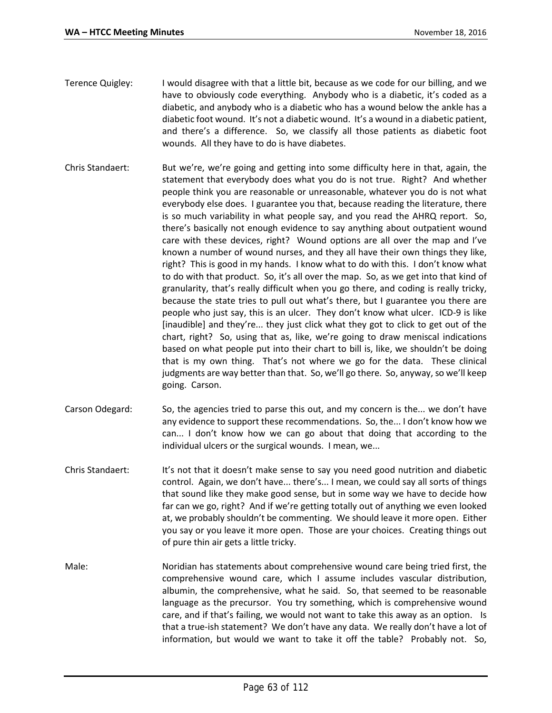- Terence Quigley: I would disagree with that a little bit, because as we code for our billing, and we have to obviously code everything. Anybody who is a diabetic, it's coded as a diabetic, and anybody who is a diabetic who has a wound below the ankle has a diabetic foot wound. It's not a diabetic wound. It's a wound in a diabetic patient, and there's a difference. So, we classify all those patients as diabetic foot wounds. All they have to do is have diabetes.
- Chris Standaert: But we're, we're going and getting into some difficulty here in that, again, the statement that everybody does what you do is not true. Right? And whether people think you are reasonable or unreasonable, whatever you do is not what everybody else does. I guarantee you that, because reading the literature, there is so much variability in what people say, and you read the AHRQ report. So, there's basically not enough evidence to say anything about outpatient wound care with these devices, right? Wound options are all over the map and I've known a number of wound nurses, and they all have their own things they like, right? This is good in my hands. I know what to do with this. I don't know what to do with that product. So, it's all over the map. So, as we get into that kind of granularity, that's really difficult when you go there, and coding is really tricky, because the state tries to pull out what's there, but I guarantee you there are people who just say, this is an ulcer. They don't know what ulcer. ICD-9 is like [inaudible] and they're... they just click what they got to click to get out of the chart, right? So, using that as, like, we're going to draw meniscal indications based on what people put into their chart to bill is, like, we shouldn't be doing that is my own thing. That's not where we go for the data. These clinical judgments are way better than that. So, we'll go there. So, anyway, so we'll keep going. Carson.
- Carson Odegard: So, the agencies tried to parse this out, and my concern is the... we don't have any evidence to support these recommendations. So, the... I don't know how we can... I don't know how we can go about that doing that according to the individual ulcers or the surgical wounds. I mean, we...
- Chris Standaert: It's not that it doesn't make sense to say you need good nutrition and diabetic control. Again, we don't have... there's... I mean, we could say all sorts of things that sound like they make good sense, but in some way we have to decide how far can we go, right? And if we're getting totally out of anything we even looked at, we probably shouldn't be commenting. We should leave it more open. Either you say or you leave it more open. Those are your choices. Creating things out of pure thin air gets a little tricky.
- Male: Noridian has statements about comprehensive wound care being tried first, the comprehensive wound care, which I assume includes vascular distribution, albumin, the comprehensive, what he said. So, that seemed to be reasonable language as the precursor. You try something, which is comprehensive wound care, and if that's failing, we would not want to take this away as an option. Is that a true-ish statement? We don't have any data. We really don't have a lot of information, but would we want to take it off the table? Probably not. So,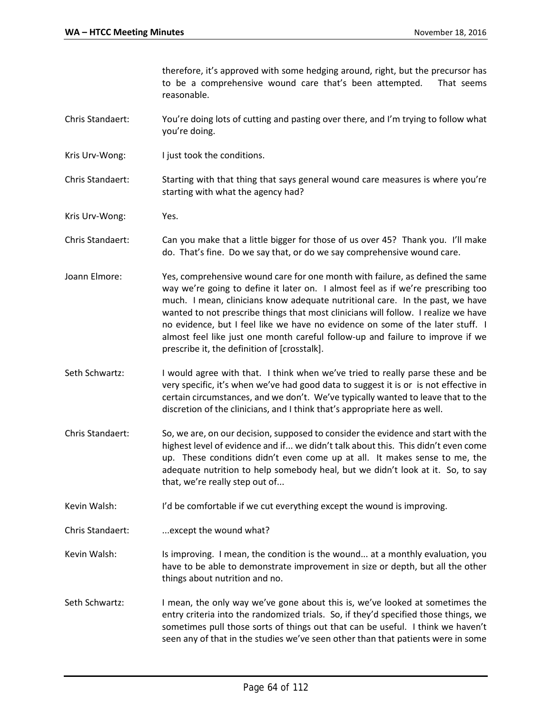therefore, it's approved with some hedging around, right, but the precursor has to be a comprehensive wound care that's been attempted. That seems reasonable.

- Chris Standaert: You're doing lots of cutting and pasting over there, and I'm trying to follow what you're doing.
- Kris Urv-Wong: I just took the conditions.
- Chris Standaert: Starting with that thing that says general wound care measures is where you're starting with what the agency had?
- Kris Urv-Wong: Yes.
- Chris Standaert: Can you make that a little bigger for those of us over 45? Thank you. I'll make do. That's fine. Do we say that, or do we say comprehensive wound care.
- Joann Elmore: Yes, comprehensive wound care for one month with failure, as defined the same way we're going to define it later on. I almost feel as if we're prescribing too much. I mean, clinicians know adequate nutritional care. In the past, we have wanted to not prescribe things that most clinicians will follow. I realize we have no evidence, but I feel like we have no evidence on some of the later stuff. I almost feel like just one month careful follow-up and failure to improve if we prescribe it, the definition of [crosstalk].
- Seth Schwartz: I would agree with that. I think when we've tried to really parse these and be very specific, it's when we've had good data to suggest it is or is not effective in certain circumstances, and we don't. We've typically wanted to leave that to the discretion of the clinicians, and I think that's appropriate here as well.
- Chris Standaert: So, we are, on our decision, supposed to consider the evidence and start with the highest level of evidence and if... we didn't talk about this. This didn't even come up. These conditions didn't even come up at all. It makes sense to me, the adequate nutrition to help somebody heal, but we didn't look at it. So, to say that, we're really step out of...
- Kevin Walsh: I'd be comfortable if we cut everything except the wound is improving.
- Chris Standaert: ...except the wound what?
- Kevin Walsh: Is improving. I mean, the condition is the wound... at a monthly evaluation, you have to be able to demonstrate improvement in size or depth, but all the other things about nutrition and no.
- Seth Schwartz: I mean, the only way we've gone about this is, we've looked at sometimes the entry criteria into the randomized trials. So, if they'd specified those things, we sometimes pull those sorts of things out that can be useful. I think we haven't seen any of that in the studies we've seen other than that patients were in some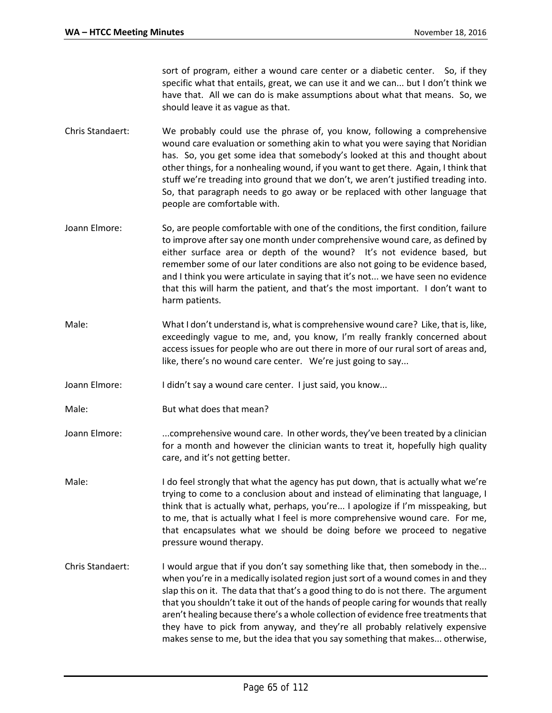sort of program, either a wound care center or a diabetic center. So, if they specific what that entails, great, we can use it and we can... but I don't think we have that. All we can do is make assumptions about what that means. So, we should leave it as vague as that.

- Chris Standaert: We probably could use the phrase of, you know, following a comprehensive wound care evaluation or something akin to what you were saying that Noridian has. So, you get some idea that somebody's looked at this and thought about other things, for a nonhealing wound, if you want to get there. Again, I think that stuff we're treading into ground that we don't, we aren't justified treading into. So, that paragraph needs to go away or be replaced with other language that people are comfortable with.
- Joann Elmore: So, are people comfortable with one of the conditions, the first condition, failure to improve after say one month under comprehensive wound care, as defined by either surface area or depth of the wound? It's not evidence based, but remember some of our later conditions are also not going to be evidence based, and I think you were articulate in saying that it's not... we have seen no evidence that this will harm the patient, and that's the most important. I don't want to harm patients.
- Male: What I don't understand is, what is comprehensive wound care? Like, that is, like, exceedingly vague to me, and, you know, I'm really frankly concerned about access issues for people who are out there in more of our rural sort of areas and, like, there's no wound care center. We're just going to say...
- Joann Elmore: I didn't say a wound care center. I just said, you know...
- Male: But what does that mean?
- Joann Elmore: ...comprehensive wound care. In other words, they've been treated by a clinician for a month and however the clinician wants to treat it, hopefully high quality care, and it's not getting better.
- Male: I do feel strongly that what the agency has put down, that is actually what we're trying to come to a conclusion about and instead of eliminating that language, I think that is actually what, perhaps, you're... I apologize if I'm misspeaking, but to me, that is actually what I feel is more comprehensive wound care. For me, that encapsulates what we should be doing before we proceed to negative pressure wound therapy.
- Chris Standaert: I would argue that if you don't say something like that, then somebody in the... when you're in a medically isolated region just sort of a wound comes in and they slap this on it. The data that that's a good thing to do is not there. The argument that you shouldn't take it out of the hands of people caring for wounds that really aren't healing because there's a whole collection of evidence free treatments that they have to pick from anyway, and they're all probably relatively expensive makes sense to me, but the idea that you say something that makes... otherwise,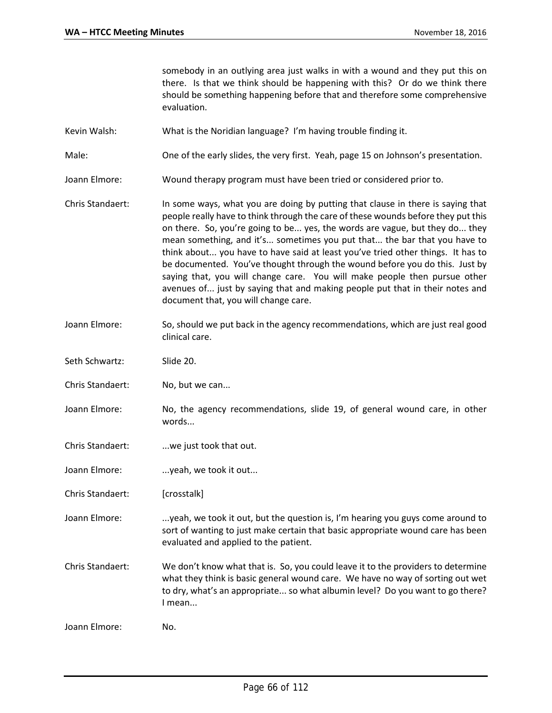somebody in an outlying area just walks in with a wound and they put this on there. Is that we think should be happening with this? Or do we think there should be something happening before that and therefore some comprehensive evaluation.

- Kevin Walsh: What is the Noridian language? I'm having trouble finding it.
- Male: One of the early slides, the very first. Yeah, page 15 on Johnson's presentation.
- Joann Elmore: Wound therapy program must have been tried or considered prior to.
- Chris Standaert: In some ways, what you are doing by putting that clause in there is saying that people really have to think through the care of these wounds before they put this on there. So, you're going to be... yes, the words are vague, but they do... they mean something, and it's... sometimes you put that... the bar that you have to think about... you have to have said at least you've tried other things. It has to be documented. You've thought through the wound before you do this. Just by saying that, you will change care. You will make people then pursue other avenues of... just by saying that and making people put that in their notes and document that, you will change care.
- Joann Elmore: So, should we put back in the agency recommendations, which are just real good clinical care.
- Seth Schwartz: Slide 20.
- Chris Standaert: No, but we can...
- Joann Elmore: No, the agency recommendations, slide 19, of general wound care, in other words...
- Chris Standaert: ...we just took that out.
- Joann Elmore: .... ... yeah, we took it out...
- Chris Standaert: [crosstalk]
- Joann Elmore: ...yeah, we took it out, but the question is, I'm hearing you guys come around to sort of wanting to just make certain that basic appropriate wound care has been evaluated and applied to the patient.
- Chris Standaert: We don't know what that is. So, you could leave it to the providers to determine what they think is basic general wound care. We have no way of sorting out wet to dry, what's an appropriate... so what albumin level? Do you want to go there? I mean...

Joann Elmore: No.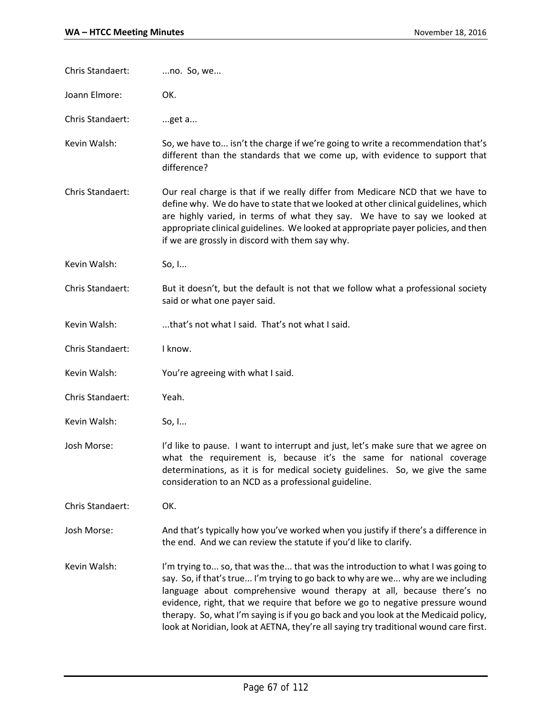| Chris Standaert: | no. So, we                                                                                                                                                                                                                                                                                                                                                                                                                                                                                                    |
|------------------|---------------------------------------------------------------------------------------------------------------------------------------------------------------------------------------------------------------------------------------------------------------------------------------------------------------------------------------------------------------------------------------------------------------------------------------------------------------------------------------------------------------|
| Joann Elmore:    | OK.                                                                                                                                                                                                                                                                                                                                                                                                                                                                                                           |
| Chris Standaert: | get a                                                                                                                                                                                                                                                                                                                                                                                                                                                                                                         |
| Kevin Walsh:     | So, we have to isn't the charge if we're going to write a recommendation that's<br>different than the standards that we come up, with evidence to support that<br>difference?                                                                                                                                                                                                                                                                                                                                 |
| Chris Standaert: | Our real charge is that if we really differ from Medicare NCD that we have to<br>define why. We do have to state that we looked at other clinical guidelines, which<br>are highly varied, in terms of what they say. We have to say we looked at<br>appropriate clinical guidelines. We looked at appropriate payer policies, and then<br>if we are grossly in discord with them say why.                                                                                                                     |
| Kevin Walsh:     | So, I                                                                                                                                                                                                                                                                                                                                                                                                                                                                                                         |
| Chris Standaert: | But it doesn't, but the default is not that we follow what a professional society<br>said or what one payer said.                                                                                                                                                                                                                                                                                                                                                                                             |
| Kevin Walsh:     | that's not what I said. That's not what I said.                                                                                                                                                                                                                                                                                                                                                                                                                                                               |
| Chris Standaert: | I know.                                                                                                                                                                                                                                                                                                                                                                                                                                                                                                       |
| Kevin Walsh:     | You're agreeing with what I said.                                                                                                                                                                                                                                                                                                                                                                                                                                                                             |
| Chris Standaert: | Yeah.                                                                                                                                                                                                                                                                                                                                                                                                                                                                                                         |
| Kevin Walsh:     | So, I                                                                                                                                                                                                                                                                                                                                                                                                                                                                                                         |
| Josh Morse:      | I'd like to pause. I want to interrupt and just, let's make sure that we agree on<br>what the requirement is, because it's the same for national coverage<br>determinations, as it is for medical society guidelines. So, we give the same<br>consideration to an NCD as a professional guideline.                                                                                                                                                                                                            |
| Chris Standaert: | OK.                                                                                                                                                                                                                                                                                                                                                                                                                                                                                                           |
| Josh Morse:      | And that's typically how you've worked when you justify if there's a difference in<br>the end. And we can review the statute if you'd like to clarify.                                                                                                                                                                                                                                                                                                                                                        |
| Kevin Walsh:     | I'm trying to so, that was the that was the introduction to what I was going to<br>say. So, if that's true I'm trying to go back to why are we why are we including<br>language about comprehensive wound therapy at all, because there's no<br>evidence, right, that we require that before we go to negative pressure wound<br>therapy. So, what I'm saying is if you go back and you look at the Medicaid policy,<br>look at Noridian, look at AETNA, they're all saying try traditional wound care first. |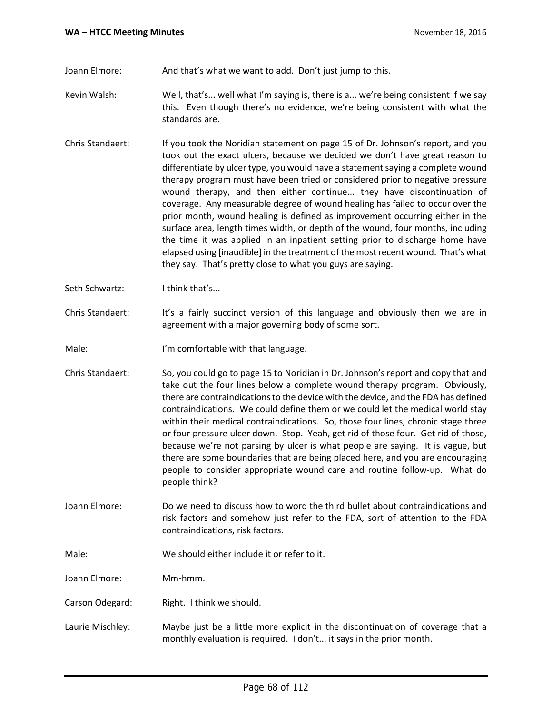Joann Elmore: And that's what we want to add. Don't just jump to this.

- Kevin Walsh: Well, that's... well what I'm saying is, there is a... we're being consistent if we say this. Even though there's no evidence, we're being consistent with what the standards are.
- Chris Standaert: If you took the Noridian statement on page 15 of Dr. Johnson's report, and you took out the exact ulcers, because we decided we don't have great reason to differentiate by ulcer type, you would have a statement saying a complete wound therapy program must have been tried or considered prior to negative pressure wound therapy, and then either continue... they have discontinuation of coverage. Any measurable degree of wound healing has failed to occur over the prior month, wound healing is defined as improvement occurring either in the surface area, length times width, or depth of the wound, four months, including the time it was applied in an inpatient setting prior to discharge home have elapsed using [inaudible] in the treatment of the most recent wound. That's what they say. That's pretty close to what you guys are saying.
- Seth Schwartz: I think that's...
- Chris Standaert: It's a fairly succinct version of this language and obviously then we are in agreement with a major governing body of some sort.
- Male: I'm comfortable with that language.
- Chris Standaert: So, you could go to page 15 to Noridian in Dr. Johnson's report and copy that and take out the four lines below a complete wound therapy program. Obviously, there are contraindications to the device with the device, and the FDA has defined contraindications. We could define them or we could let the medical world stay within their medical contraindications. So, those four lines, chronic stage three or four pressure ulcer down. Stop. Yeah, get rid of those four. Get rid of those, because we're not parsing by ulcer is what people are saying. It is vague, but there are some boundaries that are being placed here, and you are encouraging people to consider appropriate wound care and routine follow-up. What do people think?
- Joann Elmore: Do we need to discuss how to word the third bullet about contraindications and risk factors and somehow just refer to the FDA, sort of attention to the FDA contraindications, risk factors.
- Male: We should either include it or refer to it.

Joann Elmore: Mm-hmm.

- Carson Odegard: Right. I think we should.
- Laurie Mischley: Maybe just be a little more explicit in the discontinuation of coverage that a monthly evaluation is required. I don't... it says in the prior month.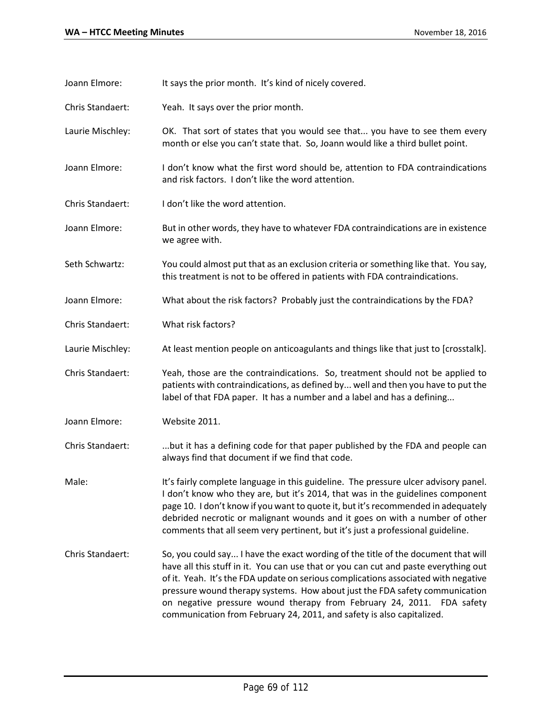Joann Elmore: It says the prior month. It's kind of nicely covered.

- Chris Standaert: Yeah. It says over the prior month.
- Laurie Mischley: OK. That sort of states that you would see that... you have to see them every month or else you can't state that. So, Joann would like a third bullet point.
- Joann Elmore: I don't know what the first word should be, attention to FDA contraindications and risk factors. I don't like the word attention.
- Chris Standaert: I don't like the word attention.
- Joann Elmore: But in other words, they have to whatever FDA contraindications are in existence we agree with.
- Seth Schwartz: You could almost put that as an exclusion criteria or something like that. You say, this treatment is not to be offered in patients with FDA contraindications.
- Joann Elmore: What about the risk factors? Probably just the contraindications by the FDA?
- Chris Standaert: What risk factors?
- Laurie Mischley: At least mention people on anticoagulants and things like that just to [crosstalk].
- Chris Standaert: Yeah, those are the contraindications. So, treatment should not be applied to patients with contraindications, as defined by... well and then you have to put the label of that FDA paper. It has a number and a label and has a defining...
- Joann Elmore: Website 2011.
- Chris Standaert: ...but it has a defining code for that paper published by the FDA and people can always find that document if we find that code.
- Male: It's fairly complete language in this guideline. The pressure ulcer advisory panel. I don't know who they are, but it's 2014, that was in the guidelines component page 10. I don't know if you want to quote it, but it's recommended in adequately debrided necrotic or malignant wounds and it goes on with a number of other comments that all seem very pertinent, but it's just a professional guideline.
- Chris Standaert: So, you could say... I have the exact wording of the title of the document that will have all this stuff in it. You can use that or you can cut and paste everything out of it. Yeah. It's the FDA update on serious complications associated with negative pressure wound therapy systems. How about just the FDA safety communication on negative pressure wound therapy from February 24, 2011. FDA safety communication from February 24, 2011, and safety is also capitalized.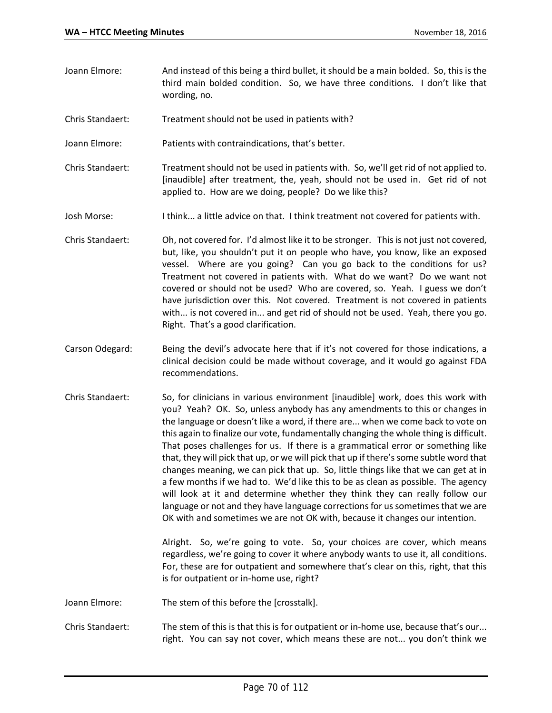- Joann Elmore: And instead of this being a third bullet, it should be a main bolded. So, this is the third main bolded condition. So, we have three conditions. I don't like that wording, no.
- Chris Standaert: Treatment should not be used in patients with?
- Joann Elmore: Patients with contraindications, that's better.
- Chris Standaert: Treatment should not be used in patients with. So, we'll get rid of not applied to. [inaudible] after treatment, the, yeah, should not be used in. Get rid of not applied to. How are we doing, people? Do we like this?
- Josh Morse: I think... a little advice on that. I think treatment not covered for patients with.
- Chris Standaert: Oh, not covered for. I'd almost like it to be stronger. This is not just not covered, but, like, you shouldn't put it on people who have, you know, like an exposed vessel. Where are you going? Can you go back to the conditions for us? Treatment not covered in patients with. What do we want? Do we want not covered or should not be used? Who are covered, so. Yeah. I guess we don't have jurisdiction over this. Not covered. Treatment is not covered in patients with... is not covered in... and get rid of should not be used. Yeah, there you go. Right. That's a good clarification.
- Carson Odegard: Being the devil's advocate here that if it's not covered for those indications, a clinical decision could be made without coverage, and it would go against FDA recommendations.
- Chris Standaert: So, for clinicians in various environment [inaudible] work, does this work with you? Yeah? OK. So, unless anybody has any amendments to this or changes in the language or doesn't like a word, if there are... when we come back to vote on this again to finalize our vote, fundamentally changing the whole thing is difficult. That poses challenges for us. If there is a grammatical error or something like that, they will pick that up, or we will pick that up if there's some subtle word that changes meaning, we can pick that up. So, little things like that we can get at in a few months if we had to. We'd like this to be as clean as possible. The agency will look at it and determine whether they think they can really follow our language or not and they have language corrections for us sometimes that we are OK with and sometimes we are not OK with, because it changes our intention.

Alright. So, we're going to vote. So, your choices are cover, which means regardless, we're going to cover it where anybody wants to use it, all conditions. For, these are for outpatient and somewhere that's clear on this, right, that this is for outpatient or in-home use, right?

- Joann Elmore: The stem of this before the [crosstalk].
- Chris Standaert: The stem of this is that this is for outpatient or in-home use, because that's our... right. You can say not cover, which means these are not... you don't think we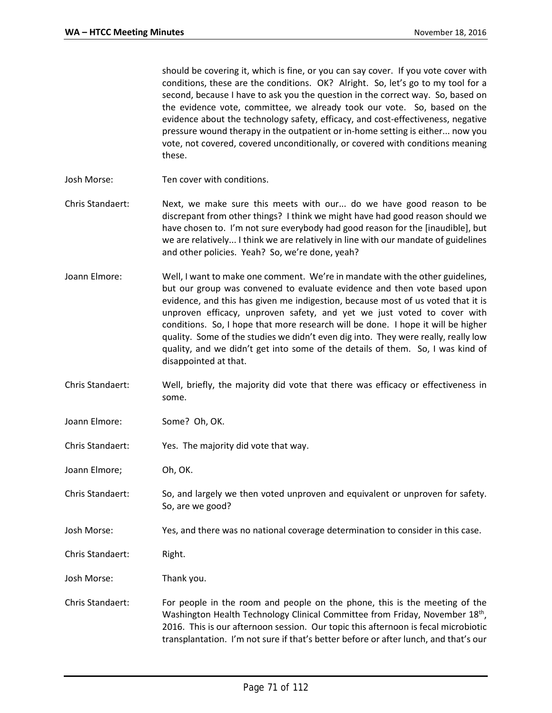should be covering it, which is fine, or you can say cover. If you vote cover with conditions, these are the conditions. OK? Alright. So, let's go to my tool for a second, because I have to ask you the question in the correct way. So, based on the evidence vote, committee, we already took our vote. So, based on the evidence about the technology safety, efficacy, and cost-effectiveness, negative pressure wound therapy in the outpatient or in-home setting is either... now you vote, not covered, covered unconditionally, or covered with conditions meaning these.

- Josh Morse: Ten cover with conditions.
- Chris Standaert: Next, we make sure this meets with our... do we have good reason to be discrepant from other things? I think we might have had good reason should we have chosen to. I'm not sure everybody had good reason for the [inaudible], but we are relatively... I think we are relatively in line with our mandate of guidelines and other policies. Yeah? So, we're done, yeah?
- Joann Elmore: Well, I want to make one comment. We're in mandate with the other guidelines, but our group was convened to evaluate evidence and then vote based upon evidence, and this has given me indigestion, because most of us voted that it is unproven efficacy, unproven safety, and yet we just voted to cover with conditions. So, I hope that more research will be done. I hope it will be higher quality. Some of the studies we didn't even dig into. They were really, really low quality, and we didn't get into some of the details of them. So, I was kind of disappointed at that.
- Chris Standaert: Well, briefly, the majority did vote that there was efficacy or effectiveness in some.
- Joann Elmore: Some? Oh, OK.
- Chris Standaert: Yes. The majority did vote that way.
- Joann Elmore; Oh, OK.

Chris Standaert: So, and largely we then voted unproven and equivalent or unproven for safety. So, are we good?

- Josh Morse: Yes, and there was no national coverage determination to consider in this case.
- Chris Standaert: Right.
- Josh Morse: Thank you.
- Chris Standaert: For people in the room and people on the phone, this is the meeting of the Washington Health Technology Clinical Committee from Friday, November 18<sup>th</sup>, 2016. This is our afternoon session. Our topic this afternoon is fecal microbiotic transplantation. I'm not sure if that's better before or after lunch, and that's our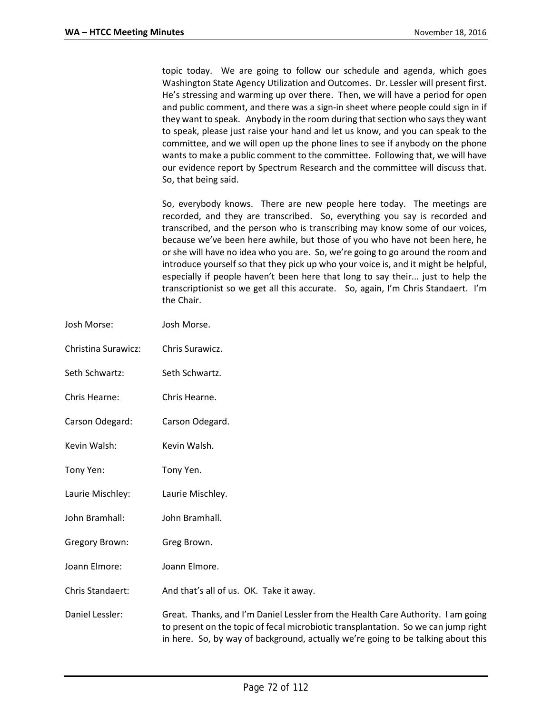topic today. We are going to follow our schedule and agenda, which goes Washington State Agency Utilization and Outcomes. Dr. Lessler will present first. He's stressing and warming up over there. Then, we will have a period for open and public comment, and there was a sign-in sheet where people could sign in if they want to speak. Anybody in the room during that section who says they want to speak, please just raise your hand and let us know, and you can speak to the committee, and we will open up the phone lines to see if anybody on the phone wants to make a public comment to the committee. Following that, we will have our evidence report by Spectrum Research and the committee will discuss that. So, that being said.

So, everybody knows. There are new people here today. The meetings are recorded, and they are transcribed. So, everything you say is recorded and transcribed, and the person who is transcribing may know some of our voices, because we've been here awhile, but those of you who have not been here, he or she will have no idea who you are. So, we're going to go around the room and introduce yourself so that they pick up who your voice is, and it might be helpful, especially if people haven't been here that long to say their... just to help the transcriptionist so we get all this accurate. So, again, I'm Chris Standaert. I'm the Chair.

- Josh Morse: Josh Morse.
- Christina Surawicz: Chris Surawicz.
- Seth Schwartz: Seth Schwartz.
- Chris Hearne: Chris Hearne.
- Carson Odegard: Carson Odegard.
- Kevin Walsh: Kevin Walsh.
- Tony Yen: Tony Yen.
- Laurie Mischley: Laurie Mischley.
- John Bramhall: John Bramhall.
- Gregory Brown: Greg Brown.
- Joann Elmore: Joann Elmore.
- Chris Standaert: And that's all of us. OK. Take it away.
- Daniel Lessler: Great. Thanks, and I'm Daniel Lessler from the Health Care Authority. I am going to present on the topic of fecal microbiotic transplantation. So we can jump right in here. So, by way of background, actually we're going to be talking about this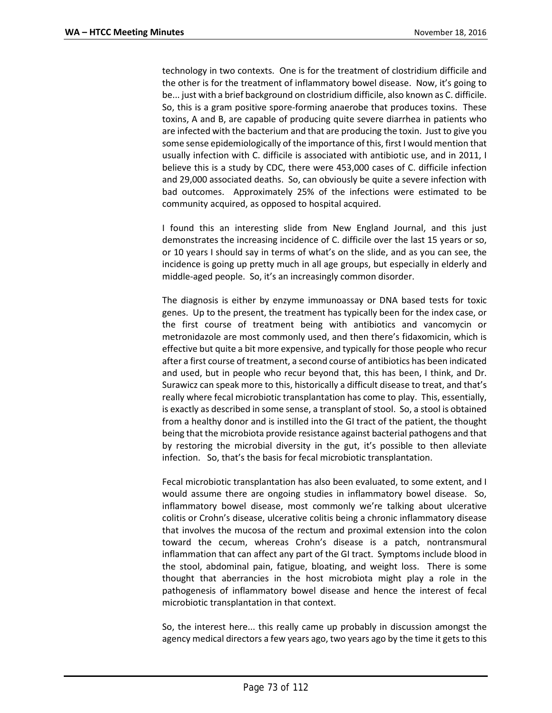technology in two contexts. One is for the treatment of clostridium difficile and the other is for the treatment of inflammatory bowel disease. Now, it's going to be... just with a brief background on clostridium difficile, also known as C. difficile. So, this is a gram positive spore-forming anaerobe that produces toxins. These toxins, A and B, are capable of producing quite severe diarrhea in patients who are infected with the bacterium and that are producing the toxin. Just to give you some sense epidemiologically of the importance of this, first I would mention that usually infection with C. difficile is associated with antibiotic use, and in 2011, I believe this is a study by CDC, there were 453,000 cases of C. difficile infection and 29,000 associated deaths. So, can obviously be quite a severe infection with bad outcomes. Approximately 25% of the infections were estimated to be community acquired, as opposed to hospital acquired.

I found this an interesting slide from New England Journal, and this just demonstrates the increasing incidence of C. difficile over the last 15 years or so, or 10 years I should say in terms of what's on the slide, and as you can see, the incidence is going up pretty much in all age groups, but especially in elderly and middle-aged people. So, it's an increasingly common disorder.

The diagnosis is either by enzyme immunoassay or DNA based tests for toxic genes. Up to the present, the treatment has typically been for the index case, or the first course of treatment being with antibiotics and vancomycin or metronidazole are most commonly used, and then there's fidaxomicin, which is effective but quite a bit more expensive, and typically for those people who recur after a first course of treatment, a second course of antibiotics has been indicated and used, but in people who recur beyond that, this has been, I think, and Dr. Surawicz can speak more to this, historically a difficult disease to treat, and that's really where fecal microbiotic transplantation has come to play. This, essentially, is exactly as described in some sense, a transplant of stool. So, a stool is obtained from a healthy donor and is instilled into the GI tract of the patient, the thought being that the microbiota provide resistance against bacterial pathogens and that by restoring the microbial diversity in the gut, it's possible to then alleviate infection. So, that's the basis for fecal microbiotic transplantation.

Fecal microbiotic transplantation has also been evaluated, to some extent, and I would assume there are ongoing studies in inflammatory bowel disease. So, inflammatory bowel disease, most commonly we're talking about ulcerative colitis or Crohn's disease, ulcerative colitis being a chronic inflammatory disease that involves the mucosa of the rectum and proximal extension into the colon toward the cecum, whereas Crohn's disease is a patch, nontransmural inflammation that can affect any part of the GI tract. Symptoms include blood in the stool, abdominal pain, fatigue, bloating, and weight loss. There is some thought that aberrancies in the host microbiota might play a role in the pathogenesis of inflammatory bowel disease and hence the interest of fecal microbiotic transplantation in that context.

So, the interest here... this really came up probably in discussion amongst the agency medical directors a few years ago, two years ago by the time it gets to this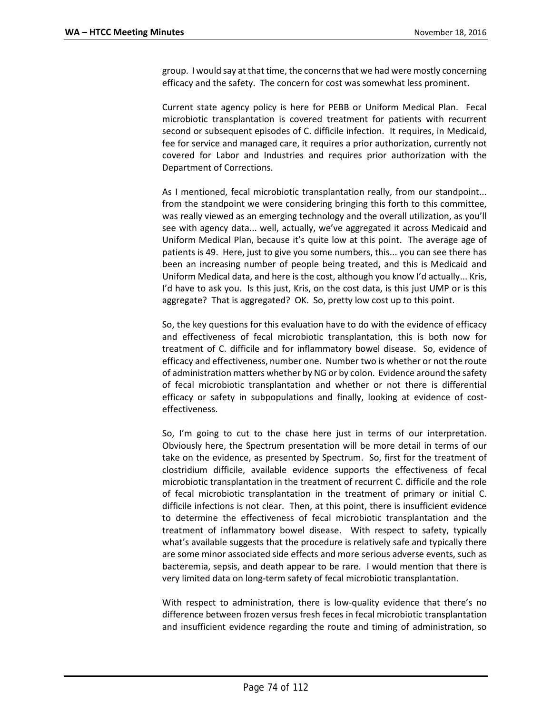group. I would say at that time, the concerns that we had were mostly concerning efficacy and the safety. The concern for cost was somewhat less prominent.

Current state agency policy is here for PEBB or Uniform Medical Plan. Fecal microbiotic transplantation is covered treatment for patients with recurrent second or subsequent episodes of C. difficile infection. It requires, in Medicaid, fee for service and managed care, it requires a prior authorization, currently not covered for Labor and Industries and requires prior authorization with the Department of Corrections.

As I mentioned, fecal microbiotic transplantation really, from our standpoint... from the standpoint we were considering bringing this forth to this committee, was really viewed as an emerging technology and the overall utilization, as you'll see with agency data... well, actually, we've aggregated it across Medicaid and Uniform Medical Plan, because it's quite low at this point. The average age of patients is 49. Here, just to give you some numbers, this... you can see there has been an increasing number of people being treated, and this is Medicaid and Uniform Medical data, and here is the cost, although you know I'd actually... Kris, I'd have to ask you. Is this just, Kris, on the cost data, is this just UMP or is this aggregate? That is aggregated? OK. So, pretty low cost up to this point.

So, the key questions for this evaluation have to do with the evidence of efficacy and effectiveness of fecal microbiotic transplantation, this is both now for treatment of C. difficile and for inflammatory bowel disease. So, evidence of efficacy and effectiveness, number one. Number two is whether or not the route of administration matters whether by NG or by colon. Evidence around the safety of fecal microbiotic transplantation and whether or not there is differential efficacy or safety in subpopulations and finally, looking at evidence of costeffectiveness.

So, I'm going to cut to the chase here just in terms of our interpretation. Obviously here, the Spectrum presentation will be more detail in terms of our take on the evidence, as presented by Spectrum. So, first for the treatment of clostridium difficile, available evidence supports the effectiveness of fecal microbiotic transplantation in the treatment of recurrent C. difficile and the role of fecal microbiotic transplantation in the treatment of primary or initial C. difficile infections is not clear. Then, at this point, there is insufficient evidence to determine the effectiveness of fecal microbiotic transplantation and the treatment of inflammatory bowel disease. With respect to safety, typically what's available suggests that the procedure is relatively safe and typically there are some minor associated side effects and more serious adverse events, such as bacteremia, sepsis, and death appear to be rare. I would mention that there is very limited data on long-term safety of fecal microbiotic transplantation.

With respect to administration, there is low-quality evidence that there's no difference between frozen versus fresh feces in fecal microbiotic transplantation and insufficient evidence regarding the route and timing of administration, so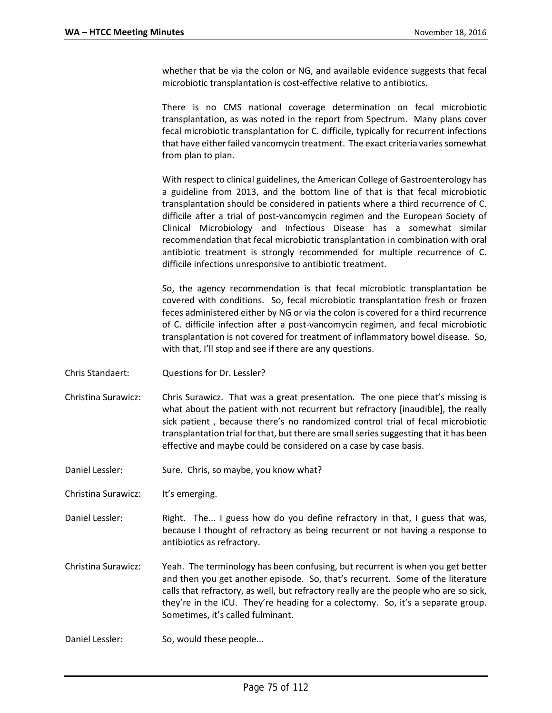whether that be via the colon or NG, and available evidence suggests that fecal microbiotic transplantation is cost-effective relative to antibiotics.

There is no CMS national coverage determination on fecal microbiotic transplantation, as was noted in the report from Spectrum. Many plans cover fecal microbiotic transplantation for C. difficile, typically for recurrent infections that have either failed vancomycin treatment. The exact criteria varies somewhat from plan to plan.

With respect to clinical guidelines, the American College of Gastroenterology has a guideline from 2013, and the bottom line of that is that fecal microbiotic transplantation should be considered in patients where a third recurrence of C. difficile after a trial of post-vancomycin regimen and the European Society of Clinical Microbiology and Infectious Disease has a somewhat similar recommendation that fecal microbiotic transplantation in combination with oral antibiotic treatment is strongly recommended for multiple recurrence of C. difficile infections unresponsive to antibiotic treatment.

So, the agency recommendation is that fecal microbiotic transplantation be covered with conditions. So, fecal microbiotic transplantation fresh or frozen feces administered either by NG or via the colon is covered for a third recurrence of C. difficile infection after a post-vancomycin regimen, and fecal microbiotic transplantation is not covered for treatment of inflammatory bowel disease. So, with that, I'll stop and see if there are any questions.

- Chris Standaert: Questions for Dr. Lessler?
- Christina Surawicz: Chris Surawicz. That was a great presentation. The one piece that's missing is what about the patient with not recurrent but refractory [inaudible], the really sick patient , because there's no randomized control trial of fecal microbiotic transplantation trial for that, but there are small series suggesting that it has been effective and maybe could be considered on a case by case basis.
- Daniel Lessler: Sure. Chris, so maybe, you know what?
- Christina Surawicz: It's emerging.
- Daniel Lessler: Right. The... I guess how do you define refractory in that, I guess that was, because I thought of refractory as being recurrent or not having a response to antibiotics as refractory.
- Christina Surawicz: Yeah. The terminology has been confusing, but recurrent is when you get better and then you get another episode. So, that's recurrent. Some of the literature calls that refractory, as well, but refractory really are the people who are so sick, they're in the ICU. They're heading for a colectomy. So, it's a separate group. Sometimes, it's called fulminant.
- Daniel Lessler: So, would these people...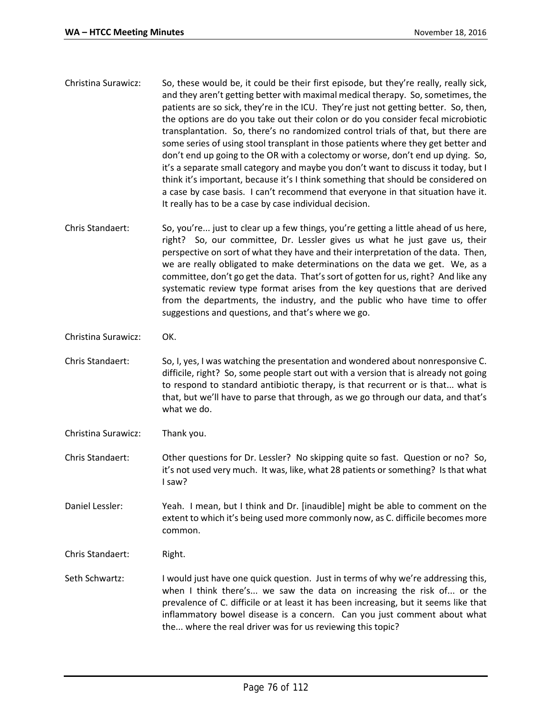- Christina Surawicz: So, these would be, it could be their first episode, but they're really, really sick, and they aren't getting better with maximal medical therapy. So, sometimes, the patients are so sick, they're in the ICU. They're just not getting better. So, then, the options are do you take out their colon or do you consider fecal microbiotic transplantation. So, there's no randomized control trials of that, but there are some series of using stool transplant in those patients where they get better and don't end up going to the OR with a colectomy or worse, don't end up dying. So, it's a separate small category and maybe you don't want to discuss it today, but I think it's important, because it's I think something that should be considered on a case by case basis. I can't recommend that everyone in that situation have it. It really has to be a case by case individual decision.
- Chris Standaert: So, you're... just to clear up a few things, you're getting a little ahead of us here, right? So, our committee, Dr. Lessler gives us what he just gave us, their perspective on sort of what they have and their interpretation of the data. Then, we are really obligated to make determinations on the data we get. We, as a committee, don't go get the data. That's sort of gotten for us, right? And like any systematic review type format arises from the key questions that are derived from the departments, the industry, and the public who have time to offer suggestions and questions, and that's where we go.
- Christina Surawicz: OK.
- Chris Standaert: So, I, yes, I was watching the presentation and wondered about nonresponsive C. difficile, right? So, some people start out with a version that is already not going to respond to standard antibiotic therapy, is that recurrent or is that... what is that, but we'll have to parse that through, as we go through our data, and that's what we do.
- Christina Surawicz: Thank you.
- Chris Standaert: Other questions for Dr. Lessler? No skipping quite so fast. Question or no? So, it's not used very much. It was, like, what 28 patients or something? Is that what I saw?
- Daniel Lessler: Yeah. I mean, but I think and Dr. [inaudible] might be able to comment on the extent to which it's being used more commonly now, as C. difficile becomes more common.

Chris Standaert: Right.

Seth Schwartz: I would just have one quick question. Just in terms of why we're addressing this, when I think there's... we saw the data on increasing the risk of... or the prevalence of C. difficile or at least it has been increasing, but it seems like that inflammatory bowel disease is a concern. Can you just comment about what the... where the real driver was for us reviewing this topic?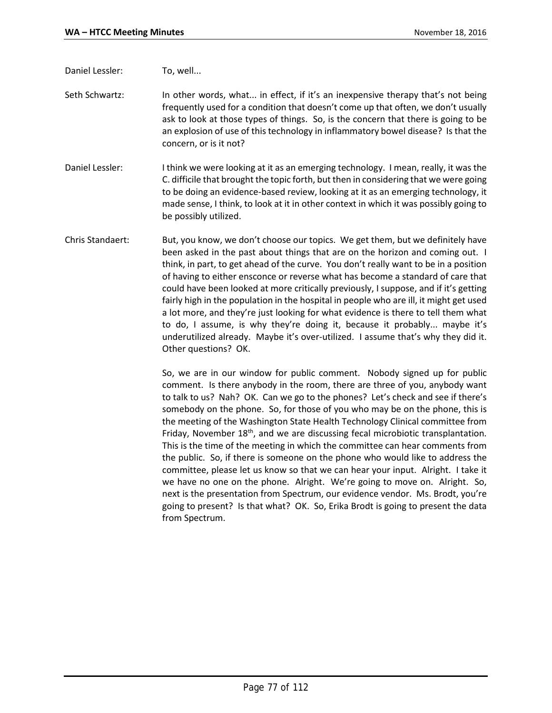- Daniel Lessler: To, well...
- Seth Schwartz: In other words, what... in effect, if it's an inexpensive therapy that's not being frequently used for a condition that doesn't come up that often, we don't usually ask to look at those types of things. So, is the concern that there is going to be an explosion of use of this technology in inflammatory bowel disease? Is that the concern, or is it not?
- Daniel Lessler: I think we were looking at it as an emerging technology. I mean, really, it was the C. difficile that brought the topic forth, but then in considering that we were going to be doing an evidence-based review, looking at it as an emerging technology, it made sense, I think, to look at it in other context in which it was possibly going to be possibly utilized.
- Chris Standaert: But, you know, we don't choose our topics. We get them, but we definitely have been asked in the past about things that are on the horizon and coming out. I think, in part, to get ahead of the curve. You don't really want to be in a position of having to either ensconce or reverse what has become a standard of care that could have been looked at more critically previously, I suppose, and if it's getting fairly high in the population in the hospital in people who are ill, it might get used a lot more, and they're just looking for what evidence is there to tell them what to do, I assume, is why they're doing it, because it probably... maybe it's underutilized already. Maybe it's over-utilized. I assume that's why they did it. Other questions? OK.

So, we are in our window for public comment. Nobody signed up for public comment. Is there anybody in the room, there are three of you, anybody want to talk to us? Nah? OK. Can we go to the phones? Let's check and see if there's somebody on the phone. So, for those of you who may be on the phone, this is the meeting of the Washington State Health Technology Clinical committee from Friday, November 18<sup>th</sup>, and we are discussing fecal microbiotic transplantation. This is the time of the meeting in which the committee can hear comments from the public. So, if there is someone on the phone who would like to address the committee, please let us know so that we can hear your input. Alright. I take it we have no one on the phone. Alright. We're going to move on. Alright. So, next is the presentation from Spectrum, our evidence vendor. Ms. Brodt, you're going to present? Is that what? OK. So, Erika Brodt is going to present the data from Spectrum.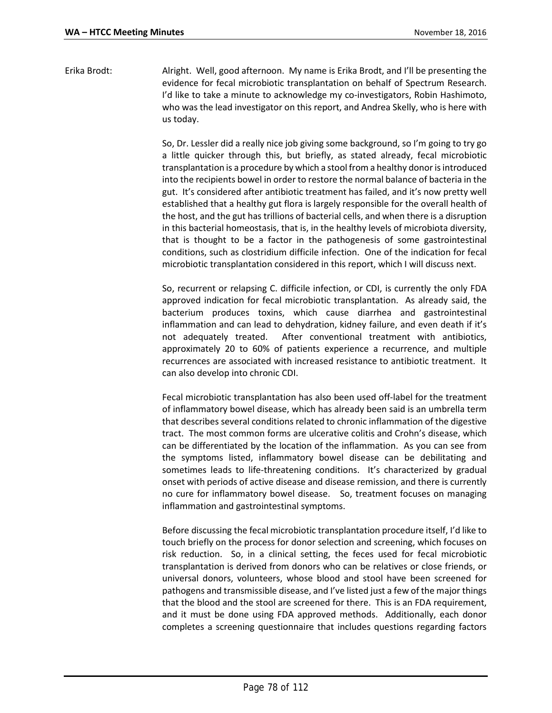Erika Brodt: Alright. Well, good afternoon. My name is Erika Brodt, and I'll be presenting the evidence for fecal microbiotic transplantation on behalf of Spectrum Research. I'd like to take a minute to acknowledge my co-investigators, Robin Hashimoto, who was the lead investigator on this report, and Andrea Skelly, who is here with us today.

> So, Dr. Lessler did a really nice job giving some background, so I'm going to try go a little quicker through this, but briefly, as stated already, fecal microbiotic transplantation is a procedure by which a stool from a healthy donor is introduced into the recipients bowel in order to restore the normal balance of bacteria in the gut. It's considered after antibiotic treatment has failed, and it's now pretty well established that a healthy gut flora is largely responsible for the overall health of the host, and the gut has trillions of bacterial cells, and when there is a disruption in this bacterial homeostasis, that is, in the healthy levels of microbiota diversity, that is thought to be a factor in the pathogenesis of some gastrointestinal conditions, such as clostridium difficile infection. One of the indication for fecal microbiotic transplantation considered in this report, which I will discuss next.

> So, recurrent or relapsing C. difficile infection, or CDI, is currently the only FDA approved indication for fecal microbiotic transplantation. As already said, the bacterium produces toxins, which cause diarrhea and gastrointestinal inflammation and can lead to dehydration, kidney failure, and even death if it's not adequately treated. After conventional treatment with antibiotics, approximately 20 to 60% of patients experience a recurrence, and multiple recurrences are associated with increased resistance to antibiotic treatment. It can also develop into chronic CDI.

> Fecal microbiotic transplantation has also been used off-label for the treatment of inflammatory bowel disease, which has already been said is an umbrella term that describes several conditions related to chronic inflammation of the digestive tract. The most common forms are ulcerative colitis and Crohn's disease, which can be differentiated by the location of the inflammation. As you can see from the symptoms listed, inflammatory bowel disease can be debilitating and sometimes leads to life-threatening conditions. It's characterized by gradual onset with periods of active disease and disease remission, and there is currently no cure for inflammatory bowel disease. So, treatment focuses on managing inflammation and gastrointestinal symptoms.

> Before discussing the fecal microbiotic transplantation procedure itself, I'd like to touch briefly on the process for donor selection and screening, which focuses on risk reduction. So, in a clinical setting, the feces used for fecal microbiotic transplantation is derived from donors who can be relatives or close friends, or universal donors, volunteers, whose blood and stool have been screened for pathogens and transmissible disease, and I've listed just a few of the major things that the blood and the stool are screened for there. This is an FDA requirement, and it must be done using FDA approved methods. Additionally, each donor completes a screening questionnaire that includes questions regarding factors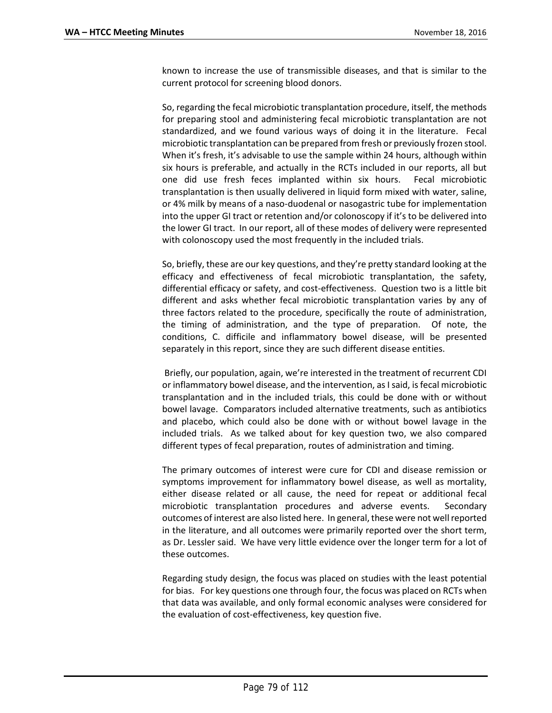known to increase the use of transmissible diseases, and that is similar to the current protocol for screening blood donors.

So, regarding the fecal microbiotic transplantation procedure, itself, the methods for preparing stool and administering fecal microbiotic transplantation are not standardized, and we found various ways of doing it in the literature. Fecal microbiotic transplantation can be prepared from fresh or previously frozen stool. When it's fresh, it's advisable to use the sample within 24 hours, although within six hours is preferable, and actually in the RCTs included in our reports, all but one did use fresh feces implanted within six hours. Fecal microbiotic transplantation is then usually delivered in liquid form mixed with water, saline, or 4% milk by means of a naso-duodenal or nasogastric tube for implementation into the upper GI tract or retention and/or colonoscopy if it's to be delivered into the lower GI tract. In our report, all of these modes of delivery were represented with colonoscopy used the most frequently in the included trials.

So, briefly, these are our key questions, and they're pretty standard looking at the efficacy and effectiveness of fecal microbiotic transplantation, the safety, differential efficacy or safety, and cost-effectiveness. Question two is a little bit different and asks whether fecal microbiotic transplantation varies by any of three factors related to the procedure, specifically the route of administration, the timing of administration, and the type of preparation. Of note, the conditions, C. difficile and inflammatory bowel disease, will be presented separately in this report, since they are such different disease entities.

Briefly, our population, again, we're interested in the treatment of recurrent CDI or inflammatory bowel disease, and the intervention, as I said, is fecal microbiotic transplantation and in the included trials, this could be done with or without bowel lavage. Comparators included alternative treatments, such as antibiotics and placebo, which could also be done with or without bowel lavage in the included trials. As we talked about for key question two, we also compared different types of fecal preparation, routes of administration and timing.

The primary outcomes of interest were cure for CDI and disease remission or symptoms improvement for inflammatory bowel disease, as well as mortality, either disease related or all cause, the need for repeat or additional fecal microbiotic transplantation procedures and adverse events. Secondary outcomes of interest are also listed here. In general, these were not well reported in the literature, and all outcomes were primarily reported over the short term, as Dr. Lessler said. We have very little evidence over the longer term for a lot of these outcomes.

Regarding study design, the focus was placed on studies with the least potential for bias. For key questions one through four, the focus was placed on RCTs when that data was available, and only formal economic analyses were considered for the evaluation of cost-effectiveness, key question five.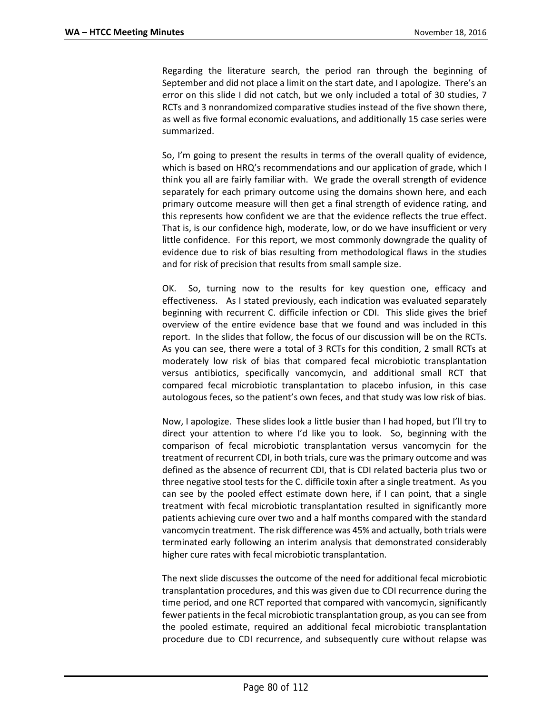Regarding the literature search, the period ran through the beginning of September and did not place a limit on the start date, and I apologize. There's an error on this slide I did not catch, but we only included a total of 30 studies, 7 RCTs and 3 nonrandomized comparative studies instead of the five shown there, as well as five formal economic evaluations, and additionally 15 case series were summarized.

So, I'm going to present the results in terms of the overall quality of evidence, which is based on HRQ's recommendations and our application of grade, which I think you all are fairly familiar with. We grade the overall strength of evidence separately for each primary outcome using the domains shown here, and each primary outcome measure will then get a final strength of evidence rating, and this represents how confident we are that the evidence reflects the true effect. That is, is our confidence high, moderate, low, or do we have insufficient or very little confidence. For this report, we most commonly downgrade the quality of evidence due to risk of bias resulting from methodological flaws in the studies and for risk of precision that results from small sample size.

OK. So, turning now to the results for key question one, efficacy and effectiveness. As I stated previously, each indication was evaluated separately beginning with recurrent C. difficile infection or CDI. This slide gives the brief overview of the entire evidence base that we found and was included in this report. In the slides that follow, the focus of our discussion will be on the RCTs. As you can see, there were a total of 3 RCTs for this condition, 2 small RCTs at moderately low risk of bias that compared fecal microbiotic transplantation versus antibiotics, specifically vancomycin, and additional small RCT that compared fecal microbiotic transplantation to placebo infusion, in this case autologous feces, so the patient's own feces, and that study was low risk of bias.

Now, I apologize. These slides look a little busier than I had hoped, but I'll try to direct your attention to where I'd like you to look. So, beginning with the comparison of fecal microbiotic transplantation versus vancomycin for the treatment of recurrent CDI, in both trials, cure was the primary outcome and was defined as the absence of recurrent CDI, that is CDI related bacteria plus two or three negative stool tests for the C. difficile toxin after a single treatment. As you can see by the pooled effect estimate down here, if I can point, that a single treatment with fecal microbiotic transplantation resulted in significantly more patients achieving cure over two and a half months compared with the standard vancomycin treatment. The risk difference was 45% and actually, both trials were terminated early following an interim analysis that demonstrated considerably higher cure rates with fecal microbiotic transplantation.

The next slide discusses the outcome of the need for additional fecal microbiotic transplantation procedures, and this was given due to CDI recurrence during the time period, and one RCT reported that compared with vancomycin, significantly fewer patients in the fecal microbiotic transplantation group, as you can see from the pooled estimate, required an additional fecal microbiotic transplantation procedure due to CDI recurrence, and subsequently cure without relapse was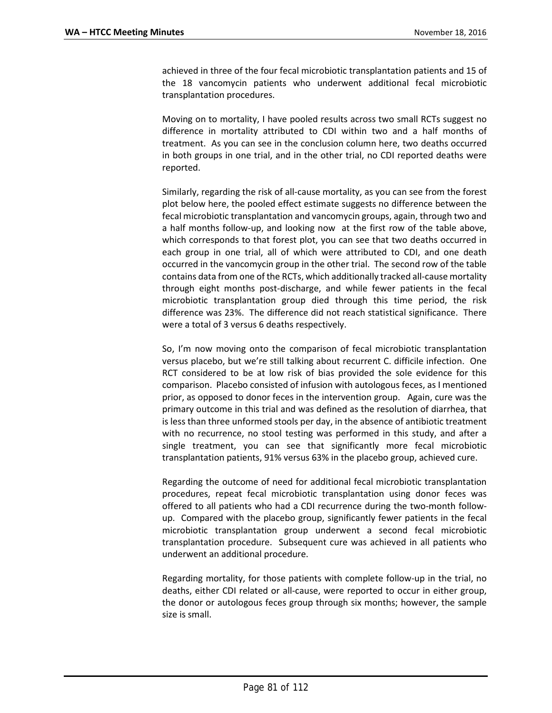achieved in three of the four fecal microbiotic transplantation patients and 15 of the 18 vancomycin patients who underwent additional fecal microbiotic transplantation procedures.

Moving on to mortality, I have pooled results across two small RCTs suggest no difference in mortality attributed to CDI within two and a half months of treatment. As you can see in the conclusion column here, two deaths occurred in both groups in one trial, and in the other trial, no CDI reported deaths were reported.

Similarly, regarding the risk of all-cause mortality, as you can see from the forest plot below here, the pooled effect estimate suggests no difference between the fecal microbiotic transplantation and vancomycin groups, again, through two and a half months follow-up, and looking now at the first row of the table above, which corresponds to that forest plot, you can see that two deaths occurred in each group in one trial, all of which were attributed to CDI, and one death occurred in the vancomycin group in the other trial. The second row of the table contains data from one of the RCTs, which additionally tracked all-cause mortality through eight months post-discharge, and while fewer patients in the fecal microbiotic transplantation group died through this time period, the risk difference was 23%. The difference did not reach statistical significance. There were a total of 3 versus 6 deaths respectively.

So, I'm now moving onto the comparison of fecal microbiotic transplantation versus placebo, but we're still talking about recurrent C. difficile infection. One RCT considered to be at low risk of bias provided the sole evidence for this comparison. Placebo consisted of infusion with autologous feces, as I mentioned prior, as opposed to donor feces in the intervention group. Again, cure was the primary outcome in this trial and was defined as the resolution of diarrhea, that is less than three unformed stools per day, in the absence of antibiotic treatment with no recurrence, no stool testing was performed in this study, and after a single treatment, you can see that significantly more fecal microbiotic transplantation patients, 91% versus 63% in the placebo group, achieved cure.

Regarding the outcome of need for additional fecal microbiotic transplantation procedures, repeat fecal microbiotic transplantation using donor feces was offered to all patients who had a CDI recurrence during the two-month followup. Compared with the placebo group, significantly fewer patients in the fecal microbiotic transplantation group underwent a second fecal microbiotic transplantation procedure. Subsequent cure was achieved in all patients who underwent an additional procedure.

Regarding mortality, for those patients with complete follow-up in the trial, no deaths, either CDI related or all-cause, were reported to occur in either group, the donor or autologous feces group through six months; however, the sample size is small.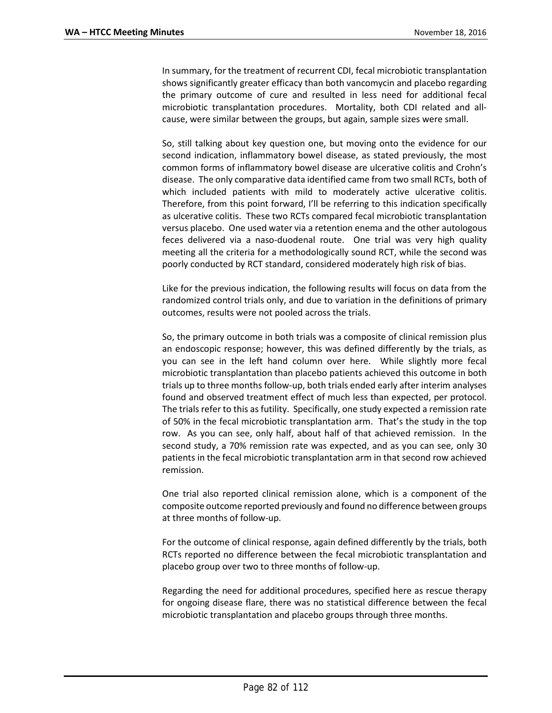In summary, for the treatment of recurrent CDI, fecal microbiotic transplantation shows significantly greater efficacy than both vancomycin and placebo regarding the primary outcome of cure and resulted in less need for additional fecal microbiotic transplantation procedures. Mortality, both CDI related and allcause, were similar between the groups, but again, sample sizes were small.

So, still talking about key question one, but moving onto the evidence for our second indication, inflammatory bowel disease, as stated previously, the most common forms of inflammatory bowel disease are ulcerative colitis and Crohn's disease. The only comparative data identified came from two small RCTs, both of which included patients with mild to moderately active ulcerative colitis. Therefore, from this point forward, I'll be referring to this indication specifically as ulcerative colitis. These two RCTs compared fecal microbiotic transplantation versus placebo. One used water via a retention enema and the other autologous feces delivered via a naso-duodenal route. One trial was very high quality meeting all the criteria for a methodologically sound RCT, while the second was poorly conducted by RCT standard, considered moderately high risk of bias.

Like for the previous indication, the following results will focus on data from the randomized control trials only, and due to variation in the definitions of primary outcomes, results were not pooled across the trials.

So, the primary outcome in both trials was a composite of clinical remission plus an endoscopic response; however, this was defined differently by the trials, as you can see in the left hand column over here. While slightly more fecal microbiotic transplantation than placebo patients achieved this outcome in both trials up to three months follow-up, both trials ended early after interim analyses found and observed treatment effect of much less than expected, per protocol. The trials refer to this as futility. Specifically, one study expected a remission rate of 50% in the fecal microbiotic transplantation arm. That's the study in the top row. As you can see, only half, about half of that achieved remission. In the second study, a 70% remission rate was expected, and as you can see, only 30 patients in the fecal microbiotic transplantation arm in that second row achieved remission.

One trial also reported clinical remission alone, which is a component of the composite outcome reported previously and found no difference between groups at three months of follow-up.

For the outcome of clinical response, again defined differently by the trials, both RCTs reported no difference between the fecal microbiotic transplantation and placebo group over two to three months of follow-up.

Regarding the need for additional procedures, specified here as rescue therapy for ongoing disease flare, there was no statistical difference between the fecal microbiotic transplantation and placebo groups through three months.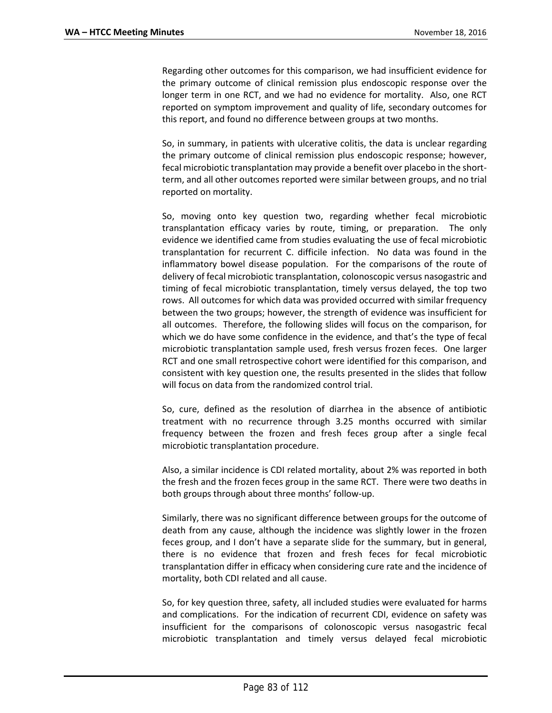Regarding other outcomes for this comparison, we had insufficient evidence for the primary outcome of clinical remission plus endoscopic response over the longer term in one RCT, and we had no evidence for mortality. Also, one RCT reported on symptom improvement and quality of life, secondary outcomes for this report, and found no difference between groups at two months.

So, in summary, in patients with ulcerative colitis, the data is unclear regarding the primary outcome of clinical remission plus endoscopic response; however, fecal microbiotic transplantation may provide a benefit over placebo in the shortterm, and all other outcomes reported were similar between groups, and no trial reported on mortality.

So, moving onto key question two, regarding whether fecal microbiotic transplantation efficacy varies by route, timing, or preparation. The only evidence we identified came from studies evaluating the use of fecal microbiotic transplantation for recurrent C. difficile infection. No data was found in the inflammatory bowel disease population. For the comparisons of the route of delivery of fecal microbiotic transplantation, colonoscopic versus nasogastric and timing of fecal microbiotic transplantation, timely versus delayed, the top two rows. All outcomes for which data was provided occurred with similar frequency between the two groups; however, the strength of evidence was insufficient for all outcomes. Therefore, the following slides will focus on the comparison, for which we do have some confidence in the evidence, and that's the type of fecal microbiotic transplantation sample used, fresh versus frozen feces. One larger RCT and one small retrospective cohort were identified for this comparison, and consistent with key question one, the results presented in the slides that follow will focus on data from the randomized control trial.

So, cure, defined as the resolution of diarrhea in the absence of antibiotic treatment with no recurrence through 3.25 months occurred with similar frequency between the frozen and fresh feces group after a single fecal microbiotic transplantation procedure.

Also, a similar incidence is CDI related mortality, about 2% was reported in both the fresh and the frozen feces group in the same RCT. There were two deaths in both groups through about three months' follow-up.

Similarly, there was no significant difference between groups for the outcome of death from any cause, although the incidence was slightly lower in the frozen feces group, and I don't have a separate slide for the summary, but in general, there is no evidence that frozen and fresh feces for fecal microbiotic transplantation differ in efficacy when considering cure rate and the incidence of mortality, both CDI related and all cause.

So, for key question three, safety, all included studies were evaluated for harms and complications. For the indication of recurrent CDI, evidence on safety was insufficient for the comparisons of colonoscopic versus nasogastric fecal microbiotic transplantation and timely versus delayed fecal microbiotic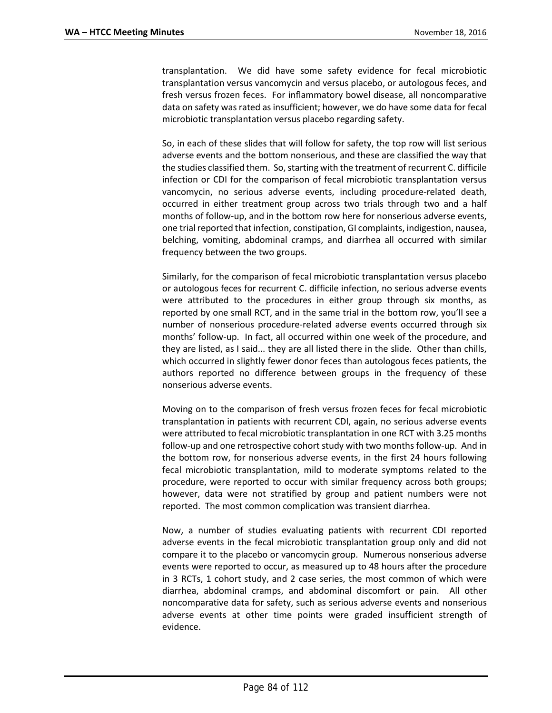transplantation. We did have some safety evidence for fecal microbiotic transplantation versus vancomycin and versus placebo, or autologous feces, and fresh versus frozen feces. For inflammatory bowel disease, all noncomparative data on safety was rated as insufficient; however, we do have some data for fecal microbiotic transplantation versus placebo regarding safety.

So, in each of these slides that will follow for safety, the top row will list serious adverse events and the bottom nonserious, and these are classified the way that the studies classified them. So, starting with the treatment of recurrent C. difficile infection or CDI for the comparison of fecal microbiotic transplantation versus vancomycin, no serious adverse events, including procedure-related death, occurred in either treatment group across two trials through two and a half months of follow-up, and in the bottom row here for nonserious adverse events, one trial reported that infection, constipation, GI complaints, indigestion, nausea, belching, vomiting, abdominal cramps, and diarrhea all occurred with similar frequency between the two groups.

Similarly, for the comparison of fecal microbiotic transplantation versus placebo or autologous feces for recurrent C. difficile infection, no serious adverse events were attributed to the procedures in either group through six months, as reported by one small RCT, and in the same trial in the bottom row, you'll see a number of nonserious procedure-related adverse events occurred through six months' follow-up. In fact, all occurred within one week of the procedure, and they are listed, as I said... they are all listed there in the slide. Other than chills, which occurred in slightly fewer donor feces than autologous feces patients, the authors reported no difference between groups in the frequency of these nonserious adverse events.

Moving on to the comparison of fresh versus frozen feces for fecal microbiotic transplantation in patients with recurrent CDI, again, no serious adverse events were attributed to fecal microbiotic transplantation in one RCT with 3.25 months follow-up and one retrospective cohort study with two months follow-up. And in the bottom row, for nonserious adverse events, in the first 24 hours following fecal microbiotic transplantation, mild to moderate symptoms related to the procedure, were reported to occur with similar frequency across both groups; however, data were not stratified by group and patient numbers were not reported. The most common complication was transient diarrhea.

Now, a number of studies evaluating patients with recurrent CDI reported adverse events in the fecal microbiotic transplantation group only and did not compare it to the placebo or vancomycin group. Numerous nonserious adverse events were reported to occur, as measured up to 48 hours after the procedure in 3 RCTs, 1 cohort study, and 2 case series, the most common of which were diarrhea, abdominal cramps, and abdominal discomfort or pain. All other noncomparative data for safety, such as serious adverse events and nonserious adverse events at other time points were graded insufficient strength of evidence.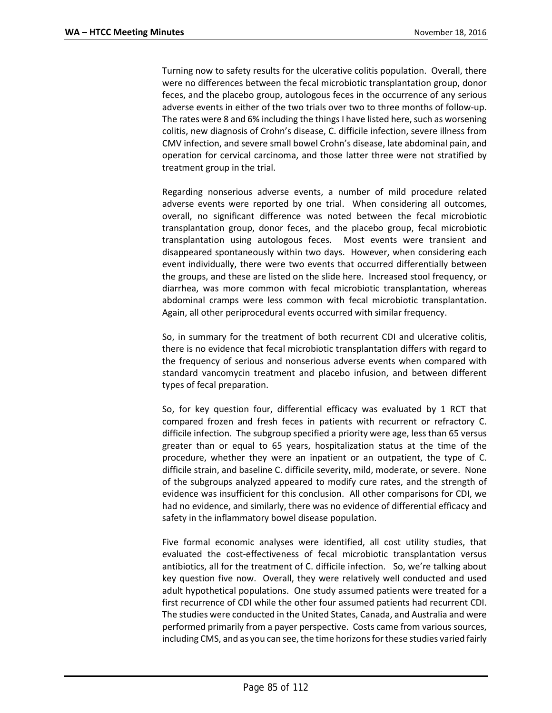Turning now to safety results for the ulcerative colitis population. Overall, there were no differences between the fecal microbiotic transplantation group, donor feces, and the placebo group, autologous feces in the occurrence of any serious adverse events in either of the two trials over two to three months of follow-up. The rates were 8 and 6% including the things I have listed here, such as worsening colitis, new diagnosis of Crohn's disease, C. difficile infection, severe illness from CMV infection, and severe small bowel Crohn's disease, late abdominal pain, and operation for cervical carcinoma, and those latter three were not stratified by treatment group in the trial.

Regarding nonserious adverse events, a number of mild procedure related adverse events were reported by one trial. When considering all outcomes, overall, no significant difference was noted between the fecal microbiotic transplantation group, donor feces, and the placebo group, fecal microbiotic transplantation using autologous feces. Most events were transient and disappeared spontaneously within two days. However, when considering each event individually, there were two events that occurred differentially between the groups, and these are listed on the slide here. Increased stool frequency, or diarrhea, was more common with fecal microbiotic transplantation, whereas abdominal cramps were less common with fecal microbiotic transplantation. Again, all other periprocedural events occurred with similar frequency.

So, in summary for the treatment of both recurrent CDI and ulcerative colitis, there is no evidence that fecal microbiotic transplantation differs with regard to the frequency of serious and nonserious adverse events when compared with standard vancomycin treatment and placebo infusion, and between different types of fecal preparation.

So, for key question four, differential efficacy was evaluated by 1 RCT that compared frozen and fresh feces in patients with recurrent or refractory C. difficile infection. The subgroup specified a priority were age, less than 65 versus greater than or equal to 65 years, hospitalization status at the time of the procedure, whether they were an inpatient or an outpatient, the type of C. difficile strain, and baseline C. difficile severity, mild, moderate, or severe. None of the subgroups analyzed appeared to modify cure rates, and the strength of evidence was insufficient for this conclusion. All other comparisons for CDI, we had no evidence, and similarly, there was no evidence of differential efficacy and safety in the inflammatory bowel disease population.

Five formal economic analyses were identified, all cost utility studies, that evaluated the cost-effectiveness of fecal microbiotic transplantation versus antibiotics, all for the treatment of C. difficile infection. So, we're talking about key question five now. Overall, they were relatively well conducted and used adult hypothetical populations. One study assumed patients were treated for a first recurrence of CDI while the other four assumed patients had recurrent CDI. The studies were conducted in the United States, Canada, and Australia and were performed primarily from a payer perspective. Costs came from various sources, including CMS, and as you can see, the time horizons for these studies varied fairly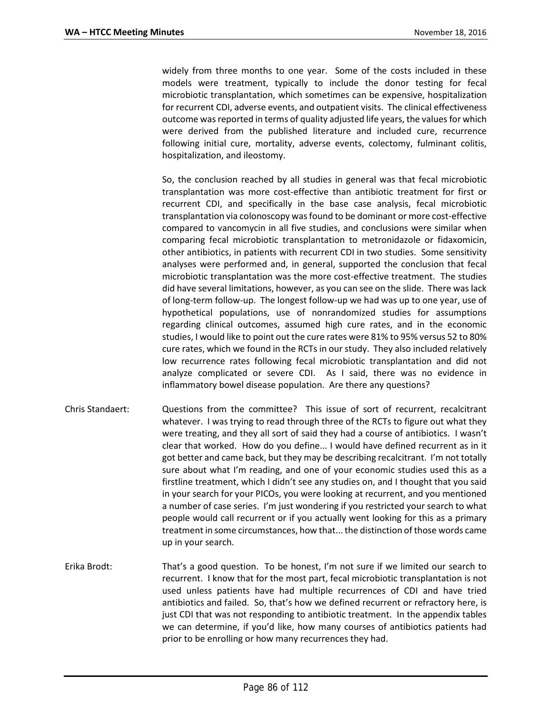widely from three months to one year. Some of the costs included in these models were treatment, typically to include the donor testing for fecal microbiotic transplantation, which sometimes can be expensive, hospitalization for recurrent CDI, adverse events, and outpatient visits. The clinical effectiveness outcome was reported in terms of quality adjusted life years, the values for which were derived from the published literature and included cure, recurrence following initial cure, mortality, adverse events, colectomy, fulminant colitis, hospitalization, and ileostomy.

So, the conclusion reached by all studies in general was that fecal microbiotic transplantation was more cost-effective than antibiotic treatment for first or recurrent CDI, and specifically in the base case analysis, fecal microbiotic transplantation via colonoscopy was found to be dominant or more cost-effective compared to vancomycin in all five studies, and conclusions were similar when comparing fecal microbiotic transplantation to metronidazole or fidaxomicin, other antibiotics, in patients with recurrent CDI in two studies. Some sensitivity analyses were performed and, in general, supported the conclusion that fecal microbiotic transplantation was the more cost-effective treatment. The studies did have several limitations, however, as you can see on the slide. There was lack of long-term follow-up. The longest follow-up we had was up to one year, use of hypothetical populations, use of nonrandomized studies for assumptions regarding clinical outcomes, assumed high cure rates, and in the economic studies, I would like to point out the cure rates were 81% to 95% versus 52 to 80% cure rates, which we found in the RCTs in our study. They also included relatively low recurrence rates following fecal microbiotic transplantation and did not analyze complicated or severe CDI. As I said, there was no evidence in inflammatory bowel disease population. Are there any questions?

- Chris Standaert: Questions from the committee? This issue of sort of recurrent, recalcitrant whatever. I was trying to read through three of the RCTs to figure out what they were treating, and they all sort of said they had a course of antibiotics. I wasn't clear that worked. How do you define... I would have defined recurrent as in it got better and came back, but they may be describing recalcitrant. I'm not totally sure about what I'm reading, and one of your economic studies used this as a firstline treatment, which I didn't see any studies on, and I thought that you said in your search for your PICOs, you were looking at recurrent, and you mentioned a number of case series. I'm just wondering if you restricted your search to what people would call recurrent or if you actually went looking for this as a primary treatment in some circumstances, how that... the distinction of those words came up in your search.
- Erika Brodt: That's a good question. To be honest, I'm not sure if we limited our search to recurrent. I know that for the most part, fecal microbiotic transplantation is not used unless patients have had multiple recurrences of CDI and have tried antibiotics and failed. So, that's how we defined recurrent or refractory here, is just CDI that was not responding to antibiotic treatment. In the appendix tables we can determine, if you'd like, how many courses of antibiotics patients had prior to be enrolling or how many recurrences they had.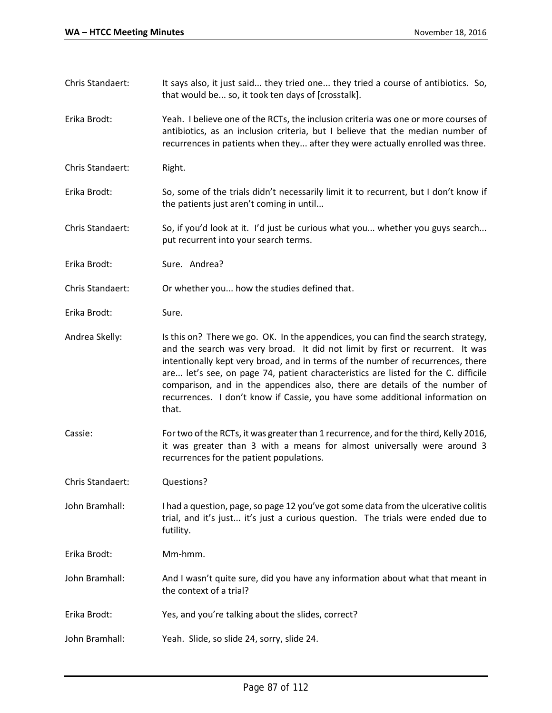Chris Standaert: It says also, it just said... they tried one... they tried a course of antibiotics. So, that would be... so, it took ten days of [crosstalk]. Erika Brodt: Yeah. I believe one of the RCTs, the inclusion criteria was one or more courses of antibiotics, as an inclusion criteria, but I believe that the median number of recurrences in patients when they... after they were actually enrolled was three. Chris Standaert: Right. Erika Brodt: So, some of the trials didn't necessarily limit it to recurrent, but I don't know if the patients just aren't coming in until... Chris Standaert: So, if you'd look at it. I'd just be curious what you... whether you guys search... put recurrent into your search terms. Erika Brodt: Sure. Andrea? Chris Standaert: Or whether you... how the studies defined that. Erika Brodt: Sure. Andrea Skelly: Is this on? There we go. OK. In the appendices, you can find the search strategy, and the search was very broad. It did not limit by first or recurrent. It was intentionally kept very broad, and in terms of the number of recurrences, there are... let's see, on page 74, patient characteristics are listed for the C. difficile comparison, and in the appendices also, there are details of the number of recurrences. I don't know if Cassie, you have some additional information on that. Cassie: For two of the RCTs, it was greater than 1 recurrence, and for the third, Kelly 2016, it was greater than 3 with a means for almost universally were around 3 recurrences for the patient populations. Chris Standaert: Questions? John Bramhall: I had a question, page, so page 12 you've got some data from the ulcerative colitis trial, and it's just... it's just a curious question. The trials were ended due to futility. Erika Brodt: Mm-hmm. John Bramhall: And I wasn't quite sure, did you have any information about what that meant in the context of a trial? Erika Brodt: Yes, and you're talking about the slides, correct? John Bramhall: Yeah. Slide, so slide 24, sorry, slide 24.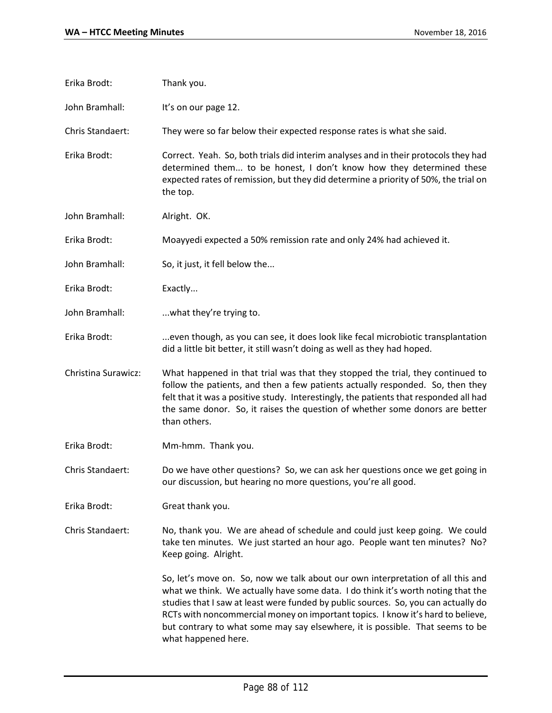| Erika Brodt:        | Thank you.                                                                                                                                                                                                                                                                                                                                                                                                                                           |
|---------------------|------------------------------------------------------------------------------------------------------------------------------------------------------------------------------------------------------------------------------------------------------------------------------------------------------------------------------------------------------------------------------------------------------------------------------------------------------|
| John Bramhall:      | It's on our page 12.                                                                                                                                                                                                                                                                                                                                                                                                                                 |
| Chris Standaert:    | They were so far below their expected response rates is what she said.                                                                                                                                                                                                                                                                                                                                                                               |
| Erika Brodt:        | Correct. Yeah. So, both trials did interim analyses and in their protocols they had<br>determined them to be honest, I don't know how they determined these<br>expected rates of remission, but they did determine a priority of 50%, the trial on<br>the top.                                                                                                                                                                                       |
| John Bramhall:      | Alright. OK.                                                                                                                                                                                                                                                                                                                                                                                                                                         |
| Erika Brodt:        | Moayyedi expected a 50% remission rate and only 24% had achieved it.                                                                                                                                                                                                                                                                                                                                                                                 |
| John Bramhall:      | So, it just, it fell below the                                                                                                                                                                                                                                                                                                                                                                                                                       |
| Erika Brodt:        | Exactly                                                                                                                                                                                                                                                                                                                                                                                                                                              |
| John Bramhall:      | what they're trying to.                                                                                                                                                                                                                                                                                                                                                                                                                              |
| Erika Brodt:        | even though, as you can see, it does look like fecal microbiotic transplantation<br>did a little bit better, it still wasn't doing as well as they had hoped.                                                                                                                                                                                                                                                                                        |
| Christina Surawicz: | What happened in that trial was that they stopped the trial, they continued to<br>follow the patients, and then a few patients actually responded. So, then they<br>felt that it was a positive study. Interestingly, the patients that responded all had<br>the same donor. So, it raises the question of whether some donors are better<br>than others.                                                                                            |
| Erika Brodt:        | Mm-hmm. Thank you.                                                                                                                                                                                                                                                                                                                                                                                                                                   |
| Chris Standaert:    | Do we have other questions? So, we can ask her questions once we get going in<br>our discussion, but hearing no more questions, you're all good.                                                                                                                                                                                                                                                                                                     |
| Erika Brodt:        | Great thank you.                                                                                                                                                                                                                                                                                                                                                                                                                                     |
| Chris Standaert:    | No, thank you. We are ahead of schedule and could just keep going. We could<br>take ten minutes. We just started an hour ago. People want ten minutes? No?<br>Keep going. Alright.                                                                                                                                                                                                                                                                   |
|                     | So, let's move on. So, now we talk about our own interpretation of all this and<br>what we think. We actually have some data. I do think it's worth noting that the<br>studies that I saw at least were funded by public sources. So, you can actually do<br>RCTs with noncommercial money on important topics. I know it's hard to believe,<br>but contrary to what some may say elsewhere, it is possible. That seems to be<br>what happened here. |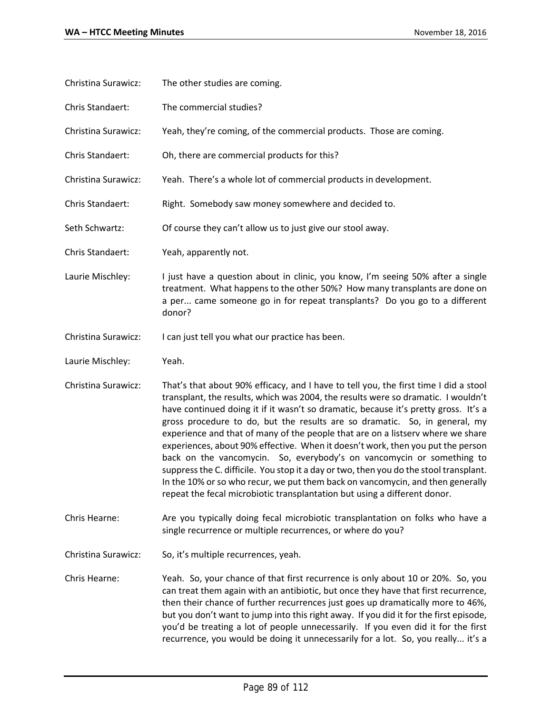| Christina Surawicz: | The other studies are coming.                                                                                                                                                                                                                                                                                                                                                                                                                                                                                                                                                                                                                                                                                                                                                                                                                          |
|---------------------|--------------------------------------------------------------------------------------------------------------------------------------------------------------------------------------------------------------------------------------------------------------------------------------------------------------------------------------------------------------------------------------------------------------------------------------------------------------------------------------------------------------------------------------------------------------------------------------------------------------------------------------------------------------------------------------------------------------------------------------------------------------------------------------------------------------------------------------------------------|
| Chris Standaert:    | The commercial studies?                                                                                                                                                                                                                                                                                                                                                                                                                                                                                                                                                                                                                                                                                                                                                                                                                                |
| Christina Surawicz: | Yeah, they're coming, of the commercial products. Those are coming.                                                                                                                                                                                                                                                                                                                                                                                                                                                                                                                                                                                                                                                                                                                                                                                    |
| Chris Standaert:    | Oh, there are commercial products for this?                                                                                                                                                                                                                                                                                                                                                                                                                                                                                                                                                                                                                                                                                                                                                                                                            |
| Christina Surawicz: | Yeah. There's a whole lot of commercial products in development.                                                                                                                                                                                                                                                                                                                                                                                                                                                                                                                                                                                                                                                                                                                                                                                       |
| Chris Standaert:    | Right. Somebody saw money somewhere and decided to.                                                                                                                                                                                                                                                                                                                                                                                                                                                                                                                                                                                                                                                                                                                                                                                                    |
| Seth Schwartz:      | Of course they can't allow us to just give our stool away.                                                                                                                                                                                                                                                                                                                                                                                                                                                                                                                                                                                                                                                                                                                                                                                             |
| Chris Standaert:    | Yeah, apparently not.                                                                                                                                                                                                                                                                                                                                                                                                                                                                                                                                                                                                                                                                                                                                                                                                                                  |
| Laurie Mischley:    | I just have a question about in clinic, you know, I'm seeing 50% after a single<br>treatment. What happens to the other 50%? How many transplants are done on<br>a per came someone go in for repeat transplants? Do you go to a different<br>donor?                                                                                                                                                                                                                                                                                                                                                                                                                                                                                                                                                                                                   |
| Christina Surawicz: | I can just tell you what our practice has been.                                                                                                                                                                                                                                                                                                                                                                                                                                                                                                                                                                                                                                                                                                                                                                                                        |
| Laurie Mischley:    | Yeah.                                                                                                                                                                                                                                                                                                                                                                                                                                                                                                                                                                                                                                                                                                                                                                                                                                                  |
| Christina Surawicz: | That's that about 90% efficacy, and I have to tell you, the first time I did a stool<br>transplant, the results, which was 2004, the results were so dramatic. I wouldn't<br>have continued doing it if it wasn't so dramatic, because it's pretty gross. It's a<br>gross procedure to do, but the results are so dramatic. So, in general, my<br>experience and that of many of the people that are on a listserv where we share<br>experiences, about 90% effective. When it doesn't work, then you put the person<br>back on the vancomycin. So, everybody's on vancomycin or something to<br>suppress the C. difficile. You stop it a day or two, then you do the stool transplant.<br>In the 10% or so who recur, we put them back on vancomycin, and then generally<br>repeat the fecal microbiotic transplantation but using a different donor. |
| Chris Hearne:       | Are you typically doing fecal microbiotic transplantation on folks who have a<br>single recurrence or multiple recurrences, or where do you?                                                                                                                                                                                                                                                                                                                                                                                                                                                                                                                                                                                                                                                                                                           |
| Christina Surawicz: | So, it's multiple recurrences, yeah.                                                                                                                                                                                                                                                                                                                                                                                                                                                                                                                                                                                                                                                                                                                                                                                                                   |
| Chris Hearne:       | Yeah. So, your chance of that first recurrence is only about 10 or 20%. So, you<br>can treat them again with an antibiotic, but once they have that first recurrence,<br>then their chance of further recurrences just goes up dramatically more to 46%,<br>but you don't want to jump into this right away. If you did it for the first episode,<br>you'd be treating a lot of people unnecessarily. If you even did it for the first<br>recurrence, you would be doing it unnecessarily for a lot. So, you really it's a                                                                                                                                                                                                                                                                                                                             |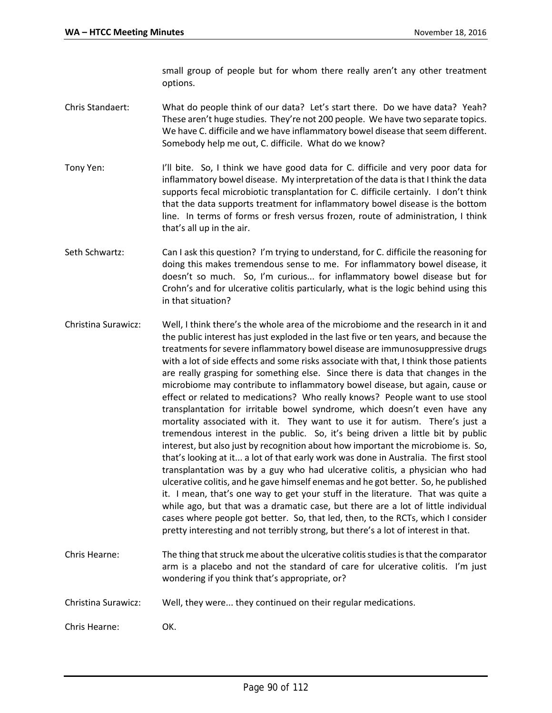small group of people but for whom there really aren't any other treatment options.

- Chris Standaert: What do people think of our data? Let's start there. Do we have data? Yeah? These aren't huge studies. They're not 200 people. We have two separate topics. We have C. difficile and we have inflammatory bowel disease that seem different. Somebody help me out, C. difficile. What do we know?
- Tony Yen: I'll bite. So, I think we have good data for C. difficile and very poor data for inflammatory bowel disease. My interpretation of the data is that I think the data supports fecal microbiotic transplantation for C. difficile certainly. I don't think that the data supports treatment for inflammatory bowel disease is the bottom line. In terms of forms or fresh versus frozen, route of administration, I think that's all up in the air.
- Seth Schwartz: Can I ask this question? I'm trying to understand, for C. difficile the reasoning for doing this makes tremendous sense to me. For inflammatory bowel disease, it doesn't so much. So, I'm curious... for inflammatory bowel disease but for Crohn's and for ulcerative colitis particularly, what is the logic behind using this in that situation?
- Christina Surawicz: Well, I think there's the whole area of the microbiome and the research in it and the public interest has just exploded in the last five or ten years, and because the treatments for severe inflammatory bowel disease are immunosuppressive drugs with a lot of side effects and some risks associate with that, I think those patients are really grasping for something else. Since there is data that changes in the microbiome may contribute to inflammatory bowel disease, but again, cause or effect or related to medications? Who really knows? People want to use stool transplantation for irritable bowel syndrome, which doesn't even have any mortality associated with it. They want to use it for autism. There's just a tremendous interest in the public. So, it's being driven a little bit by public interest, but also just by recognition about how important the microbiome is. So, that's looking at it... a lot of that early work was done in Australia. The first stool transplantation was by a guy who had ulcerative colitis, a physician who had ulcerative colitis, and he gave himself enemas and he got better. So, he published it. I mean, that's one way to get your stuff in the literature. That was quite a while ago, but that was a dramatic case, but there are a lot of little individual cases where people got better. So, that led, then, to the RCTs, which I consider pretty interesting and not terribly strong, but there's a lot of interest in that.
- Chris Hearne: The thing that struck me about the ulcerative colitis studies is that the comparator arm is a placebo and not the standard of care for ulcerative colitis. I'm just wondering if you think that's appropriate, or?
- Christina Surawicz: Well, they were... they continued on their regular medications.

Chris Hearne: OK.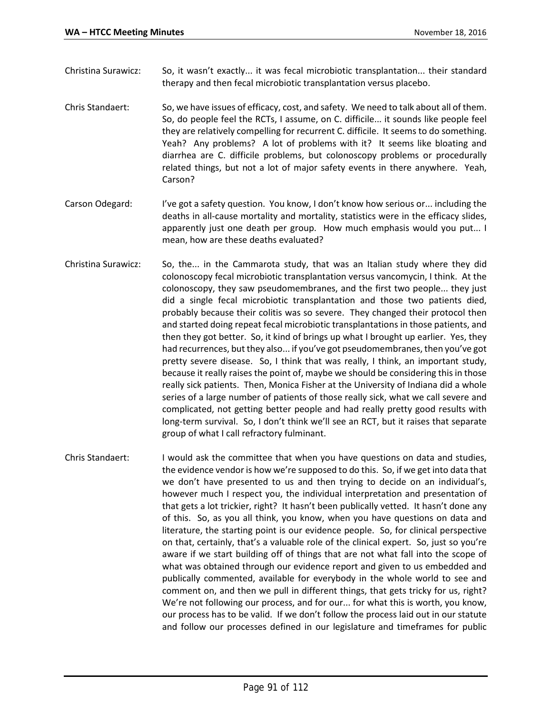Christina Surawicz: So, it wasn't exactly... it was fecal microbiotic transplantation... their standard therapy and then fecal microbiotic transplantation versus placebo.

- Chris Standaert: So, we have issues of efficacy, cost, and safety. We need to talk about all of them. So, do people feel the RCTs, I assume, on C. difficile... it sounds like people feel they are relatively compelling for recurrent C. difficile. It seems to do something. Yeah? Any problems? A lot of problems with it? It seems like bloating and diarrhea are C. difficile problems, but colonoscopy problems or procedurally related things, but not a lot of major safety events in there anywhere. Yeah, Carson?
- Carson Odegard: I've got a safety question. You know, I don't know how serious or... including the deaths in all-cause mortality and mortality, statistics were in the efficacy slides, apparently just one death per group. How much emphasis would you put... I mean, how are these deaths evaluated?
- Christina Surawicz: So, the... in the Cammarota study, that was an Italian study where they did colonoscopy fecal microbiotic transplantation versus vancomycin, I think. At the colonoscopy, they saw pseudomembranes, and the first two people... they just did a single fecal microbiotic transplantation and those two patients died, probably because their colitis was so severe. They changed their protocol then and started doing repeat fecal microbiotic transplantations in those patients, and then they got better. So, it kind of brings up what I brought up earlier. Yes, they had recurrences, but they also... if you've got pseudomembranes, then you've got pretty severe disease. So, I think that was really, I think, an important study, because it really raises the point of, maybe we should be considering this in those really sick patients. Then, Monica Fisher at the University of Indiana did a whole series of a large number of patients of those really sick, what we call severe and complicated, not getting better people and had really pretty good results with long-term survival. So, I don't think we'll see an RCT, but it raises that separate group of what I call refractory fulminant.
- Chris Standaert: I would ask the committee that when you have questions on data and studies, the evidence vendor is how we're supposed to do this. So, if we get into data that we don't have presented to us and then trying to decide on an individual's, however much I respect you, the individual interpretation and presentation of that gets a lot trickier, right? It hasn't been publically vetted. It hasn't done any of this. So, as you all think, you know, when you have questions on data and literature, the starting point is our evidence people. So, for clinical perspective on that, certainly, that's a valuable role of the clinical expert. So, just so you're aware if we start building off of things that are not what fall into the scope of what was obtained through our evidence report and given to us embedded and publically commented, available for everybody in the whole world to see and comment on, and then we pull in different things, that gets tricky for us, right? We're not following our process, and for our... for what this is worth, you know, our process has to be valid. If we don't follow the process laid out in our statute and follow our processes defined in our legislature and timeframes for public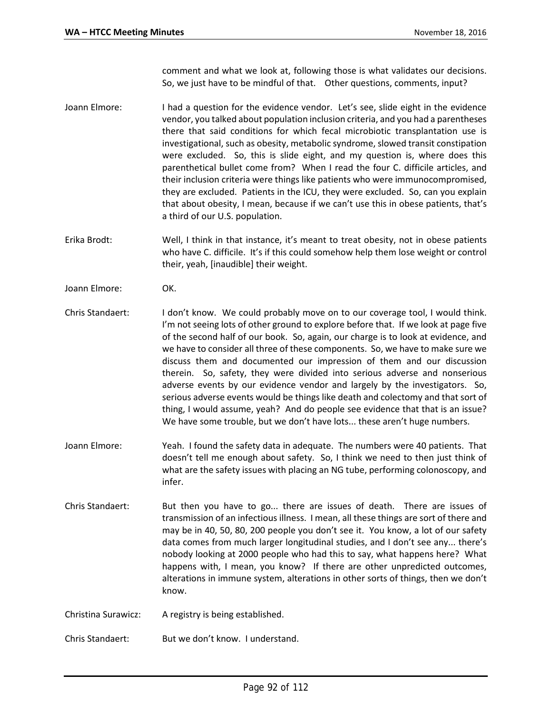comment and what we look at, following those is what validates our decisions. So, we just have to be mindful of that. Other questions, comments, input?

- Joann Elmore: I had a question for the evidence vendor. Let's see, slide eight in the evidence vendor, you talked about population inclusion criteria, and you had a parentheses there that said conditions for which fecal microbiotic transplantation use is investigational, such as obesity, metabolic syndrome, slowed transit constipation were excluded. So, this is slide eight, and my question is, where does this parenthetical bullet come from? When I read the four C. difficile articles, and their inclusion criteria were things like patients who were immunocompromised, they are excluded. Patients in the ICU, they were excluded. So, can you explain that about obesity, I mean, because if we can't use this in obese patients, that's a third of our U.S. population.
- Erika Brodt: Well, I think in that instance, it's meant to treat obesity, not in obese patients who have C. difficile. It's if this could somehow help them lose weight or control their, yeah, [inaudible] their weight.
- Joann Elmore: OK.
- Chris Standaert: I don't know. We could probably move on to our coverage tool, I would think. I'm not seeing lots of other ground to explore before that. If we look at page five of the second half of our book. So, again, our charge is to look at evidence, and we have to consider all three of these components. So, we have to make sure we discuss them and documented our impression of them and our discussion therein. So, safety, they were divided into serious adverse and nonserious adverse events by our evidence vendor and largely by the investigators. So, serious adverse events would be things like death and colectomy and that sort of thing, I would assume, yeah? And do people see evidence that that is an issue? We have some trouble, but we don't have lots... these aren't huge numbers.
- Joann Elmore: Yeah. I found the safety data in adequate. The numbers were 40 patients. That doesn't tell me enough about safety. So, I think we need to then just think of what are the safety issues with placing an NG tube, performing colonoscopy, and infer.
- Chris Standaert: But then you have to go... there are issues of death. There are issues of transmission of an infectious illness. I mean, all these things are sort of there and may be in 40, 50, 80, 200 people you don't see it. You know, a lot of our safety data comes from much larger longitudinal studies, and I don't see any... there's nobody looking at 2000 people who had this to say, what happens here? What happens with, I mean, you know? If there are other unpredicted outcomes, alterations in immune system, alterations in other sorts of things, then we don't know.
- Christina Surawicz: A registry is being established.
- Chris Standaert: But we don't know. I understand.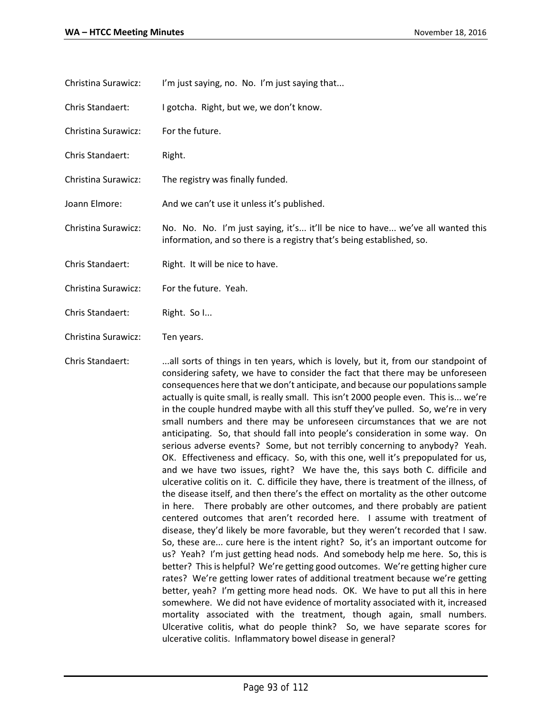Christina Surawicz: I'm just saying, no. No. I'm just saying that...

Chris Standaert: I gotcha. Right, but we, we don't know.

Christina Surawicz: For the future.

Chris Standaert: Right.

Christina Surawicz: The registry was finally funded.

Joann Elmore: And we can't use it unless it's published.

Christina Surawicz: No. No. No. I'm just saying, it's... it'll be nice to have... we've all wanted this information, and so there is a registry that's being established, so.

Chris Standaert: Right. It will be nice to have.

Christina Surawicz: For the future. Yeah.

- Chris Standaert: Right. So I...
- Christina Surawicz: Ten years.

Chris Standaert: ...all sorts of things in ten years, which is lovely, but it, from our standpoint of considering safety, we have to consider the fact that there may be unforeseen consequences here that we don't anticipate, and because our populations sample actually is quite small, is really small. This isn't 2000 people even. This is... we're in the couple hundred maybe with all this stuff they've pulled. So, we're in very small numbers and there may be unforeseen circumstances that we are not anticipating. So, that should fall into people's consideration in some way. On serious adverse events? Some, but not terribly concerning to anybody? Yeah. OK. Effectiveness and efficacy. So, with this one, well it's prepopulated for us, and we have two issues, right? We have the, this says both C. difficile and ulcerative colitis on it. C. difficile they have, there is treatment of the illness, of the disease itself, and then there's the effect on mortality as the other outcome in here. There probably are other outcomes, and there probably are patient centered outcomes that aren't recorded here. I assume with treatment of disease, they'd likely be more favorable, but they weren't recorded that I saw. So, these are... cure here is the intent right? So, it's an important outcome for us? Yeah? I'm just getting head nods. And somebody help me here. So, this is better? This is helpful? We're getting good outcomes. We're getting higher cure rates? We're getting lower rates of additional treatment because we're getting better, yeah? I'm getting more head nods. OK. We have to put all this in here somewhere. We did not have evidence of mortality associated with it, increased mortality associated with the treatment, though again, small numbers. Ulcerative colitis, what do people think? So, we have separate scores for ulcerative colitis. Inflammatory bowel disease in general?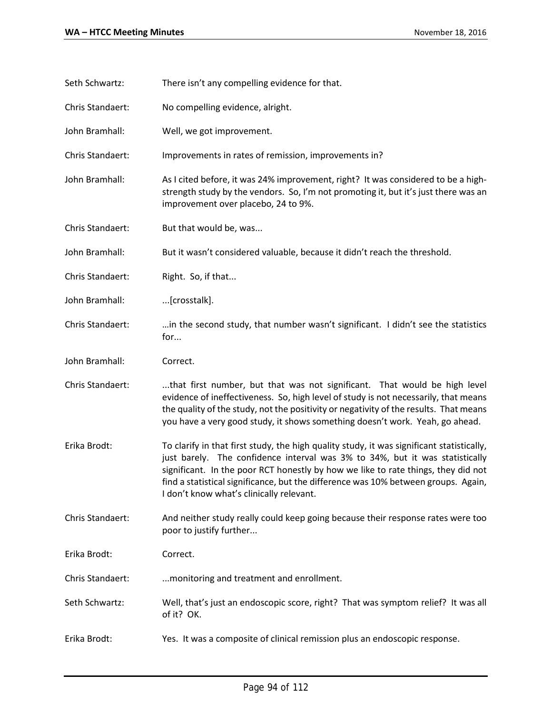| Seth Schwartz:   | There isn't any compelling evidence for that.                                                                                                                                                                                                                                                                                                                                                    |
|------------------|--------------------------------------------------------------------------------------------------------------------------------------------------------------------------------------------------------------------------------------------------------------------------------------------------------------------------------------------------------------------------------------------------|
| Chris Standaert: | No compelling evidence, alright.                                                                                                                                                                                                                                                                                                                                                                 |
| John Bramhall:   | Well, we got improvement.                                                                                                                                                                                                                                                                                                                                                                        |
| Chris Standaert: | Improvements in rates of remission, improvements in?                                                                                                                                                                                                                                                                                                                                             |
| John Bramhall:   | As I cited before, it was 24% improvement, right? It was considered to be a high-<br>strength study by the vendors. So, I'm not promoting it, but it's just there was an<br>improvement over placebo, 24 to 9%.                                                                                                                                                                                  |
| Chris Standaert: | But that would be, was                                                                                                                                                                                                                                                                                                                                                                           |
| John Bramhall:   | But it wasn't considered valuable, because it didn't reach the threshold.                                                                                                                                                                                                                                                                                                                        |
| Chris Standaert: | Right. So, if that                                                                                                                                                                                                                                                                                                                                                                               |
| John Bramhall:   | [crosstalk].                                                                                                                                                                                                                                                                                                                                                                                     |
| Chris Standaert: | in the second study, that number wasn't significant. I didn't see the statistics<br>for                                                                                                                                                                                                                                                                                                          |
| John Bramhall:   | Correct.                                                                                                                                                                                                                                                                                                                                                                                         |
| Chris Standaert: | that first number, but that was not significant. That would be high level<br>evidence of ineffectiveness. So, high level of study is not necessarily, that means<br>the quality of the study, not the positivity or negativity of the results. That means<br>you have a very good study, it shows something doesn't work. Yeah, go ahead.                                                        |
| Erika Brodt:     | To clarify in that first study, the high quality study, it was significant statistically,<br>just barely. The confidence interval was 3% to 34%, but it was statistically<br>significant. In the poor RCT honestly by how we like to rate things, they did not<br>find a statistical significance, but the difference was 10% between groups. Again,<br>I don't know what's clinically relevant. |
| Chris Standaert: | And neither study really could keep going because their response rates were too<br>poor to justify further                                                                                                                                                                                                                                                                                       |
| Erika Brodt:     | Correct.                                                                                                                                                                                                                                                                                                                                                                                         |
| Chris Standaert: | monitoring and treatment and enrollment.                                                                                                                                                                                                                                                                                                                                                         |
| Seth Schwartz:   | Well, that's just an endoscopic score, right? That was symptom relief? It was all<br>of it? OK.                                                                                                                                                                                                                                                                                                  |
| Erika Brodt:     | Yes. It was a composite of clinical remission plus an endoscopic response.                                                                                                                                                                                                                                                                                                                       |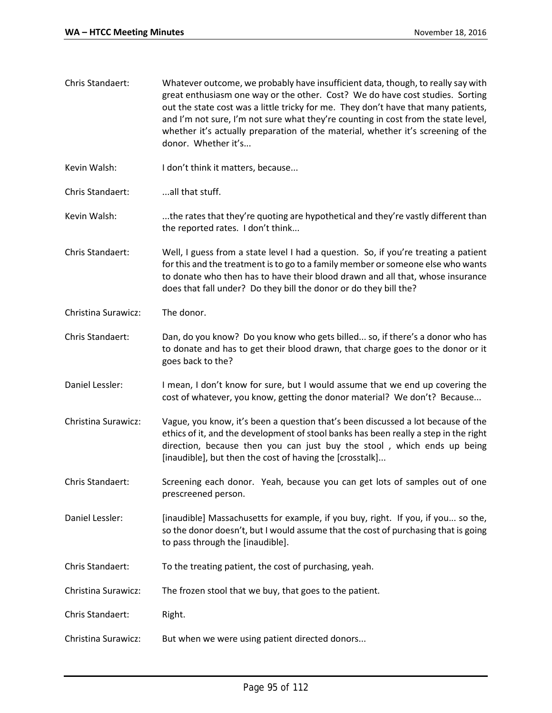| Chris Standaert:    | Whatever outcome, we probably have insufficient data, though, to really say with<br>great enthusiasm one way or the other. Cost? We do have cost studies. Sorting<br>out the state cost was a little tricky for me. They don't have that many patients,<br>and I'm not sure, I'm not sure what they're counting in cost from the state level,<br>whether it's actually preparation of the material, whether it's screening of the<br>donor. Whether it's |
|---------------------|----------------------------------------------------------------------------------------------------------------------------------------------------------------------------------------------------------------------------------------------------------------------------------------------------------------------------------------------------------------------------------------------------------------------------------------------------------|
| Kevin Walsh:        | I don't think it matters, because                                                                                                                                                                                                                                                                                                                                                                                                                        |
| Chris Standaert:    | all that stuff.                                                                                                                                                                                                                                                                                                                                                                                                                                          |
| Kevin Walsh:        | the rates that they're quoting are hypothetical and they're vastly different than<br>the reported rates. I don't think                                                                                                                                                                                                                                                                                                                                   |
| Chris Standaert:    | Well, I guess from a state level I had a question. So, if you're treating a patient<br>for this and the treatment is to go to a family member or someone else who wants<br>to donate who then has to have their blood drawn and all that, whose insurance<br>does that fall under? Do they bill the donor or do they bill the?                                                                                                                           |
| Christina Surawicz: | The donor.                                                                                                                                                                                                                                                                                                                                                                                                                                               |
| Chris Standaert:    | Dan, do you know? Do you know who gets billed so, if there's a donor who has<br>to donate and has to get their blood drawn, that charge goes to the donor or it<br>goes back to the?                                                                                                                                                                                                                                                                     |
| Daniel Lessler:     | I mean, I don't know for sure, but I would assume that we end up covering the<br>cost of whatever, you know, getting the donor material? We don't? Because                                                                                                                                                                                                                                                                                               |
| Christina Surawicz: | Vague, you know, it's been a question that's been discussed a lot because of the<br>ethics of it, and the development of stool banks has been really a step in the right<br>direction, because then you can just buy the stool, which ends up being<br>[inaudible], but then the cost of having the [crosstalk]                                                                                                                                          |
| Chris Standaert:    | Screening each donor. Yeah, because you can get lots of samples out of one<br>prescreened person.                                                                                                                                                                                                                                                                                                                                                        |
| Daniel Lessler:     | [inaudible] Massachusetts for example, if you buy, right. If you, if you so the,<br>so the donor doesn't, but I would assume that the cost of purchasing that is going<br>to pass through the [inaudible].                                                                                                                                                                                                                                               |
| Chris Standaert:    | To the treating patient, the cost of purchasing, yeah.                                                                                                                                                                                                                                                                                                                                                                                                   |
| Christina Surawicz: | The frozen stool that we buy, that goes to the patient.                                                                                                                                                                                                                                                                                                                                                                                                  |
| Chris Standaert:    | Right.                                                                                                                                                                                                                                                                                                                                                                                                                                                   |
| Christina Surawicz: | But when we were using patient directed donors                                                                                                                                                                                                                                                                                                                                                                                                           |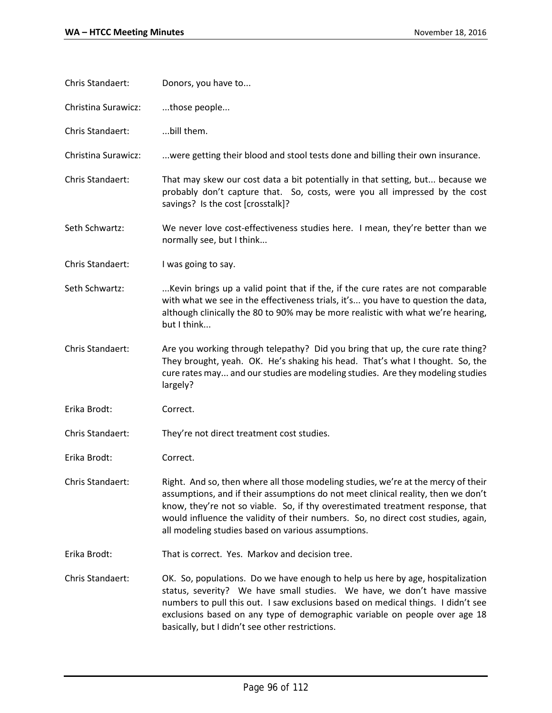| Chris Standaert:    | Donors, you have to                                                                                                                                                                                                                                                                                                                                                                                 |
|---------------------|-----------------------------------------------------------------------------------------------------------------------------------------------------------------------------------------------------------------------------------------------------------------------------------------------------------------------------------------------------------------------------------------------------|
| Christina Surawicz: | those people                                                                                                                                                                                                                                                                                                                                                                                        |
| Chris Standaert:    | bill them.                                                                                                                                                                                                                                                                                                                                                                                          |
| Christina Surawicz: | were getting their blood and stool tests done and billing their own insurance.                                                                                                                                                                                                                                                                                                                      |
| Chris Standaert:    | That may skew our cost data a bit potentially in that setting, but because we<br>probably don't capture that. So, costs, were you all impressed by the cost<br>savings? Is the cost [crosstalk]?                                                                                                                                                                                                    |
| Seth Schwartz:      | We never love cost-effectiveness studies here. I mean, they're better than we<br>normally see, but I think                                                                                                                                                                                                                                                                                          |
| Chris Standaert:    | I was going to say.                                                                                                                                                                                                                                                                                                                                                                                 |
| Seth Schwartz:      | Kevin brings up a valid point that if the, if the cure rates are not comparable<br>with what we see in the effectiveness trials, it's you have to question the data,<br>although clinically the 80 to 90% may be more realistic with what we're hearing,<br>but I think                                                                                                                             |
| Chris Standaert:    | Are you working through telepathy? Did you bring that up, the cure rate thing?<br>They brought, yeah. OK. He's shaking his head. That's what I thought. So, the<br>cure rates may and our studies are modeling studies. Are they modeling studies<br>largely?                                                                                                                                       |
| Erika Brodt:        | Correct.                                                                                                                                                                                                                                                                                                                                                                                            |
| Chris Standaert:    | They're not direct treatment cost studies.                                                                                                                                                                                                                                                                                                                                                          |
| Erika Brodt:        | Correct.                                                                                                                                                                                                                                                                                                                                                                                            |
| Chris Standaert:    | Right. And so, then where all those modeling studies, we're at the mercy of their<br>assumptions, and if their assumptions do not meet clinical reality, then we don't<br>know, they're not so viable. So, if thy overestimated treatment response, that<br>would influence the validity of their numbers. So, no direct cost studies, again,<br>all modeling studies based on various assumptions. |
| Erika Brodt:        | That is correct. Yes. Markov and decision tree.                                                                                                                                                                                                                                                                                                                                                     |
| Chris Standaert:    | OK. So, populations. Do we have enough to help us here by age, hospitalization<br>status, severity? We have small studies. We have, we don't have massive<br>numbers to pull this out. I saw exclusions based on medical things. I didn't see<br>exclusions based on any type of demographic variable on people over age 18<br>basically, but I didn't see other restrictions.                      |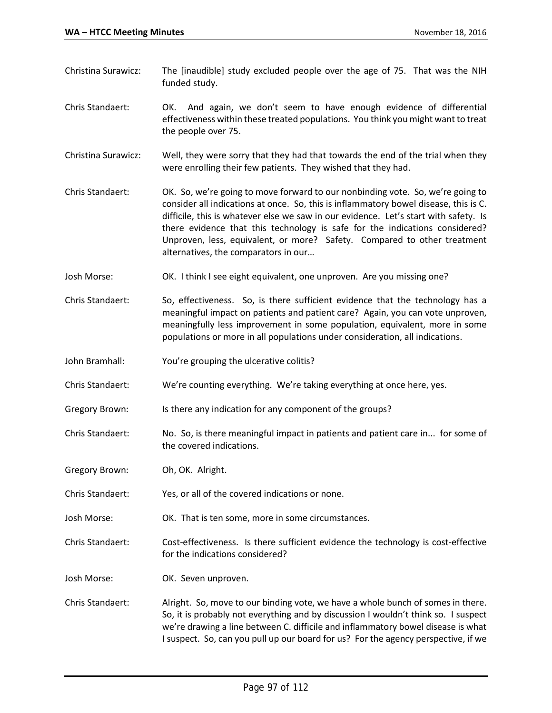- Christina Surawicz: The [inaudible] study excluded people over the age of 75. That was the NIH funded study.
- Chris Standaert: OK. And again, we don't seem to have enough evidence of differential effectiveness within these treated populations. You think youmight want to treat the people over 75.
- Christina Surawicz: Well, they were sorry that they had that towards the end of the trial when they were enrolling their few patients. They wished that they had.
- Chris Standaert: OK. So, we're going to move forward to our nonbinding vote. So, we're going to consider all indications at once. So, this is inflammatory bowel disease, this is C. difficile, this is whatever else we saw in our evidence. Let's start with safety. Is there evidence that this technology is safe for the indications considered? Unproven, less, equivalent, or more? Safety. Compared to other treatment alternatives, the comparators in our…
- Josh Morse: OK. I think I see eight equivalent, one unproven. Are you missing one?
- Chris Standaert: So, effectiveness. So, is there sufficient evidence that the technology has a meaningful impact on patients and patient care? Again, you can vote unproven, meaningfully less improvement in some population, equivalent, more in some populations or more in all populations under consideration, all indications.
- John Bramhall: You're grouping the ulcerative colitis?
- Chris Standaert: We're counting everything. We're taking everything at once here, yes.
- Gregory Brown: Is there any indication for any component of the groups?
- Chris Standaert: No. So, is there meaningful impact in patients and patient care in... for some of the covered indications.
- Gregory Brown: Oh, OK. Alright.
- Chris Standaert: Yes, or all of the covered indications or none.
- Josh Morse: OK. That is ten some, more in some circumstances.
- Chris Standaert: Cost-effectiveness. Is there sufficient evidence the technology is cost-effective for the indications considered?
- Josh Morse: OK. Seven unproven.
- Chris Standaert: Alright. So, move to our binding vote, we have a whole bunch of somes in there. So, it is probably not everything and by discussion I wouldn't think so. I suspect we're drawing a line between C. difficile and inflammatory bowel disease is what I suspect. So, can you pull up our board for us? For the agency perspective, if we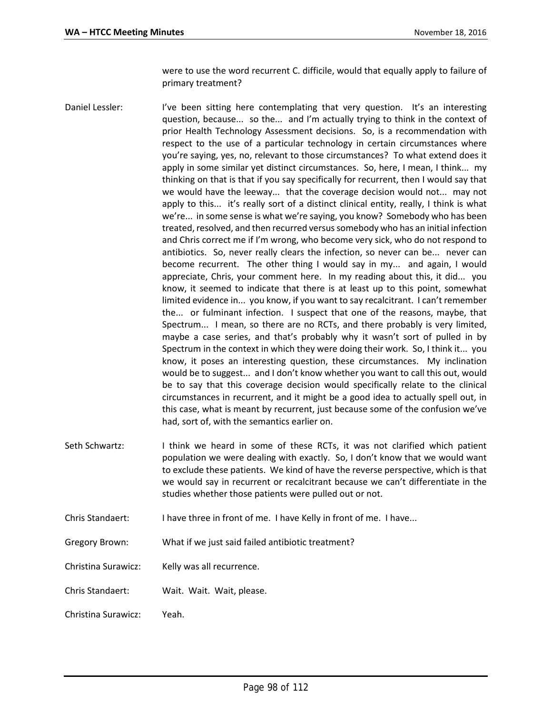were to use the word recurrent C. difficile, would that equally apply to failure of primary treatment?

- Daniel Lessler: I've been sitting here contemplating that very question. It's an interesting question, because... so the... and I'm actually trying to think in the context of prior Health Technology Assessment decisions. So, is a recommendation with respect to the use of a particular technology in certain circumstances where you're saying, yes, no, relevant to those circumstances? To what extend does it apply in some similar yet distinct circumstances. So, here, I mean, I think... my thinking on that is that if you say specifically for recurrent, then I would say that we would have the leeway... that the coverage decision would not... may not apply to this... it's really sort of a distinct clinical entity, really, I think is what we're... in some sense is what we're saying, you know? Somebody who has been treated, resolved, and then recurred versus somebody who has an initial infection and Chris correct me if I'm wrong, who become very sick, who do not respond to antibiotics. So, never really clears the infection, so never can be... never can become recurrent. The other thing I would say in my... and again, I would appreciate, Chris, your comment here. In my reading about this, it did... you know, it seemed to indicate that there is at least up to this point, somewhat limited evidence in... you know, if you want to say recalcitrant. I can't remember the... or fulminant infection. I suspect that one of the reasons, maybe, that Spectrum... I mean, so there are no RCTs, and there probably is very limited, maybe a case series, and that's probably why it wasn't sort of pulled in by Spectrum in the context in which they were doing their work. So, I think it... you know, it poses an interesting question, these circumstances. My inclination would be to suggest... and I don't know whether you want to call this out, would be to say that this coverage decision would specifically relate to the clinical circumstances in recurrent, and it might be a good idea to actually spell out, in this case, what is meant by recurrent, just because some of the confusion we've had, sort of, with the semantics earlier on.
- Seth Schwartz: I think we heard in some of these RCTs, it was not clarified which patient population we were dealing with exactly. So, I don't know that we would want to exclude these patients. We kind of have the reverse perspective, which is that we would say in recurrent or recalcitrant because we can't differentiate in the studies whether those patients were pulled out or not.
- Chris Standaert: I have three in front of me. I have Kelly in front of me. I have...
- Gregory Brown: What if we just said failed antibiotic treatment?
- Christina Surawicz: Kelly was all recurrence.
- Chris Standaert: Wait. Wait. Wait, please.

Christina Surawicz: Yeah.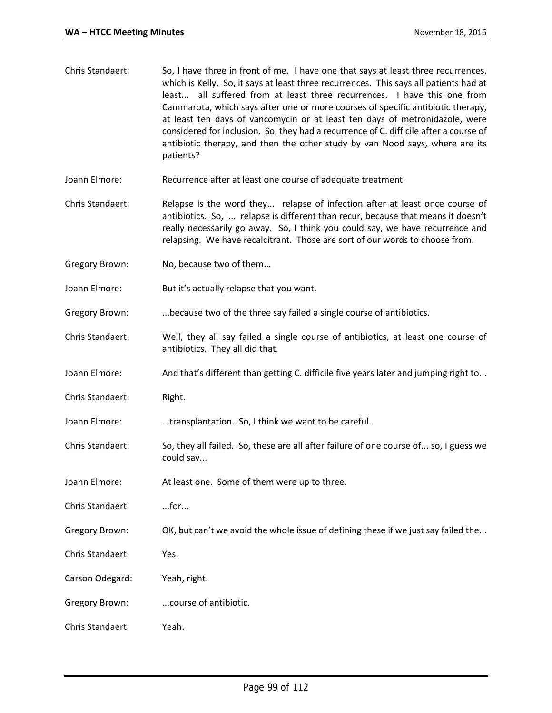| Chris Standaert:      | So, I have three in front of me. I have one that says at least three recurrences,<br>which is Kelly. So, it says at least three recurrences. This says all patients had at<br>least all suffered from at least three recurrences. I have this one from<br>Cammarota, which says after one or more courses of specific antibiotic therapy,<br>at least ten days of vancomycin or at least ten days of metronidazole, were<br>considered for inclusion. So, they had a recurrence of C. difficile after a course of<br>antibiotic therapy, and then the other study by van Nood says, where are its<br>patients? |
|-----------------------|----------------------------------------------------------------------------------------------------------------------------------------------------------------------------------------------------------------------------------------------------------------------------------------------------------------------------------------------------------------------------------------------------------------------------------------------------------------------------------------------------------------------------------------------------------------------------------------------------------------|
| Joann Elmore:         | Recurrence after at least one course of adequate treatment.                                                                                                                                                                                                                                                                                                                                                                                                                                                                                                                                                    |
| Chris Standaert:      | Relapse is the word they relapse of infection after at least once course of<br>antibiotics. So, I relapse is different than recur, because that means it doesn't<br>really necessarily go away. So, I think you could say, we have recurrence and<br>relapsing. We have recalcitrant. Those are sort of our words to choose from.                                                                                                                                                                                                                                                                              |
| <b>Gregory Brown:</b> | No, because two of them                                                                                                                                                                                                                                                                                                                                                                                                                                                                                                                                                                                        |
| Joann Elmore:         | But it's actually relapse that you want.                                                                                                                                                                                                                                                                                                                                                                                                                                                                                                                                                                       |
| Gregory Brown:        | because two of the three say failed a single course of antibiotics.                                                                                                                                                                                                                                                                                                                                                                                                                                                                                                                                            |
| Chris Standaert:      | Well, they all say failed a single course of antibiotics, at least one course of<br>antibiotics. They all did that.                                                                                                                                                                                                                                                                                                                                                                                                                                                                                            |
| Joann Elmore:         | And that's different than getting C. difficile five years later and jumping right to                                                                                                                                                                                                                                                                                                                                                                                                                                                                                                                           |
| Chris Standaert:      | Right.                                                                                                                                                                                                                                                                                                                                                                                                                                                                                                                                                                                                         |
| Joann Elmore:         | transplantation. So, I think we want to be careful.                                                                                                                                                                                                                                                                                                                                                                                                                                                                                                                                                            |
| Chris Standaert:      | So, they all failed. So, these are all after failure of one course of so, I guess we<br>could say                                                                                                                                                                                                                                                                                                                                                                                                                                                                                                              |
| Joann Elmore:         | At least one. Some of them were up to three.                                                                                                                                                                                                                                                                                                                                                                                                                                                                                                                                                                   |
| Chris Standaert:      | $$ for $$                                                                                                                                                                                                                                                                                                                                                                                                                                                                                                                                                                                                      |
| Gregory Brown:        | OK, but can't we avoid the whole issue of defining these if we just say failed the                                                                                                                                                                                                                                                                                                                                                                                                                                                                                                                             |
| Chris Standaert:      | Yes.                                                                                                                                                                                                                                                                                                                                                                                                                                                                                                                                                                                                           |
| Carson Odegard:       | Yeah, right.                                                                                                                                                                                                                                                                                                                                                                                                                                                                                                                                                                                                   |
| Gregory Brown:        | course of antibiotic.                                                                                                                                                                                                                                                                                                                                                                                                                                                                                                                                                                                          |
| Chris Standaert:      | Yeah.                                                                                                                                                                                                                                                                                                                                                                                                                                                                                                                                                                                                          |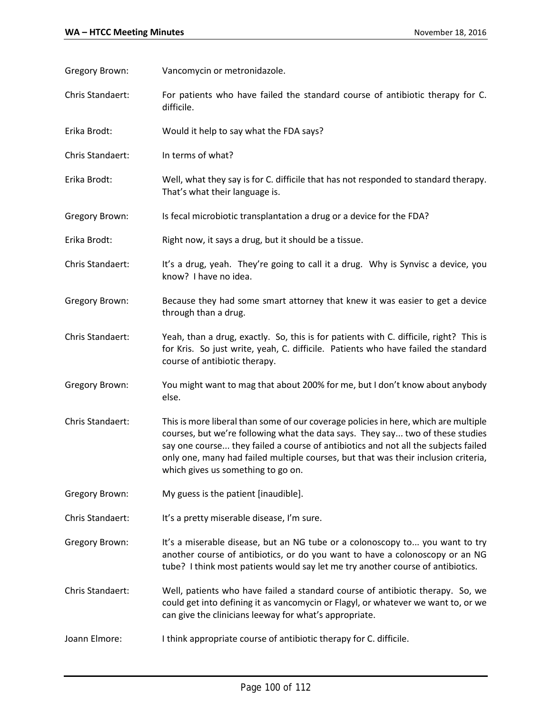Gregory Brown: Vancomycin or metronidazole.

- Chris Standaert: For patients who have failed the standard course of antibiotic therapy for C. difficile.
- Erika Brodt: Would it help to say what the FDA says?
- Chris Standaert: In terms of what?
- Erika Brodt: Well, what they say is for C. difficile that has not responded to standard therapy. That's what their language is.
- Gregory Brown: Is fecal microbiotic transplantation a drug or a device for the FDA?
- Erika Brodt: Right now, it says a drug, but it should be a tissue.
- Chris Standaert: It's a drug, yeah. They're going to call it a drug. Why is Synvisc a device, you know? I have no idea.
- Gregory Brown: Because they had some smart attorney that knew it was easier to get a device through than a drug.
- Chris Standaert: Yeah, than a drug, exactly. So, this is for patients with C. difficile, right? This is for Kris. So just write, yeah, C. difficile. Patients who have failed the standard course of antibiotic therapy.
- Gregory Brown: You might want to mag that about 200% for me, but I don't know about anybody else.
- Chris Standaert: This is more liberal than some of our coverage policies in here, which are multiple courses, but we're following what the data says. They say... two of these studies say one course... they failed a course of antibiotics and not all the subjects failed only one, many had failed multiple courses, but that was their inclusion criteria, which gives us something to go on.
- Gregory Brown: My guess is the patient [inaudible].
- Chris Standaert: It's a pretty miserable disease, I'm sure.
- Gregory Brown: It's a miserable disease, but an NG tube or a colonoscopy to... you want to try another course of antibiotics, or do you want to have a colonoscopy or an NG tube? I think most patients would say let me try another course of antibiotics.
- Chris Standaert: Well, patients who have failed a standard course of antibiotic therapy. So, we could get into defining it as vancomycin or Flagyl, or whatever we want to, or we can give the clinicians leeway for what's appropriate.
- Joann Elmore: I think appropriate course of antibiotic therapy for C. difficile.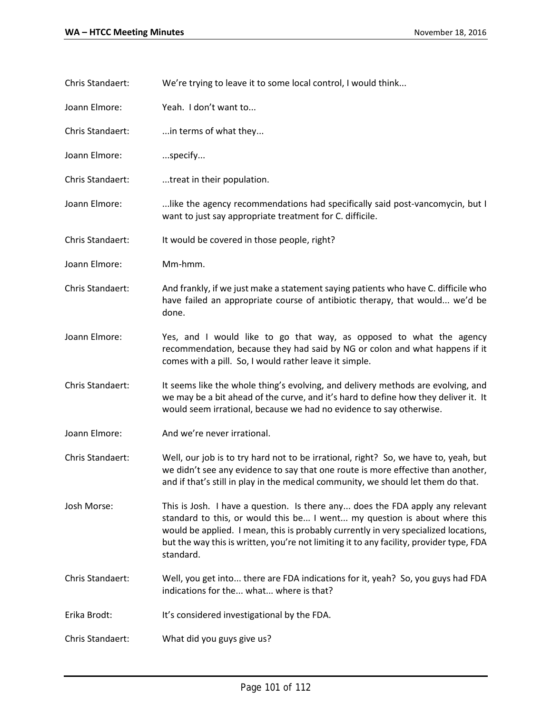Chris Standaert: We're trying to leave it to some local control, I would think...

- Joann Elmore: Yeah. I don't want to...
- Chris Standaert: ...in terms of what they...
- Joann Elmore: .... specify...
- Chris Standaert: ...treat in their population.
- Joann Elmore: ..........like the agency recommendations had specifically said post-vancomycin, but I want to just say appropriate treatment for C. difficile.
- Chris Standaert: It would be covered in those people, right?
- Joann Elmore: Mm-hmm.
- Chris Standaert: And frankly, if we just make a statement saying patients who have C. difficile who have failed an appropriate course of antibiotic therapy, that would... we'd be done.
- Joann Elmore: Yes, and I would like to go that way, as opposed to what the agency recommendation, because they had said by NG or colon and what happens if it comes with a pill. So, I would rather leave it simple.
- Chris Standaert: It seems like the whole thing's evolving, and delivery methods are evolving, and we may be a bit ahead of the curve, and it's hard to define how they deliver it. It would seem irrational, because we had no evidence to say otherwise.
- Joann Elmore: And we're never irrational.
- Chris Standaert: Well, our job is to try hard not to be irrational, right? So, we have to, yeah, but we didn't see any evidence to say that one route is more effective than another, and if that's still in play in the medical community, we should let them do that.
- Josh Morse: This is Josh. I have a question. Is there any... does the FDA apply any relevant standard to this, or would this be... I went... my question is about where this would be applied. I mean, this is probably currently in very specialized locations, but the way this is written, you're not limiting it to any facility, provider type, FDA standard.
- Chris Standaert: Well, you get into... there are FDA indications for it, yeah? So, you guys had FDA indications for the... what... where is that?
- Erika Brodt: It's considered investigational by the FDA.
- Chris Standaert: What did you guys give us?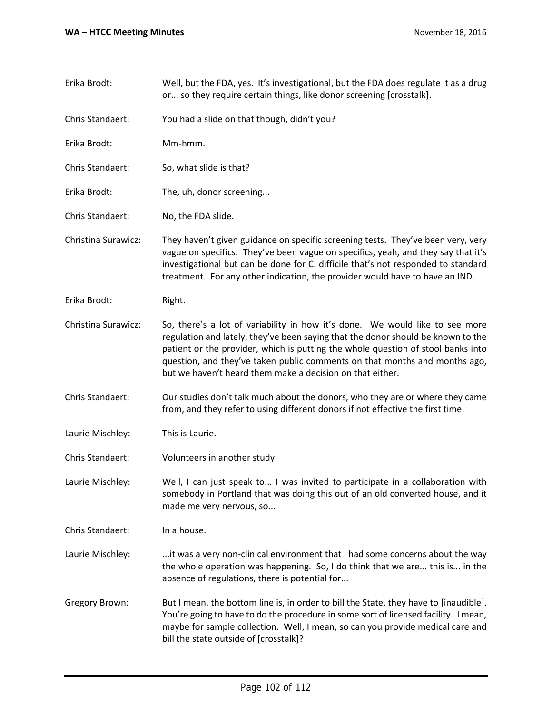| Erika Brodt:        | Well, but the FDA, yes. It's investigational, but the FDA does regulate it as a drug<br>or so they require certain things, like donor screening [crosstalk].                                                                                                                                                                                                                                    |
|---------------------|-------------------------------------------------------------------------------------------------------------------------------------------------------------------------------------------------------------------------------------------------------------------------------------------------------------------------------------------------------------------------------------------------|
| Chris Standaert:    | You had a slide on that though, didn't you?                                                                                                                                                                                                                                                                                                                                                     |
| Erika Brodt:        | Mm-hmm.                                                                                                                                                                                                                                                                                                                                                                                         |
| Chris Standaert:    | So, what slide is that?                                                                                                                                                                                                                                                                                                                                                                         |
| Erika Brodt:        | The, uh, donor screening                                                                                                                                                                                                                                                                                                                                                                        |
| Chris Standaert:    | No, the FDA slide.                                                                                                                                                                                                                                                                                                                                                                              |
| Christina Surawicz: | They haven't given guidance on specific screening tests. They've been very, very<br>vague on specifics. They've been vague on specifics, yeah, and they say that it's<br>investigational but can be done for C. difficile that's not responded to standard<br>treatment. For any other indication, the provider would have to have an IND.                                                      |
| Erika Brodt:        | Right.                                                                                                                                                                                                                                                                                                                                                                                          |
| Christina Surawicz: | So, there's a lot of variability in how it's done. We would like to see more<br>regulation and lately, they've been saying that the donor should be known to the<br>patient or the provider, which is putting the whole question of stool banks into<br>question, and they've taken public comments on that months and months ago,<br>but we haven't heard them make a decision on that either. |
| Chris Standaert:    | Our studies don't talk much about the donors, who they are or where they came<br>from, and they refer to using different donors if not effective the first time.                                                                                                                                                                                                                                |
| Laurie Mischley:    | This is Laurie.                                                                                                                                                                                                                                                                                                                                                                                 |
| Chris Standaert:    | Volunteers in another study.                                                                                                                                                                                                                                                                                                                                                                    |
| Laurie Mischley:    | Well, I can just speak to I was invited to participate in a collaboration with<br>somebody in Portland that was doing this out of an old converted house, and it<br>made me very nervous, so                                                                                                                                                                                                    |
| Chris Standaert:    | In a house.                                                                                                                                                                                                                                                                                                                                                                                     |
| Laurie Mischley:    | it was a very non-clinical environment that I had some concerns about the way<br>the whole operation was happening. So, I do think that we are this is in the<br>absence of regulations, there is potential for                                                                                                                                                                                 |
| Gregory Brown:      | But I mean, the bottom line is, in order to bill the State, they have to [inaudible].<br>You're going to have to do the procedure in some sort of licensed facility. I mean,<br>maybe for sample collection. Well, I mean, so can you provide medical care and<br>bill the state outside of [crosstalk]?                                                                                        |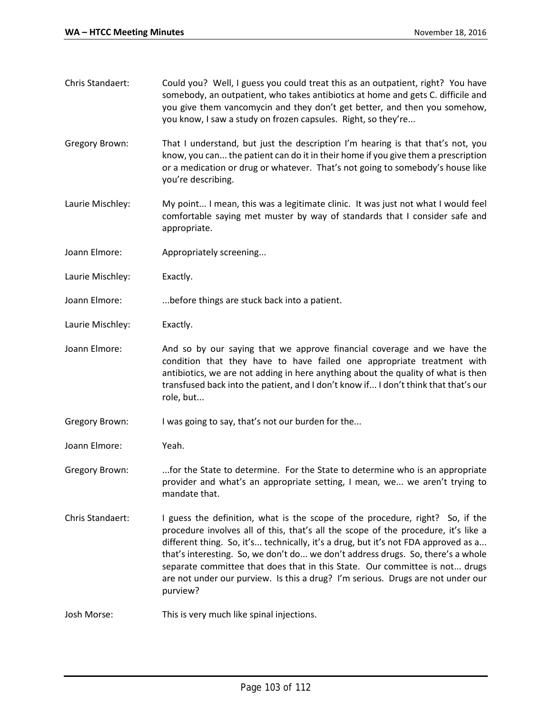- Chris Standaert: Could you? Well, I guess you could treat this as an outpatient, right? You have somebody, an outpatient, who takes antibiotics at home and gets C. difficile and you give them vancomycin and they don't get better, and then you somehow, you know, I saw a study on frozen capsules. Right, so they're...
- Gregory Brown: That I understand, but just the description I'm hearing is that that's not, you know, you can... the patient can do it in their home if you give them a prescription or a medication or drug or whatever. That's not going to somebody's house like you're describing.
- Laurie Mischley: My point... I mean, this was a legitimate clinic. It was just not what I would feel comfortable saying met muster by way of standards that I consider safe and appropriate.
- Joann Elmore: Appropriately screening...
- Laurie Mischley: Exactly.
- Joann Elmore: ...before things are stuck back into a patient.
- Laurie Mischley: Exactly.
- Joann Elmore: And so by our saying that we approve financial coverage and we have the condition that they have to have failed one appropriate treatment with antibiotics, we are not adding in here anything about the quality of what is then transfused back into the patient, and I don't know if... I don't think that that's our role, but...
- Gregory Brown: I was going to say, that's not our burden for the...
- Joann Elmore: Yeah.
- Gregory Brown: ...for the State to determine. For the State to determine who is an appropriate provider and what's an appropriate setting, I mean, we... we aren't trying to mandate that.
- Chris Standaert: I guess the definition, what is the scope of the procedure, right? So, if the procedure involves all of this, that's all the scope of the procedure, it's like a different thing. So, it's... technically, it's a drug, but it's not FDA approved as a... that's interesting. So, we don't do... we don't address drugs. So, there's a whole separate committee that does that in this State. Our committee is not... drugs are not under our purview. Is this a drug? I'm serious. Drugs are not under our purview?
- Josh Morse: This is very much like spinal injections.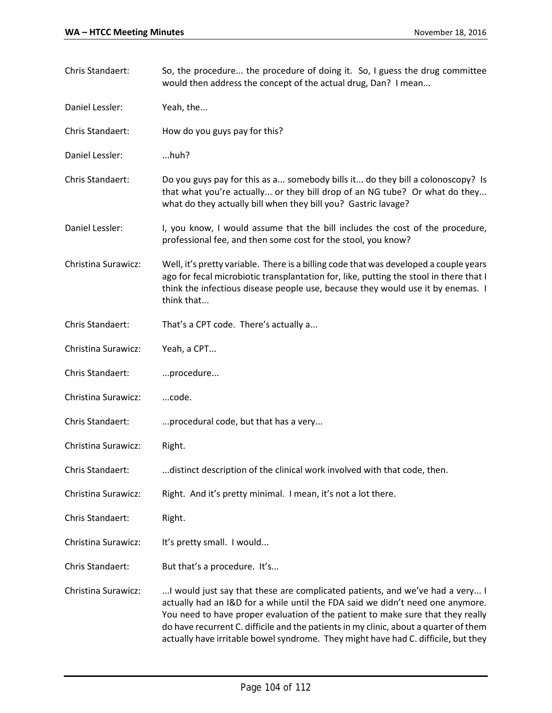| Chris Standaert:    | So, the procedure the procedure of doing it. So, I guess the drug committee<br>would then address the concept of the actual drug, Dan? I mean                                                                                                                                                                                                                                                                                    |
|---------------------|----------------------------------------------------------------------------------------------------------------------------------------------------------------------------------------------------------------------------------------------------------------------------------------------------------------------------------------------------------------------------------------------------------------------------------|
| Daniel Lessler:     | Yeah, the                                                                                                                                                                                                                                                                                                                                                                                                                        |
| Chris Standaert:    | How do you guys pay for this?                                                                                                                                                                                                                                                                                                                                                                                                    |
| Daniel Lessler:     | $$ huh?                                                                                                                                                                                                                                                                                                                                                                                                                          |
| Chris Standaert:    | Do you guys pay for this as a somebody bills it do they bill a colonoscopy? Is<br>that what you're actually or they bill drop of an NG tube? Or what do they<br>what do they actually bill when they bill you? Gastric lavage?                                                                                                                                                                                                   |
| Daniel Lessler:     | I, you know, I would assume that the bill includes the cost of the procedure,<br>professional fee, and then some cost for the stool, you know?                                                                                                                                                                                                                                                                                   |
| Christina Surawicz: | Well, it's pretty variable. There is a billing code that was developed a couple years<br>ago for fecal microbiotic transplantation for, like, putting the stool in there that I<br>think the infectious disease people use, because they would use it by enemas. I<br>think that                                                                                                                                                 |
| Chris Standaert:    | That's a CPT code. There's actually a                                                                                                                                                                                                                                                                                                                                                                                            |
| Christina Surawicz: | Yeah, a CPT                                                                                                                                                                                                                                                                                                                                                                                                                      |
| Chris Standaert:    | procedure                                                                                                                                                                                                                                                                                                                                                                                                                        |
| Christina Surawicz: | code.                                                                                                                                                                                                                                                                                                                                                                                                                            |
| Chris Standaert:    | procedural code, but that has a very                                                                                                                                                                                                                                                                                                                                                                                             |
| Christina Surawicz: | Right.                                                                                                                                                                                                                                                                                                                                                                                                                           |
| Chris Standaert:    | distinct description of the clinical work involved with that code, then.                                                                                                                                                                                                                                                                                                                                                         |
| Christina Surawicz: | Right. And it's pretty minimal. I mean, it's not a lot there.                                                                                                                                                                                                                                                                                                                                                                    |
| Chris Standaert:    | Right.                                                                                                                                                                                                                                                                                                                                                                                                                           |
| Christina Surawicz: | It's pretty small. I would                                                                                                                                                                                                                                                                                                                                                                                                       |
| Chris Standaert:    | But that's a procedure. It's                                                                                                                                                                                                                                                                                                                                                                                                     |
| Christina Surawicz: | I would just say that these are complicated patients, and we've had a very I<br>actually had an I&D for a while until the FDA said we didn't need one anymore.<br>You need to have proper evaluation of the patient to make sure that they really<br>do have recurrent C. difficile and the patients in my clinic, about a quarter of them<br>actually have irritable bowel syndrome. They might have had C. difficile, but they |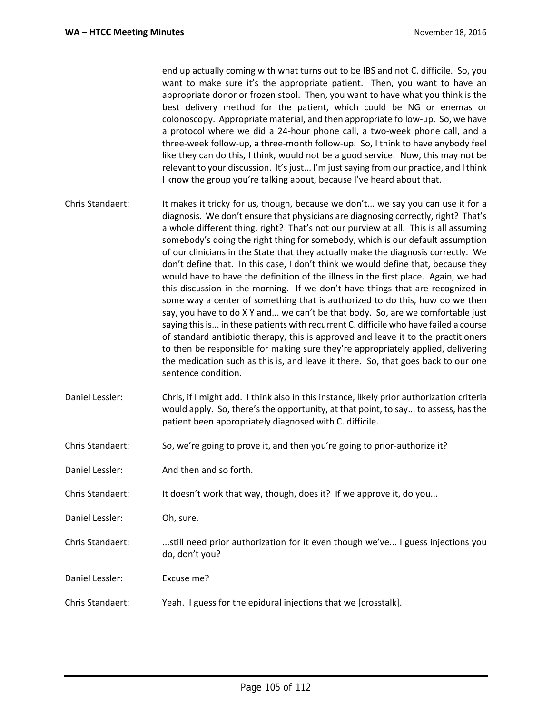end up actually coming with what turns out to be IBS and not C. difficile. So, you want to make sure it's the appropriate patient. Then, you want to have an appropriate donor or frozen stool. Then, you want to have what you think is the best delivery method for the patient, which could be NG or enemas or colonoscopy. Appropriate material, and then appropriate follow-up. So, we have a protocol where we did a 24-hour phone call, a two-week phone call, and a three-week follow-up, a three-month follow-up. So, I think to have anybody feel like they can do this, I think, would not be a good service. Now, this may not be relevant to your discussion. It's just... I'm just saying from our practice, and I think I know the group you're talking about, because I've heard about that.

- Chris Standaert: It makes it tricky for us, though, because we don't... we say you can use it for a diagnosis. We don't ensure that physicians are diagnosing correctly, right? That's a whole different thing, right? That's not our purview at all. This is all assuming somebody's doing the right thing for somebody, which is our default assumption of our clinicians in the State that they actually make the diagnosis correctly. We don't define that. In this case, I don't think we would define that, because they would have to have the definition of the illness in the first place. Again, we had this discussion in the morning. If we don't have things that are recognized in some way a center of something that is authorized to do this, how do we then say, you have to do X Y and... we can't be that body. So, are we comfortable just saying this is... in these patients with recurrent C. difficile who have failed a course of standard antibiotic therapy, this is approved and leave it to the practitioners to then be responsible for making sure they're appropriately applied, delivering the medication such as this is, and leave it there. So, that goes back to our one sentence condition.
- Daniel Lessler: Chris, if I might add. I think also in this instance, likely prior authorization criteria would apply. So, there's the opportunity, at that point, to say... to assess, has the patient been appropriately diagnosed with C. difficile.
- Chris Standaert: So, we're going to prove it, and then you're going to prior-authorize it?
- Daniel Lessler: And then and so forth.
- Chris Standaert: It doesn't work that way, though, does it? If we approve it, do you...
- Daniel Lessler: Oh, sure.
- Chris Standaert: ...still need prior authorization for it even though we've... I guess injections you do, don't you?
- Daniel Lessler: Excuse me?
- Chris Standaert: Yeah. I guess for the epidural injections that we [crosstalk].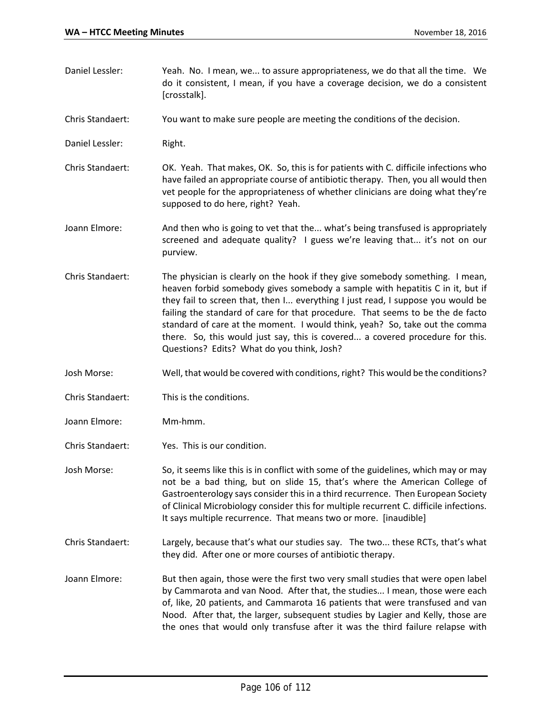- Daniel Lessler: Yeah. No. I mean, we... to assure appropriateness, we do that all the time. We do it consistent, I mean, if you have a coverage decision, we do a consistent [crosstalk].
- Chris Standaert: You want to make sure people are meeting the conditions of the decision.
- Daniel Lessler: Right.
- Chris Standaert: OK. Yeah. That makes, OK. So, this is for patients with C. difficile infections who have failed an appropriate course of antibiotic therapy. Then, you all would then vet people for the appropriateness of whether clinicians are doing what they're supposed to do here, right? Yeah.
- Joann Elmore: And then who is going to vet that the... what's being transfused is appropriately screened and adequate quality? I guess we're leaving that... it's not on our purview.
- Chris Standaert: The physician is clearly on the hook if they give somebody something. I mean, heaven forbid somebody gives somebody a sample with hepatitis C in it, but if they fail to screen that, then I... everything I just read, I suppose you would be failing the standard of care for that procedure. That seems to be the de facto standard of care at the moment. I would think, yeah? So, take out the comma there. So, this would just say, this is covered... a covered procedure for this. Questions? Edits? What do you think, Josh?
- Josh Morse: Well, that would be covered with conditions, right? This would be the conditions?
- Chris Standaert: This is the conditions.
- Joann Elmore: Mm-hmm.
- Chris Standaert: Yes. This is our condition.
- Josh Morse: So, it seems like this is in conflict with some of the guidelines, which may or may not be a bad thing, but on slide 15, that's where the American College of Gastroenterology says consider this in a third recurrence. Then European Society of Clinical Microbiology consider this for multiple recurrent C. difficile infections. It says multiple recurrence. That means two or more. [inaudible]
- Chris Standaert: Largely, because that's what our studies say. The two... these RCTs, that's what they did. After one or more courses of antibiotic therapy.
- Joann Elmore: But then again, those were the first two very small studies that were open label by Cammarota and van Nood. After that, the studies... I mean, those were each of, like, 20 patients, and Cammarota 16 patients that were transfused and van Nood. After that, the larger, subsequent studies by Lagier and Kelly, those are the ones that would only transfuse after it was the third failure relapse with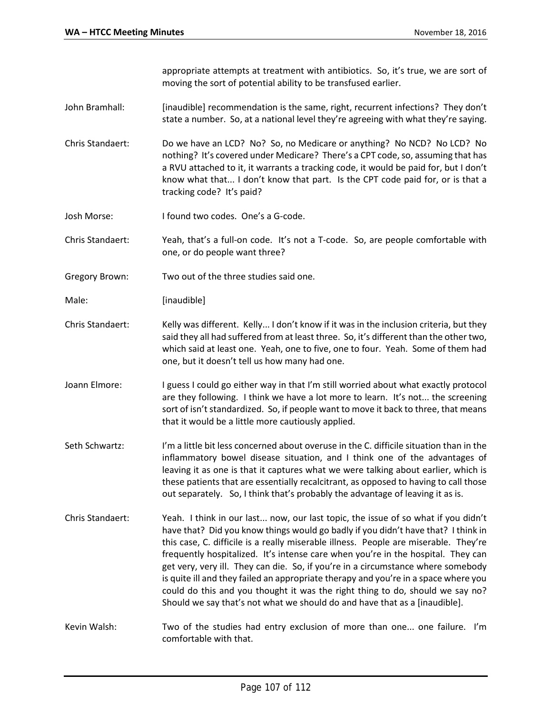appropriate attempts at treatment with antibiotics. So, it's true, we are sort of moving the sort of potential ability to be transfused earlier.

- John Bramhall: [inaudible] recommendation is the same, right, recurrent infections? They don't state a number. So, at a national level they're agreeing with what they're saying.
- Chris Standaert: Do we have an LCD? No? So, no Medicare or anything? No NCD? No LCD? No nothing? It's covered under Medicare? There's a CPT code, so, assuming that has a RVU attached to it, it warrants a tracking code, it would be paid for, but I don't know what that... I don't know that part. Is the CPT code paid for, or is that a tracking code? It's paid?
- Josh Morse: I found two codes. One's a G-code.

Chris Standaert: Yeah, that's a full-on code. It's not a T-code. So, are people comfortable with one, or do people want three?

- Gregory Brown: Two out of the three studies said one.
- Male: [inaudible]
- Chris Standaert: Kelly was different. Kelly... I don't know if it was in the inclusion criteria, but they said they all had suffered from at least three. So, it's different than the other two, which said at least one. Yeah, one to five, one to four. Yeah. Some of them had one, but it doesn't tell us how many had one.
- Joann Elmore: I guess I could go either way in that I'm still worried about what exactly protocol are they following. I think we have a lot more to learn. It's not... the screening sort of isn't standardized. So, if people want to move it back to three, that means that it would be a little more cautiously applied.
- Seth Schwartz: I'm a little bit less concerned about overuse in the C. difficile situation than in the inflammatory bowel disease situation, and I think one of the advantages of leaving it as one is that it captures what we were talking about earlier, which is these patients that are essentially recalcitrant, as opposed to having to call those out separately. So, I think that's probably the advantage of leaving it as is.
- Chris Standaert: Yeah. I think in our last... now, our last topic, the issue of so what if you didn't have that? Did you know things would go badly if you didn't have that? I think in this case, C. difficile is a really miserable illness. People are miserable. They're frequently hospitalized. It's intense care when you're in the hospital. They can get very, very ill. They can die. So, if you're in a circumstance where somebody is quite ill and they failed an appropriate therapy and you're in a space where you could do this and you thought it was the right thing to do, should we say no? Should we say that's not what we should do and have that as a [inaudible].
- Kevin Walsh: Two of the studies had entry exclusion of more than one... one failure. I'm comfortable with that.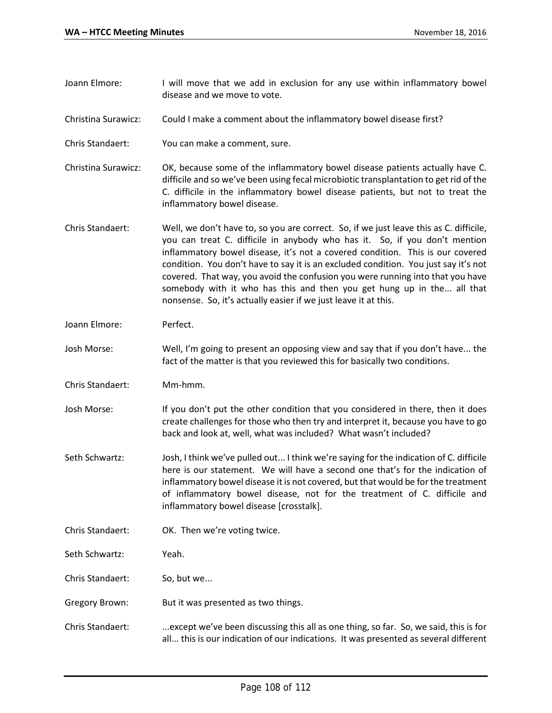- Joann Elmore: I will move that we add in exclusion for any use within inflammatory bowel disease and we move to vote.
- Christina Surawicz: Could I make a comment about the inflammatory bowel disease first?
- Chris Standaert: You can make a comment, sure.
- Christina Surawicz: OK, because some of the inflammatory bowel disease patients actually have C. difficile and so we've been using fecal microbiotic transplantation to get rid of the C. difficile in the inflammatory bowel disease patients, but not to treat the inflammatory bowel disease.
- Chris Standaert: Well, we don't have to, so you are correct. So, if we just leave this as C. difficile, you can treat C. difficile in anybody who has it. So, if you don't mention inflammatory bowel disease, it's not a covered condition. This is our covered condition. You don't have to say it is an excluded condition. You just say it's not covered. That way, you avoid the confusion you were running into that you have somebody with it who has this and then you get hung up in the... all that nonsense. So, it's actually easier if we just leave it at this.
- Joann Elmore: Perfect.
- Josh Morse: Well, I'm going to present an opposing view and say that if you don't have... the fact of the matter is that you reviewed this for basically two conditions.
- Chris Standaert: Mm-hmm.
- Josh Morse: If you don't put the other condition that you considered in there, then it does create challenges for those who then try and interpret it, because you have to go back and look at, well, what was included? What wasn't included?
- Seth Schwartz: Josh, I think we've pulled out... I think we're saying for the indication of C. difficile here is our statement. We will have a second one that's for the indication of inflammatory bowel disease it is not covered, but that would be for the treatment of inflammatory bowel disease, not for the treatment of C. difficile and inflammatory bowel disease [crosstalk].
- Chris Standaert: OK. Then we're voting twice.
- Seth Schwartz: Yeah.
- Chris Standaert: So, but we...
- Gregory Brown: But it was presented as two things.
- Chris Standaert: ...except we've been discussing this all as one thing, so far. So, we said, this is for all... this is our indication of our indications. It was presented as several different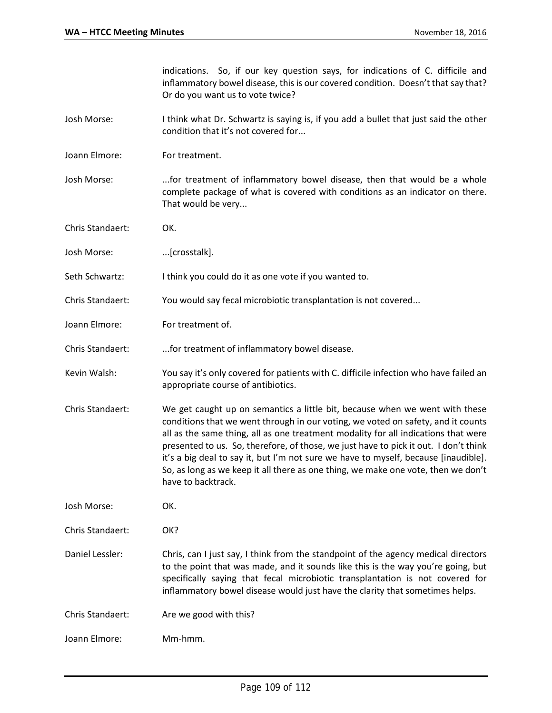indications. So, if our key question says, for indications of C. difficile and inflammatory bowel disease, this is our covered condition. Doesn't that say that? Or do you want us to vote twice?

Josh Morse: I think what Dr. Schwartz is saying is, if you add a bullet that just said the other condition that it's not covered for...

Joann Elmore: For treatment.

- Josh Morse: ...for treatment of inflammatory bowel disease, then that would be a whole complete package of what is covered with conditions as an indicator on there. That would be very...
- Chris Standaert: OK.
- Josh Morse: ...[crosstalk].
- Seth Schwartz: I think you could do it as one vote if you wanted to.
- Chris Standaert: You would say fecal microbiotic transplantation is not covered...
- Joann Elmore: For treatment of.
- Chris Standaert: ...for treatment of inflammatory bowel disease.
- Kevin Walsh: You say it's only covered for patients with C. difficile infection who have failed an appropriate course of antibiotics.
- Chris Standaert: We get caught up on semantics a little bit, because when we went with these conditions that we went through in our voting, we voted on safety, and it counts all as the same thing, all as one treatment modality for all indications that were presented to us. So, therefore, of those, we just have to pick it out. I don't think it's a big deal to say it, but I'm not sure we have to myself, because [inaudible]. So, as long as we keep it all there as one thing, we make one vote, then we don't have to backtrack.

Josh Morse: OK.

Chris Standaert: OK?

- Daniel Lessler: Chris, can I just say, I think from the standpoint of the agency medical directors to the point that was made, and it sounds like this is the way you're going, but specifically saying that fecal microbiotic transplantation is not covered for inflammatory bowel disease would just have the clarity that sometimes helps.
- Chris Standaert: Are we good with this?
- Joann Elmore: Mm-hmm.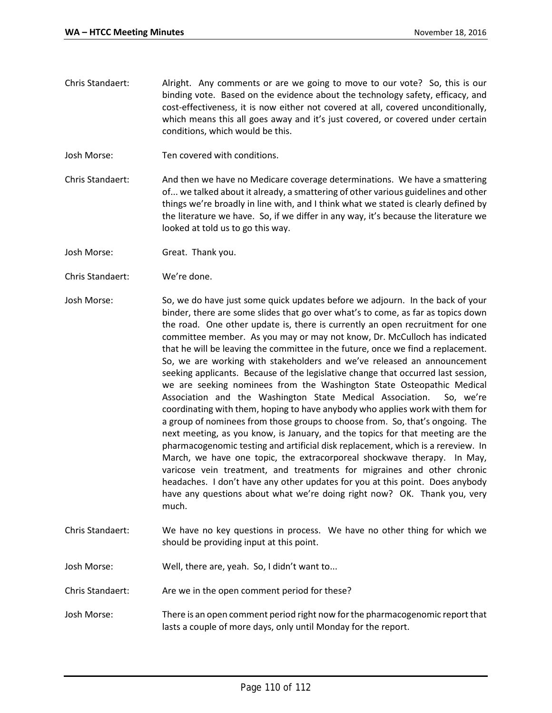- Chris Standaert: Alright. Any comments or are we going to move to our vote? So, this is our binding vote. Based on the evidence about the technology safety, efficacy, and cost-effectiveness, it is now either not covered at all, covered unconditionally, which means this all goes away and it's just covered, or covered under certain conditions, which would be this.
- Josh Morse: Ten covered with conditions.
- Chris Standaert: And then we have no Medicare coverage determinations. We have a smattering of... we talked about it already, a smattering of other various guidelines and other things we're broadly in line with, and I think what we stated is clearly defined by the literature we have. So, if we differ in any way, it's because the literature we looked at told us to go this way.

Josh Morse: Great. Thank you.

- Chris Standaert: We're done.
- Josh Morse: So, we do have just some quick updates before we adjourn. In the back of your binder, there are some slides that go over what's to come, as far as topics down the road. One other update is, there is currently an open recruitment for one committee member. As you may or may not know, Dr. McCulloch has indicated that he will be leaving the committee in the future, once we find a replacement. So, we are working with stakeholders and we've released an announcement seeking applicants. Because of the legislative change that occurred last session, we are seeking nominees from the Washington State Osteopathic Medical Association and the Washington State Medical Association. So, we're coordinating with them, hoping to have anybody who applies work with them for a group of nominees from those groups to choose from. So, that's ongoing. The next meeting, as you know, is January, and the topics for that meeting are the pharmacogenomic testing and artificial disk replacement, which is a rereview. In March, we have one topic, the extracorporeal shockwave therapy. In May, varicose vein treatment, and treatments for migraines and other chronic headaches. I don't have any other updates for you at this point. Does anybody have any questions about what we're doing right now? OK. Thank you, very much.
- Chris Standaert: We have no key questions in process. We have no other thing for which we should be providing input at this point.
- Josh Morse: Well, there are, yeah. So, I didn't want to...
- Chris Standaert: Are we in the open comment period for these?
- Josh Morse: There is an open comment period right now for the pharmacogenomic report that lasts a couple of more days, only until Monday for the report.